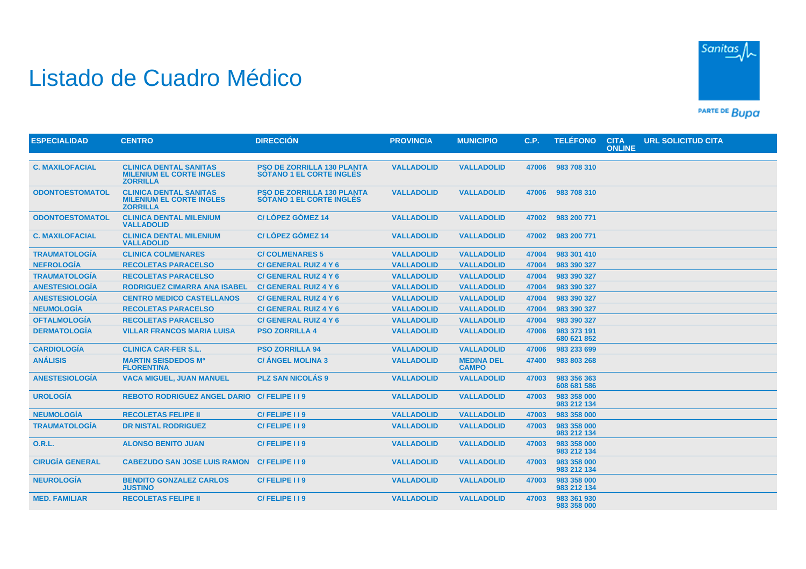## Listado de Cuadro Médico



PARTE DE BUDA

| <b>ESPECIALIDAD</b>    | <b>CENTRO</b>                                                                       | <b>DIRECCIÓN</b>                                                     | <b>PROVINCIA</b>  | <b>MUNICIPIO</b>                  | C.P.  | <b>TELÉFONO</b>            | <b>CITA</b><br><b>ONLINE</b> | <b>URL SOLICITUD CITA</b> |
|------------------------|-------------------------------------------------------------------------------------|----------------------------------------------------------------------|-------------------|-----------------------------------|-------|----------------------------|------------------------------|---------------------------|
|                        |                                                                                     |                                                                      |                   |                                   |       |                            |                              |                           |
| <b>C. MAXILOFACIAL</b> | <b>CLINICA DENTAL SANITAS</b><br><b>MILENIUM EL CORTE INGLES</b><br><b>ZORRILLA</b> | <b>PSO DE ZORRILLA 130 PLANTA</b><br><b>SÓTANO 1 EL CORTE INGLÉS</b> | <b>VALLADOLID</b> | <b>VALLADOLID</b>                 | 47006 | 983 708 310                |                              |                           |
| <b>ODONTOESTOMATOL</b> | <b>CLINICA DENTAL SANITAS</b><br><b>MILENIUM EL CORTE INGLES</b><br><b>ZORRILLA</b> | <b>PSO DE ZORRILLA 130 PLANTA</b><br><b>SÓTANO 1 EL CORTE INGLÉS</b> | <b>VALLADOLID</b> | <b>VALLADOLID</b>                 | 47006 | 983 708 310                |                              |                           |
| <b>ODONTOESTOMATOL</b> | <b>CLINICA DENTAL MILENIUM</b><br><b>VALLADOLID</b>                                 | <b>C/LÓPEZ GÓMEZ 14</b>                                              | <b>VALLADOLID</b> | <b>VALLADOLID</b>                 | 47002 | 983 200 771                |                              |                           |
| <b>C. MAXILOFACIAL</b> | <b>CLINICA DENTAL MILENIUM</b><br><b>VALLADOLID</b>                                 | C/LÓPEZ GÓMEZ 14                                                     | <b>VALLADOLID</b> | <b>VALLADOLID</b>                 | 47002 | 983 200 771                |                              |                           |
| <b>TRAUMATOLOGÍA</b>   | <b>CLINICA COLMENARES</b>                                                           | <b>C/COLMENARES 5</b>                                                | <b>VALLADOLID</b> | <b>VALLADOLID</b>                 | 47004 | 983 301 410                |                              |                           |
| <b>NEFROLOGÍA</b>      | <b>RECOLETAS PARACELSO</b>                                                          | <b>C/ GENERAL RUIZ 4 Y 6</b>                                         | <b>VALLADOLID</b> | <b>VALLADOLID</b>                 | 47004 | 983 390 327                |                              |                           |
| <b>TRAUMATOLOGÍA</b>   | <b>RECOLETAS PARACELSO</b>                                                          | <b>C/ GENERAL RUIZ 4 Y 6</b>                                         | <b>VALLADOLID</b> | <b>VALLADOLID</b>                 | 47004 | 983 390 327                |                              |                           |
| <b>ANESTESIOLOGÍA</b>  | <b>RODRIGUEZ CIMARRA ANA ISABEL</b>                                                 | <b>C/ GENERAL RUIZ 4 Y 6</b>                                         | <b>VALLADOLID</b> | <b>VALLADOLID</b>                 | 47004 | 983 390 327                |                              |                           |
| <b>ANESTESIOLOGÍA</b>  | <b>CENTRO MEDICO CASTELLANOS</b>                                                    | <b>C/ GENERAL RUIZ 4 Y 6</b>                                         | <b>VALLADOLID</b> | <b>VALLADOLID</b>                 | 47004 | 983 390 327                |                              |                           |
| <b>NEUMOLOGÍA</b>      | <b>RECOLETAS PARACELSO</b>                                                          | <b>C/ GENERAL RUIZ 4 Y 6</b>                                         | <b>VALLADOLID</b> | <b>VALLADOLID</b>                 | 47004 | 983 390 327                |                              |                           |
| <b>OFTALMOLOGIA</b>    | <b>RECOLETAS PARACELSO</b>                                                          | C/ GENERAL RUIZ 4 Y 6                                                | <b>VALLADOLID</b> | <b>VALLADOLID</b>                 | 47004 | 983 390 327                |                              |                           |
| <b>DERMATOLOGÍA</b>    | <b>VILLAR FRANCOS MARIA LUISA</b>                                                   | <b>PSO ZORRILLA 4</b>                                                | <b>VALLADOLID</b> | <b>VALLADOLID</b>                 | 47006 | 983 373 191<br>680 621 852 |                              |                           |
| <b>CARDIOLOGÍA</b>     | <b>CLINICA CAR-FER S.L.</b>                                                         | <b>PSO ZORRILLA 94</b>                                               | <b>VALLADOLID</b> | <b>VALLADOLID</b>                 | 47006 | 983 233 699                |                              |                           |
| <b>ANÁLISIS</b>        | <b>MARTIN SEISDEDOS Mª</b><br><b>FLORENTINA</b>                                     | <b>C/ ÁNGEL MOLINA 3</b>                                             | <b>VALLADOLID</b> | <b>MEDINA DEL</b><br><b>CAMPO</b> | 47400 | 983 803 268                |                              |                           |
| <b>ANESTESIOLOGÍA</b>  | <b>VACA MIGUEL, JUAN MANUEL</b>                                                     | <b>PLZ SAN NICOLÁS 9</b>                                             | <b>VALLADOLID</b> | <b>VALLADOLID</b>                 | 47003 | 983 356 363<br>608 681 586 |                              |                           |
| <b>UROLOGÍA</b>        | <b>REBOTO RODRIGUEZ ANGEL DARIO</b>                                                 | C/FELIPE I I 9                                                       | <b>VALLADOLID</b> | <b>VALLADOLID</b>                 | 47003 | 983 358 000<br>983 212 134 |                              |                           |
| <b>NEUMOLOGÍA</b>      | <b>RECOLETAS FELIPE II</b>                                                          | C/FELIPE I I 9                                                       | <b>VALLADOLID</b> | <b>VALLADOLID</b>                 | 47003 | 983 358 000                |                              |                           |
| <b>TRAUMATOLOGÍA</b>   | <b>DR NISTAL RODRIGUEZ</b>                                                          | C/FELIPE I I 9                                                       | <b>VALLADOLID</b> | <b>VALLADOLID</b>                 | 47003 | 983 358 000<br>983 212 134 |                              |                           |
| <b>O.R.L.</b>          | <b>ALONSO BENITO JUAN</b>                                                           | C/FELIPE 119                                                         | <b>VALLADOLID</b> | <b>VALLADOLID</b>                 | 47003 | 983 358 000<br>983 212 134 |                              |                           |
| <b>CIRUGÍA GENERAL</b> | <b>CABEZUDO SAN JOSE LUIS RAMON</b>                                                 | C/FELIPE I I 9                                                       | <b>VALLADOLID</b> | <b>VALLADOLID</b>                 | 47003 | 983 358 000<br>983 212 134 |                              |                           |
| <b>NEUROLOGÍA</b>      | <b>BENDITO GONZALEZ CARLOS</b><br><b>JUSTINO</b>                                    | C/FELIPE II9                                                         | <b>VALLADOLID</b> | <b>VALLADOLID</b>                 | 47003 | 983 358 000<br>983 212 134 |                              |                           |
| <b>MED. FAMILIAR</b>   | <b>RECOLETAS FELIPE II</b>                                                          | C/FELIPE 119                                                         | <b>VALLADOLID</b> | <b>VALLADOLID</b>                 | 47003 | 983 361 930<br>983 358 000 |                              |                           |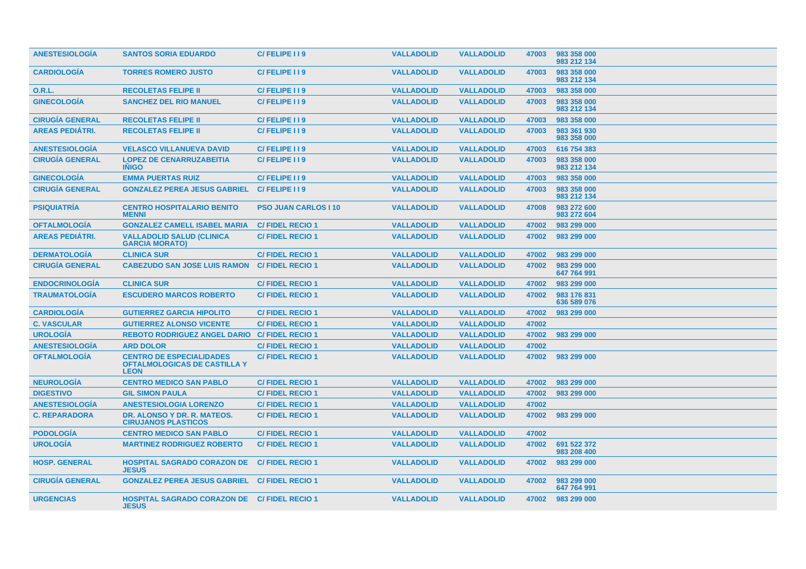| <b>ANESTESIOLOGIA</b>  | <b>SANTOS SORIA EDUARDO</b>                                                           | C/FELIPE II9                | <b>VALLADOLID</b> | <b>VALLADOLID</b> | 47003 | 983 358 000<br>983 212 134 |
|------------------------|---------------------------------------------------------------------------------------|-----------------------------|-------------------|-------------------|-------|----------------------------|
| <b>CARDIOLOGÍA</b>     | <b>TORRES ROMERO JUSTO</b>                                                            | C/FELIPE 119                | <b>VALLADOLID</b> | <b>VALLADOLID</b> | 47003 | 983 358 000<br>983 212 134 |
| 0.R.L.                 | <b>RECOLETAS FELIPE II</b>                                                            | C/FELIPE II9                | <b>VALLADOLID</b> | <b>VALLADOLID</b> | 47003 | 983 358 000                |
| <b>GINECOLOGÍA</b>     | <b>SANCHEZ DEL RIO MANUEL</b>                                                         | C/FELIPE I I 9              | <b>VALLADOLID</b> | <b>VALLADOLID</b> | 47003 | 983 358 000<br>983 212 134 |
| <b>CIRUGIA GENERAL</b> | <b>RECOLETAS FELIPE II</b>                                                            | C/FELIPE II9                | <b>VALLADOLID</b> | <b>VALLADOLID</b> | 47003 | 983 358 000                |
| <b>AREAS PEDIÁTRI.</b> | <b>RECOLETAS FELIPE II</b>                                                            | C/FELIPE 119                | <b>VALLADOLID</b> | <b>VALLADOLID</b> | 47003 | 983 361 930<br>983 358 000 |
| <b>ANESTESIOLOGÍA</b>  | <b>VELASCO VILLANUEVA DAVID</b>                                                       | C/FELIPE I I 9              | <b>VALLADOLID</b> | <b>VALLADOLID</b> | 47003 | 616 754 383                |
| <b>CIRUGIA GENERAL</b> | <b>LOPEZ DE CENARRUZABEITIA</b><br><b>INIGO</b>                                       | C/FELIPE II9                | <b>VALLADOLID</b> | <b>VALLADOLID</b> | 47003 | 983 358 000<br>983 212 134 |
| <b>GINECOLOGÍA</b>     | <b>EMMA PUERTAS RUIZ</b>                                                              | C/FELIPE I I 9              | <b>VALLADOLID</b> | <b>VALLADOLID</b> | 47003 | 983 358 000                |
| <b>CIRUGÍA GENERAL</b> | <b>GONZALEZ PEREA JESUS GABRIEL</b>                                                   | C/FELIPE 119                | <b>VALLADOLID</b> | <b>VALLADOLID</b> | 47003 | 983 358 000<br>983 212 134 |
| <b>PSIQUIATRÍA</b>     | <b>CENTRO HOSPITALARIO BENITO</b><br><b>MENNI</b>                                     | <b>PSO JUAN CARLOS I 10</b> | <b>VALLADOLID</b> | <b>VALLADOLID</b> | 47008 | 983 272 600<br>983 272 604 |
| <b>OFTALMOLOGIA</b>    | <b>GONZALEZ CAMELL ISABEL MARIA</b>                                                   | <b>C/FIDEL RECIO 1</b>      | <b>VALLADOLID</b> | <b>VALLADOLID</b> | 47002 | 983 299 000                |
| <b>AREAS PEDIATRI.</b> | <b>VALLADOLID SALUD (CLINICA)</b><br><b>GARCIA MORATO)</b>                            | <b>C/FIDEL RECIO 1</b>      | <b>VALLADOLID</b> | <b>VALLADOLID</b> | 47002 | 983 299 000                |
| <b>DERMATOLOGÍA</b>    | <b>CLINICA SUR</b>                                                                    | <b>C/FIDEL RECIO 1</b>      | <b>VALLADOLID</b> | <b>VALLADOLID</b> | 47002 | 983 299 000                |
| <b>CIRUGÍA GENERAL</b> | <b>CABEZUDO SAN JOSE LUIS RAMON</b>                                                   | <b>C/FIDEL RECIO 1</b>      | <b>VALLADOLID</b> | <b>VALLADOLID</b> | 47002 | 983 299 000<br>647 764 991 |
| <b>ENDOCRINOLOGIA</b>  | <b>CLINICA SUR</b>                                                                    | <b>C/FIDEL RECIO1</b>       | <b>VALLADOLID</b> | <b>VALLADOLID</b> | 47002 | 983 299 000                |
| <b>TRAUMATOLOGIA</b>   | <b>ESCUDERO MARCOS ROBERTO</b>                                                        | <b>C/FIDEL RECIO 1</b>      | <b>VALLADOLID</b> | <b>VALLADOLID</b> | 47002 | 983 176 831<br>636 589 076 |
| <b>CARDIOLOGIA</b>     | <b>GUTIERREZ GARCIA HIPOLITO</b>                                                      | <b>C/FIDEL RECIO1</b>       | <b>VALLADOLID</b> | <b>VALLADOLID</b> | 47002 | 983 299 000                |
| <b>C. VASCULAR</b>     | <b>GUTIERREZ ALONSO VICENTE</b>                                                       | <b>C/FIDEL RECIO1</b>       | <b>VALLADOLID</b> | <b>VALLADOLID</b> | 47002 |                            |
| <b>UROLOGÍA</b>        | <b>REBOTO RODRIGUEZ ANGEL DARIO</b>                                                   | <b>C/FIDEL RECIO 1</b>      | <b>VALLADOLID</b> | <b>VALLADOLID</b> | 47002 | 983 299 000                |
| <b>ANESTESIOLOGÍA</b>  | <b>ARD DOLOR</b>                                                                      | <b>C/FIDEL RECIO1</b>       | <b>VALLADOLID</b> | <b>VALLADOLID</b> | 47002 |                            |
| <b>OFTALMOLOGIA</b>    | <b>CENTRO DE ESPECIALIDADES</b><br><b>OFTALMOLOGICAS DE CASTILLA Y</b><br><b>LEON</b> | <b>C/FIDEL RECIO 1</b>      | <b>VALLADOLID</b> | <b>VALLADOLID</b> | 47002 | 983 299 000                |
| <b>NEUROLOGIA</b>      | <b>CENTRO MEDICO SAN PABLO</b>                                                        | <b>C/FIDEL RECIO1</b>       | <b>VALLADOLID</b> | <b>VALLADOLID</b> | 47002 | 983 299 000                |
| <b>DIGESTIVO</b>       | <b>GIL SIMON PAULA</b>                                                                | <b>C/FIDEL RECIO1</b>       | <b>VALLADOLID</b> | <b>VALLADOLID</b> | 47002 | 983 299 000                |
| <b>ANESTESIOLOGIA</b>  | <b>ANESTESIOLOGIA LORENZO</b>                                                         | <b>C/FIDEL RECIO1</b>       | <b>VALLADOLID</b> | <b>VALLADOLID</b> | 47002 |                            |
| <b>C. REPARADORA</b>   | DR. ALONSO Y DR. R. MATEOS.<br><b>CIRUJANOS PLASTICOS</b>                             | <b>C/FIDEL RECIO 1</b>      | <b>VALLADOLID</b> | <b>VALLADOLID</b> | 47002 | 983 299 000                |
| <b>PODOLOGÍA</b>       | <b>CENTRO MEDICO SAN PABLO</b>                                                        | <b>C/FIDEL RECIO1</b>       | <b>VALLADOLID</b> | <b>VALLADOLID</b> | 47002 |                            |
| <b>UROLOGÍA</b>        | <b>MARTINEZ RODRIGUEZ ROBERTO</b>                                                     | <b>C/FIDEL RECIO 1</b>      | <b>VALLADOLID</b> | <b>VALLADOLID</b> | 47002 | 691 522 372<br>983 208 400 |
| <b>HOSP. GENERAL</b>   | <b>HOSPITAL SAGRADO CORAZON DE</b><br><b>JESUS</b>                                    | <b>C/FIDEL RECIO 1</b>      | <b>VALLADOLID</b> | <b>VALLADOLID</b> | 47002 | 983 299 000                |
| <b>CIRUGÍA GENERAL</b> | <b>GONZALEZ PEREA JESUS GABRIEL</b>                                                   | <b>C/FIDEL RECIO 1</b>      | <b>VALLADOLID</b> | <b>VALLADOLID</b> | 47002 | 983 299 000<br>647 764 991 |
| <b>URGENCIAS</b>       | <b>HOSPITAL SAGRADO CORAZON DE C/ FIDEL RECIO 1</b><br><b>JESUS</b>                   |                             | <b>VALLADOLID</b> | <b>VALLADOLID</b> | 47002 | 983 299 000                |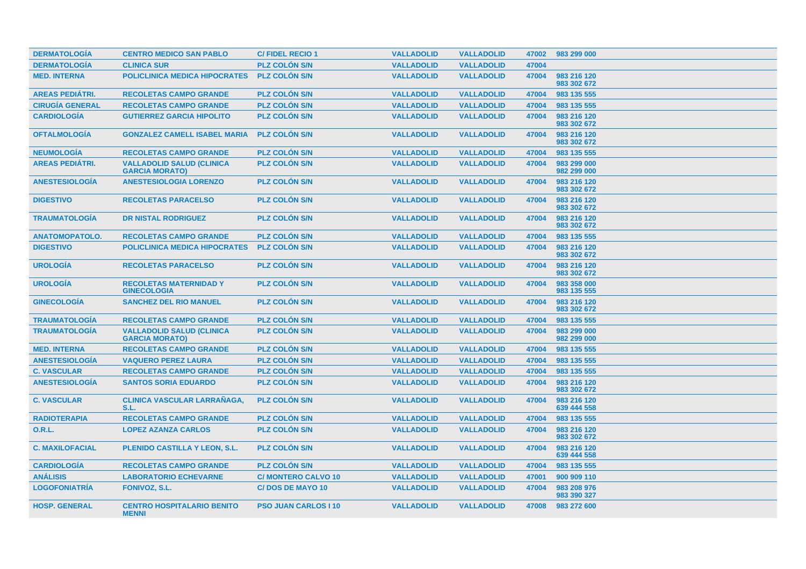| <b>DERMATOLOGÍA</b>    | <b>CENTRO MEDICO SAN PABLO</b>                            | <b>C/FIDEL RECIO1</b>       | <b>VALLADOLID</b> | <b>VALLADOLID</b> | 47002 | 983 299 000                |
|------------------------|-----------------------------------------------------------|-----------------------------|-------------------|-------------------|-------|----------------------------|
| <b>DERMATOLOGÍA</b>    | <b>CLINICA SUR</b>                                        | <b>PLZ COLÓN S/N</b>        | <b>VALLADOLID</b> | <b>VALLADOLID</b> | 47004 |                            |
| <b>MED. INTERNA</b>    | <b>POLICLINICA MEDICA HIPOCRATES</b>                      | <b>PLZ COLON S/N</b>        | <b>VALLADOLID</b> | <b>VALLADOLID</b> | 47004 | 983 216 120<br>983 302 672 |
| <b>AREAS PEDIÁTRI.</b> | <b>RECOLETAS CAMPO GRANDE</b>                             | <b>PLZ COLÓN S/N</b>        | <b>VALLADOLID</b> | <b>VALLADOLID</b> | 47004 | 983 135 555                |
| <b>CIRUGÍA GENERAL</b> | <b>RECOLETAS CAMPO GRANDE</b>                             | <b>PLZ COLON S/N</b>        | <b>VALLADOLID</b> | <b>VALLADOLID</b> | 47004 | 983 135 555                |
| <b>CARDIOLOGÍA</b>     | <b>GUTIERREZ GARCIA HIPOLITO</b>                          | <b>PLZ COLÓN S/N</b>        | <b>VALLADOLID</b> | <b>VALLADOLID</b> | 47004 | 983 216 120<br>983 302 672 |
| <b>OFTALMOLOGÍA</b>    | <b>GONZALEZ CAMELL ISABEL MARIA</b>                       | <b>PLZ COLON S/N</b>        | <b>VALLADOLID</b> | <b>VALLADOLID</b> | 47004 | 983 216 120<br>983 302 672 |
| <b>NEUMOLOGÍA</b>      | <b>RECOLETAS CAMPO GRANDE</b>                             | <b>PLZ COLON S/N</b>        | <b>VALLADOLID</b> | <b>VALLADOLID</b> | 47004 | 983 135 555                |
| <b>AREAS PEDIÁTRI.</b> | <b>VALLADOLID SALUD (CLINICA</b><br><b>GARCIA MORATO)</b> | <b>PLZ COLON S/N</b>        | <b>VALLADOLID</b> | <b>VALLADOLID</b> | 47004 | 983 299 000<br>982 299 000 |
| <b>ANESTESIOLOGÍA</b>  | <b>ANESTESIOLOGIA LORENZO</b>                             | <b>PLZ COLON S/N</b>        | <b>VALLADOLID</b> | <b>VALLADOLID</b> | 47004 | 983 216 120<br>983 302 672 |
| <b>DIGESTIVO</b>       | <b>RECOLETAS PARACELSO</b>                                | <b>PLZ COLÓN S/N</b>        | <b>VALLADOLID</b> | <b>VALLADOLID</b> | 47004 | 983 216 120<br>983 302 672 |
| <b>TRAUMATOLOGIA</b>   | <b>DR NISTAL RODRIGUEZ</b>                                | <b>PLZ COLON S/N</b>        | <b>VALLADOLID</b> | <b>VALLADOLID</b> | 47004 | 983 216 120<br>983 302 672 |
| <b>ANATOMOPATOLO.</b>  | <b>RECOLETAS CAMPO GRANDE</b>                             | <b>PLZ COLON S/N</b>        | <b>VALLADOLID</b> | <b>VALLADOLID</b> | 47004 | 983 135 555                |
| <b>DIGESTIVO</b>       | <b>POLICLINICA MEDICA HIPOCRATES</b>                      | <b>PLZ COLON S/N</b>        | <b>VALLADOLID</b> | <b>VALLADOLID</b> | 47004 | 983 216 120<br>983 302 672 |
| <b>UROLOGÍA</b>        | <b>RECOLETAS PARACELSO</b>                                | <b>PLZ COLON S/N</b>        | <b>VALLADOLID</b> | <b>VALLADOLID</b> | 47004 | 983 216 120<br>983 302 672 |
| <b>UROLOGÍA</b>        | <b>RECOLETAS MATERNIDAD Y</b><br><b>GINECOLOGIA</b>       | <b>PLZ COLON S/N</b>        | <b>VALLADOLID</b> | <b>VALLADOLID</b> | 47004 | 983 358 000<br>983 135 555 |
| <b>GINECOLOGIA</b>     | <b>SANCHEZ DEL RIO MANUEL</b>                             | <b>PLZ COLON S/N</b>        | <b>VALLADOLID</b> | <b>VALLADOLID</b> | 47004 | 983 216 120<br>983 302 672 |
| <b>TRAUMATOLOGÍA</b>   | <b>RECOLETAS CAMPO GRANDE</b>                             | <b>PLZ COLON S/N</b>        | <b>VALLADOLID</b> | <b>VALLADOLID</b> | 47004 | 983 135 555                |
| <b>TRAUMATOLOGÍA</b>   | <b>VALLADOLID SALUD (CLINICA</b><br><b>GARCIA MORATO)</b> | <b>PLZ COLON S/N</b>        | <b>VALLADOLID</b> | <b>VALLADOLID</b> | 47004 | 983 299 000<br>982 299 000 |
| <b>MED. INTERNA</b>    | <b>RECOLETAS CAMPO GRANDE</b>                             | <b>PLZ COLON S/N</b>        | <b>VALLADOLID</b> | <b>VALLADOLID</b> | 47004 | 983 135 555                |
| <b>ANESTESIOLOGÍA</b>  | <b>VAQUERO PEREZ LAURA</b>                                | <b>PLZ COLÓN S/N</b>        | <b>VALLADOLID</b> | <b>VALLADOLID</b> | 47004 | 983 135 555                |
| <b>C. VASCULAR</b>     | <b>RECOLETAS CAMPO GRANDE</b>                             | <b>PLZ COLON S/N</b>        | <b>VALLADOLID</b> | <b>VALLADOLID</b> | 47004 | 983 135 555                |
| <b>ANESTESIOLOGÍA</b>  | <b>SANTOS SORIA EDUARDO</b>                               | <b>PLZ COLON S/N</b>        | <b>VALLADOLID</b> | <b>VALLADOLID</b> | 47004 | 983 216 120<br>983 302 672 |
| <b>C. VASCULAR</b>     | <b>CLINICA VASCULAR LARRAÑAGA.</b><br>S.L.                | <b>PLZ COLON S/N</b>        | <b>VALLADOLID</b> | <b>VALLADOLID</b> | 47004 | 983 216 120<br>639 444 558 |
| <b>RADIOTERAPIA</b>    | <b>RECOLETAS CAMPO GRANDE</b>                             | <b>PLZ COLON S/N</b>        | <b>VALLADOLID</b> | <b>VALLADOLID</b> | 47004 | 983 135 555                |
| <b>O.R.L.</b>          | <b>LOPEZ AZANZA CARLOS</b>                                | <b>PLZ COLON S/N</b>        | <b>VALLADOLID</b> | <b>VALLADOLID</b> | 47004 | 983 216 120<br>983 302 672 |
| <b>C. MAXILOFACIAL</b> | PLENIDO CASTILLA Y LEON, S.L.                             | <b>PLZ COLON S/N</b>        | <b>VALLADOLID</b> | <b>VALLADOLID</b> | 47004 | 983 216 120<br>639 444 558 |
| <b>CARDIOLOGIA</b>     | <b>RECOLETAS CAMPO GRANDE</b>                             | <b>PLZ COLON S/N</b>        | <b>VALLADOLID</b> | <b>VALLADOLID</b> | 47004 | 983 135 555                |
| <b>ANÁLISIS</b>        | <b>LABORATORIO ECHEVARNE</b>                              | <b>C/ MONTERO CALVO 10</b>  | <b>VALLADOLID</b> | <b>VALLADOLID</b> | 47001 | 900 909 110                |
| <b>LOGOFONIATRÍA</b>   | <b>FONIVOZ, S.L.</b>                                      | <b>C/DOS DE MAYO 10</b>     | <b>VALLADOLID</b> | <b>VALLADOLID</b> | 47004 | 983 208 976<br>983 390 327 |
| <b>HOSP. GENERAL</b>   | <b>CENTRO HOSPITALARIO BENITO</b><br><b>MENNI</b>         | <b>PSO JUAN CARLOS I 10</b> | <b>VALLADOLID</b> | <b>VALLADOLID</b> | 47008 | 983 272 600                |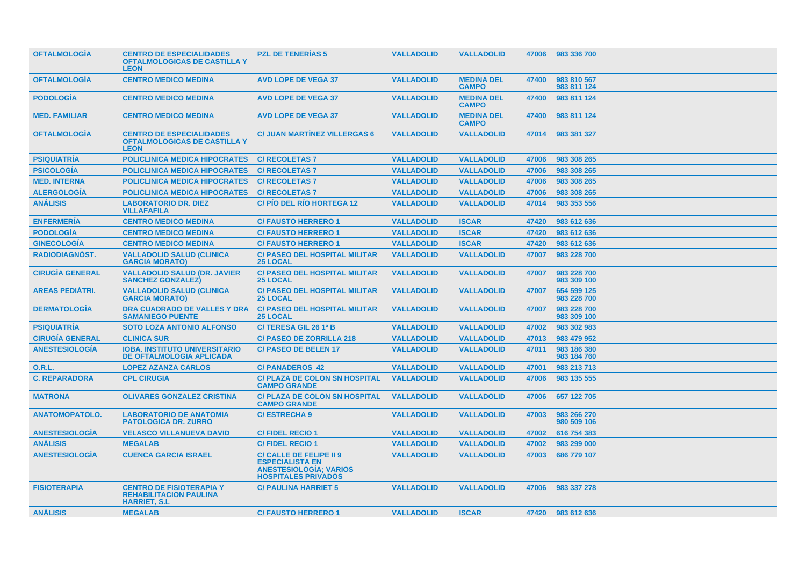| <b>OFTALMOLOGIA</b>    | <b>CENTRO DE ESPECIALIDADES</b><br><b>OFTALMOLOGICAS DE CASTILLA Y</b><br><b>LEON</b>    | <b>PZL DE TENERIAS 5</b>                                                                                                | <b>VALLADOLID</b> | <b>VALLADOLID</b>                 | 47006 | 983 336 700                |  |
|------------------------|------------------------------------------------------------------------------------------|-------------------------------------------------------------------------------------------------------------------------|-------------------|-----------------------------------|-------|----------------------------|--|
| <b>OFTALMOLOGIA</b>    | <b>CENTRO MEDICO MEDINA</b>                                                              | <b>AVD LOPE DE VEGA 37</b>                                                                                              | <b>VALLADOLID</b> | <b>MEDINA DEL</b><br><b>CAMPO</b> | 47400 | 983 810 567<br>983 811 124 |  |
| <b>PODOLOGÍA</b>       | <b>CENTRO MEDICO MEDINA</b>                                                              | <b>AVD LOPE DE VEGA 37</b>                                                                                              | <b>VALLADOLID</b> | <b>MEDINA DEL</b><br><b>CAMPO</b> | 47400 | 983 811 124                |  |
| <b>MED. FAMILIAR</b>   | <b>CENTRO MEDICO MEDINA</b>                                                              | <b>AVD LOPE DE VEGA 37</b>                                                                                              | <b>VALLADOLID</b> | <b>MEDINA DEL</b><br><b>CAMPO</b> | 47400 | 983 811 124                |  |
| <b>OFTALMOLOGIA</b>    | <b>CENTRO DE ESPECIALIDADES</b><br><b>OFTALMOLOGICAS DE CASTILLA Y</b><br><b>LEON</b>    | <b>C/ JUAN MARTINEZ VILLERGAS 6</b>                                                                                     | <b>VALLADOLID</b> | <b>VALLADOLID</b>                 | 47014 | 983 381 327                |  |
| <b>PSIQUIATRÍA</b>     | <b>POLICLINICA MEDICA HIPOCRATES</b>                                                     | <b>C/ RECOLETAS 7</b>                                                                                                   | <b>VALLADOLID</b> | <b>VALLADOLID</b>                 | 47006 | 983 308 265                |  |
| <b>PSICOLOGÍA</b>      | <b>POLICLINICA MEDICA HIPOCRATES</b>                                                     | <b>C/ RECOLETAS 7</b>                                                                                                   | <b>VALLADOLID</b> | <b>VALLADOLID</b>                 | 47006 | 983 308 265                |  |
| <b>MED. INTERNA</b>    | <b>POLICLINICA MEDICA HIPOCRATES</b>                                                     | <b>C/ RECOLETAS 7</b>                                                                                                   | <b>VALLADOLID</b> | <b>VALLADOLID</b>                 | 47006 | 983 308 265                |  |
| <b>ALERGOLOGIA</b>     | <b>POLICLINICA MEDICA HIPOCRATES</b>                                                     | <b>C/ RECOLETAS 7</b>                                                                                                   | <b>VALLADOLID</b> | <b>VALLADOLID</b>                 | 47006 | 983 308 265                |  |
| <b>ANÁLISIS</b>        | <b>LABORATORIO DR. DIEZ</b><br><b>VILLAFAFILA</b>                                        | <b>C/PIO DEL RIO HORTEGA 12</b>                                                                                         | <b>VALLADOLID</b> | <b>VALLADOLID</b>                 | 47014 | 983 353 556                |  |
| <b>ENFERMERÍA</b>      | <b>CENTRO MEDICO MEDINA</b>                                                              | <b>C/FAUSTO HERRERO 1</b>                                                                                               | <b>VALLADOLID</b> | <b>ISCAR</b>                      | 47420 | 983 612 636                |  |
| <b>PODOLOGÍA</b>       | <b>CENTRO MEDICO MEDINA</b>                                                              | <b>C/FAUSTO HERRERO 1</b>                                                                                               | <b>VALLADOLID</b> | <b>ISCAR</b>                      | 47420 | 983 612 636                |  |
| <b>GINECOLOGÍA</b>     | <b>CENTRO MEDICO MEDINA</b>                                                              | <b>C/FAUSTO HERRERO 1</b>                                                                                               | <b>VALLADOLID</b> | <b>ISCAR</b>                      | 47420 | 983 612 636                |  |
| <b>RADIODIAGNÓST.</b>  | <b>VALLADOLID SALUD (CLINICA</b><br><b>GARCIA MORATO)</b>                                | <b>C/ PASEO DEL HOSPITAL MILITAR</b><br><b>25 LOCAL</b>                                                                 | <b>VALLADOLID</b> | <b>VALLADOLID</b>                 | 47007 | 983 228 700                |  |
| <b>CIRUGIA GENERAL</b> | <b>VALLADOLID SALUD (DR. JAVIER</b><br><b>SANCHEZ GONZALEZ)</b>                          | <b>C/ PASEO DEL HOSPITAL MILITAR</b><br><b>25 LOCAL</b>                                                                 | <b>VALLADOLID</b> | <b>VALLADOLID</b>                 | 47007 | 983 228 700<br>983 309 100 |  |
| <b>AREAS PEDIATRI.</b> | <b>VALLADOLID SALUD (CLINICA)</b><br><b>GARCIA MORATO)</b>                               | <b>C/ PASEO DEL HOSPITAL MILITAR</b><br><b>25 LOCAL</b>                                                                 | <b>VALLADOLID</b> | <b>VALLADOLID</b>                 | 47007 | 654 599 125<br>983 228 700 |  |
| <b>DERMATOLOGIA</b>    | DRA CUADRADO DE VALLES Y DRA<br><b>SAMANIEGO PUENTE</b>                                  | <b>C/ PASEO DEL HOSPITAL MILITAR</b><br><b>25 LOCAL</b>                                                                 | <b>VALLADOLID</b> | <b>VALLADOLID</b>                 | 47007 | 983 228 700<br>983 309 100 |  |
| <b>PSIQUIATRÍA</b>     | <b>SOTO LOZA ANTONIO ALFONSO</b>                                                         | C/TERESA GIL 26 1º B                                                                                                    | <b>VALLADOLID</b> | <b>VALLADOLID</b>                 | 47002 | 983 302 983                |  |
| <b>CIRUGIA GENERAL</b> | <b>CLINICA SUR</b>                                                                       | <b>C/ PASEO DE ZORRILLA 218</b>                                                                                         | <b>VALLADOLID</b> | <b>VALLADOLID</b>                 | 47013 | 983 479 952                |  |
| <b>ANESTESIOLOGÍA</b>  | <b>IOBA. INSTITUTO UNIVERSITARIO</b><br><b>DE OFTALMOLOGIA APLICADA</b>                  | <b>C/PASEO DE BELEN 17</b>                                                                                              | <b>VALLADOLID</b> | <b>VALLADOLID</b>                 | 47011 | 983 186 380<br>983 184 760 |  |
| 0.R.L.                 | <b>LOPEZ AZANZA CARLOS</b>                                                               | <b>C/ PANADEROS 42</b>                                                                                                  | <b>VALLADOLID</b> | <b>VALLADOLID</b>                 | 47001 | 983 213 713                |  |
| <b>C. REPARADORA</b>   | <b>CPL CIRUGIA</b>                                                                       | <b>C/ PLAZA DE COLON SN HOSPITAL</b><br><b>CAMPO GRANDE</b>                                                             | <b>VALLADOLID</b> | <b>VALLADOLID</b>                 | 47006 | 983 135 555                |  |
| <b>MATRONA</b>         | <b>OLIVARES GONZALEZ CRISTINA</b>                                                        | <b>C/ PLAZA DE COLON SN HOSPITAL</b><br><b>CAMPO GRANDE</b>                                                             | <b>VALLADOLID</b> | <b>VALLADOLID</b>                 | 47006 | 657 122 705                |  |
| <b>ANATOMOPATOLO.</b>  | <b>LABORATORIO DE ANATOMIA</b><br><b>PATOLOGICA DR. ZURRO</b>                            | <b>C/ESTRECHA 9</b>                                                                                                     | <b>VALLADOLID</b> | <b>VALLADOLID</b>                 | 47003 | 983 266 270<br>980 509 106 |  |
| <b>ANESTESIOLOGIA</b>  | <b>VELASCO VILLANUEVA DAVID</b>                                                          | <b>C/FIDEL RECIO1</b>                                                                                                   | <b>VALLADOLID</b> | <b>VALLADOLID</b>                 | 47002 | 616 754 383                |  |
| <b>ANÁLISIS</b>        | <b>MEGALAB</b>                                                                           | <b>C/FIDEL RECIO1</b>                                                                                                   | <b>VALLADOLID</b> | <b>VALLADOLID</b>                 | 47002 | 983 299 000                |  |
| <b>ANESTESIOLOGIA</b>  | <b>CUENCA GARCIA ISRAEL</b>                                                              | <b>C/ CALLE DE FELIPE II 9</b><br><b>ESPECIALISTA EN</b><br><b>ANESTESIOLOGÍA; VARIOS</b><br><b>HOSPITALES PRIVADOS</b> | <b>VALLADOLID</b> | <b>VALLADOLID</b>                 | 47003 | 686 779 107                |  |
| <b>FISIOTERAPIA</b>    | <b>CENTRO DE FISIOTERAPIA Y</b><br><b>REHABILITACION PAULINA</b><br><b>HARRIET, S.L.</b> | <b>C/ PAULINA HARRIET 5</b>                                                                                             | <b>VALLADOLID</b> | <b>VALLADOLID</b>                 | 47006 | 983 337 278                |  |
| <b>ANÁLISIS</b>        | <b>MEGALAB</b>                                                                           | <b>C/FAUSTO HERRERO 1</b>                                                                                               | <b>VALLADOLID</b> | <b>ISCAR</b>                      |       | 47420 983 612 636          |  |
|                        |                                                                                          |                                                                                                                         |                   |                                   |       |                            |  |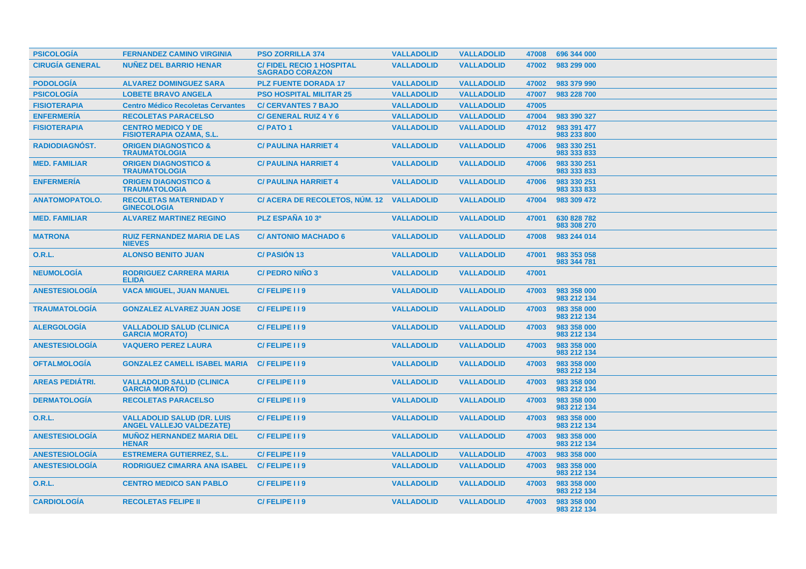| <b>PSICOLOGIA</b>      | <b>FERNANDEZ CAMINO VIRGINIA</b>                                     | <b>PSO ZORRILLA 374</b>                                   | <b>VALLADOLID</b> | <b>VALLADOLID</b> | 47008 | 696 344 000                |
|------------------------|----------------------------------------------------------------------|-----------------------------------------------------------|-------------------|-------------------|-------|----------------------------|
| <b>CIRUGÍA GENERAL</b> | <b>NUÑEZ DEL BARRIO HENAR</b>                                        | <b>C/FIDEL RECIO 1 HOSPITAL</b><br><b>SAGRADO CORAZON</b> | <b>VALLADOLID</b> | <b>VALLADOLID</b> | 47002 | 983 299 000                |
| <b>PODOLOGÍA</b>       | <b>ALVAREZ DOMINGUEZ SARA</b>                                        | <b>PLZ FUENTE DORADA 17</b>                               | <b>VALLADOLID</b> | <b>VALLADOLID</b> | 47002 | 983 379 990                |
| <b>PSICOLOGÍA</b>      | <b>LOBETE BRAVO ANGELA</b>                                           | <b>PSO HOSPITAL MILITAR 25</b>                            | <b>VALLADOLID</b> | <b>VALLADOLID</b> | 47007 | 983 228 700                |
| <b>FISIOTERAPIA</b>    | <b>Centro Médico Recoletas Cervantes</b>                             | <b>C/ CERVANTES 7 BAJO</b>                                | <b>VALLADOLID</b> | <b>VALLADOLID</b> | 47005 |                            |
| <b>ENFERMERÍA</b>      | <b>RECOLETAS PARACELSO</b>                                           | C/ GENERAL RUIZ 4 Y 6                                     | <b>VALLADOLID</b> | <b>VALLADOLID</b> | 47004 | 983 390 327                |
| <b>FISIOTERAPIA</b>    | <b>CENTRO MEDICO Y DE</b><br><b>FISIOTERAPIA OZAMA, S.L.</b>         | <b>C/PATO1</b>                                            | <b>VALLADOLID</b> | <b>VALLADOLID</b> | 47012 | 983 391 477<br>983 233 800 |
| <b>RADIODIAGNÓST.</b>  | <b>ORIGEN DIAGNOSTICO &amp;</b><br><b>TRAUMATOLOGIA</b>              | <b>C/ PAULINA HARRIET 4</b>                               | <b>VALLADOLID</b> | <b>VALLADOLID</b> | 47006 | 983 330 251<br>983 333 833 |
| <b>MED. FAMILIAR</b>   | <b>ORIGEN DIAGNOSTICO &amp;</b><br><b>TRAUMATOLOGIA</b>              | <b>C/ PAULINA HARRIET 4</b>                               | <b>VALLADOLID</b> | <b>VALLADOLID</b> | 47006 | 983 330 251<br>983 333 833 |
| <b>ENFERMERÍA</b>      | <b>ORIGEN DIAGNOSTICO &amp;</b><br><b>TRAUMATOLOGIA</b>              | <b>C/ PAULINA HARRIET 4</b>                               | <b>VALLADOLID</b> | <b>VALLADOLID</b> | 47006 | 983 330 251<br>983 333 833 |
| <b>ANATOMOPATOLO.</b>  | <b>RECOLETAS MATERNIDAD Y</b><br><b>GINECOLOGIA</b>                  | C/ ACERA DE RECOLETOS, NUM. 12                            | <b>VALLADOLID</b> | <b>VALLADOLID</b> | 47004 | 983 309 472                |
| <b>MED. FAMILIAR</b>   | <b>ALVAREZ MARTINEZ REGINO</b>                                       | PLZ ESPAÑA 10 3º                                          | <b>VALLADOLID</b> | <b>VALLADOLID</b> | 47001 | 630 828 782<br>983 308 270 |
| <b>MATRONA</b>         | <b>RUIZ FERNANDEZ MARIA DE LAS</b><br><b>NIEVES</b>                  | <b>C/ ANTONIO MACHADO 6</b>                               | <b>VALLADOLID</b> | <b>VALLADOLID</b> | 47008 | 983 244 014                |
| 0.R.L.                 | <b>ALONSO BENITO JUAN</b>                                            | <b>C/PASIÓN 13</b>                                        | <b>VALLADOLID</b> | <b>VALLADOLID</b> | 47001 | 983 353 058<br>983 344 781 |
| <b>NEUMOLOGÍA</b>      | <b>RODRIGUEZ CARRERA MARIA</b><br><b>ELIDA</b>                       | <b>C/ PEDRO NIÑO 3</b>                                    | <b>VALLADOLID</b> | <b>VALLADOLID</b> | 47001 |                            |
| <b>ANESTESIOLOGÍA</b>  | <b>VACA MIGUEL, JUAN MANUEL</b>                                      | C/FELIPE I I 9                                            | <b>VALLADOLID</b> | <b>VALLADOLID</b> | 47003 | 983 358 000<br>983 212 134 |
| <b>TRAUMATOLOGIA</b>   | <b>GONZALEZ ALVAREZ JUAN JOSE</b>                                    | C/FELIPE II9                                              | <b>VALLADOLID</b> | <b>VALLADOLID</b> | 47003 | 983 358 000<br>983 212 134 |
| <b>ALERGOLOGÍA</b>     | <b>VALLADOLID SALUD (CLINICA)</b><br><b>GARCIA MORATO)</b>           | C/FELIPE I I 9                                            | <b>VALLADOLID</b> | <b>VALLADOLID</b> | 47003 | 983 358 000<br>983 212 134 |
| <b>ANESTESIOLOGÍA</b>  | <b>VAQUERO PEREZ LAURA</b>                                           | C/FELIPE I I 9                                            | <b>VALLADOLID</b> | <b>VALLADOLID</b> | 47003 | 983 358 000<br>983 212 134 |
| <b>OFTALMOLOGIA</b>    | <b>GONZALEZ CAMELL ISABEL MARIA</b>                                  | C/FELIPE I 19                                             | <b>VALLADOLID</b> | <b>VALLADOLID</b> | 47003 | 983 358 000<br>983 212 134 |
| <b>AREAS PEDIÁTRI.</b> | <b>VALLADOLID SALUD (CLINICA)</b><br><b>GARCIA MORATO)</b>           | C/FELIPE 119                                              | <b>VALLADOLID</b> | <b>VALLADOLID</b> | 47003 | 983 358 000<br>983 212 134 |
| <b>DERMATOLOGIA</b>    | <b>RECOLETAS PARACELSO</b>                                           | C/FELIPE I I 9                                            | <b>VALLADOLID</b> | <b>VALLADOLID</b> | 47003 | 983 358 000<br>983 212 134 |
| <b>O.R.L.</b>          | <b>VALLADOLID SALUD (DR. LUIS</b><br><b>ANGEL VALLEJO VALDEZATE)</b> | C/FELIPE II9                                              | <b>VALLADOLID</b> | <b>VALLADOLID</b> | 47003 | 983 358 000<br>983 212 134 |
| <b>ANESTESIOLOGIA</b>  | <b>MUNOZ HERNANDEZ MARIA DEL</b><br><b>HENAR</b>                     | C/FELIPE 119                                              | <b>VALLADOLID</b> | <b>VALLADOLID</b> | 47003 | 983 358 000<br>983 212 134 |
| <b>ANESTESIOLOGÍA</b>  | <b>ESTREMERA GUTIERREZ, S.L.</b>                                     | C/FELIPE I I 9                                            | <b>VALLADOLID</b> | <b>VALLADOLID</b> | 47003 | 983 358 000                |
| <b>ANESTESIOLOGÍA</b>  | <b>RODRIGUEZ CIMARRA ANA ISABEL</b>                                  | C/FELIPE 119                                              | <b>VALLADOLID</b> | <b>VALLADOLID</b> | 47003 | 983 358 000<br>983 212 134 |
| 0.R.L.                 | <b>CENTRO MEDICO SAN PABLO</b>                                       | C/FELIPE II9                                              | <b>VALLADOLID</b> | <b>VALLADOLID</b> | 47003 | 983 358 000<br>983 212 134 |
| <b>CARDIOLOGIA</b>     | <b>RECOLETAS FELIPE II</b>                                           | C/FELIPE II9                                              | <b>VALLADOLID</b> | <b>VALLADOLID</b> | 47003 | 983 358 000<br>983 212 134 |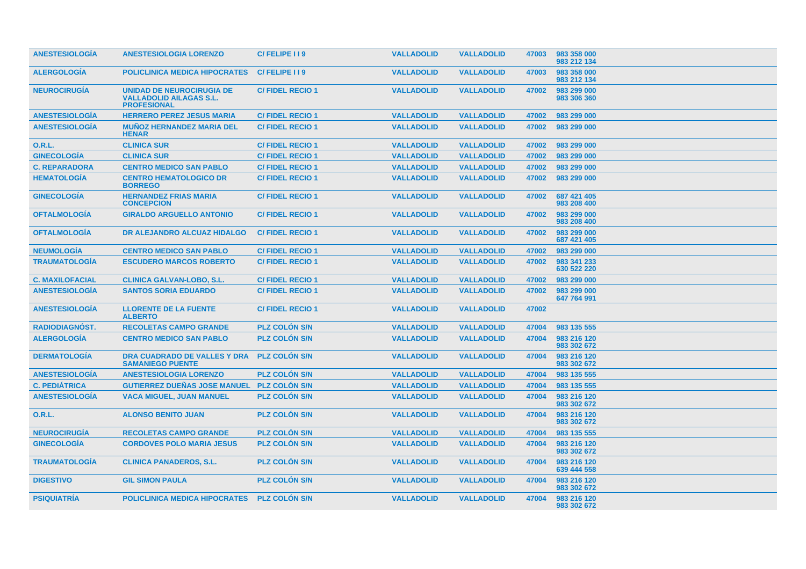| <b>ANESTESIOLOGÍA</b>  | <b>ANESTESIOLOGIA LORENZO</b>                                                            | C/FELIPE II9           | <b>VALLADOLID</b> | <b>VALLADOLID</b> | 47003 | 983 358 000<br>983 212 134 |
|------------------------|------------------------------------------------------------------------------------------|------------------------|-------------------|-------------------|-------|----------------------------|
| <b>ALERGOLOGÍA</b>     | <b>POLICLINICA MEDICA HIPOCRATES</b>                                                     | C/FELIPE I I 9         | <b>VALLADOLID</b> | <b>VALLADOLID</b> | 47003 | 983 358 000<br>983 212 134 |
| <b>NEUROCIRUGIA</b>    | <b>UNIDAD DE NEUROCIRUGIA DE</b><br><b>VALLADOLID AILAGAS S.L.</b><br><b>PROFESIONAL</b> | <b>C/FIDEL RECIO1</b>  | <b>VALLADOLID</b> | <b>VALLADOLID</b> | 47002 | 983 299 000<br>983 306 360 |
| <b>ANESTESIOLOGÍA</b>  | <b>HERRERO PEREZ JESUS MARIA</b>                                                         | <b>C/FIDEL RECIO1</b>  | <b>VALLADOLID</b> | <b>VALLADOLID</b> | 47002 | 983 299 000                |
| <b>ANESTESIOLOGÍA</b>  | <b>MUÑOZ HERNANDEZ MARIA DEL</b><br><b>HENAR</b>                                         | <b>C/FIDEL RECIO1</b>  | <b>VALLADOLID</b> | <b>VALLADOLID</b> | 47002 | 983 299 000                |
| 0.R.L.                 | <b>CLINICA SUR</b>                                                                       | <b>C/FIDEL RECIO1</b>  | <b>VALLADOLID</b> | <b>VALLADOLID</b> | 47002 | 983 299 000                |
| <b>GINECOLOGÍA</b>     | <b>CLINICA SUR</b>                                                                       | <b>C/FIDEL RECIO1</b>  | <b>VALLADOLID</b> | <b>VALLADOLID</b> | 47002 | 983 299 000                |
| <b>C. REPARADORA</b>   | <b>CENTRO MEDICO SAN PABLO</b>                                                           | <b>C/FIDEL RECIO1</b>  | <b>VALLADOLID</b> | <b>VALLADOLID</b> | 47002 | 983 299 000                |
| <b>HEMATOLOGIA</b>     | <b>CENTRO HEMATOLOGICO DR</b><br><b>BORREGO</b>                                          | <b>C/FIDEL RECIO1</b>  | <b>VALLADOLID</b> | <b>VALLADOLID</b> | 47002 | 983 299 000                |
| <b>GINECOLOGIA</b>     | <b>HERNANDEZ FRIAS MARIA</b><br><b>CONCEPCION</b>                                        | <b>C/FIDEL RECIO1</b>  | <b>VALLADOLID</b> | <b>VALLADOLID</b> | 47002 | 687 421 405<br>983 208 400 |
| <b>OFTALMOLOGIA</b>    | <b>GIRALDO ARGUELLO ANTONIO</b>                                                          | <b>C/FIDEL RECIO 1</b> | <b>VALLADOLID</b> | <b>VALLADOLID</b> | 47002 | 983 299 000<br>983 208 400 |
| <b>OFTALMOLOGÍA</b>    | <b>DR ALEJANDRO ALCUAZ HIDALGO</b>                                                       | <b>C/FIDEL RECIO 1</b> | <b>VALLADOLID</b> | <b>VALLADOLID</b> | 47002 | 983 299 000<br>687 421 405 |
| <b>NEUMOLOGIA</b>      | <b>CENTRO MEDICO SAN PABLO</b>                                                           | <b>C/FIDEL RECIO1</b>  | <b>VALLADOLID</b> | <b>VALLADOLID</b> | 47002 | 983 299 000                |
| <b>TRAUMATOLOGIA</b>   | <b>ESCUDERO MARCOS ROBERTO</b>                                                           | <b>C/FIDEL RECIO1</b>  | <b>VALLADOLID</b> | <b>VALLADOLID</b> | 47002 | 983 341 233<br>630 522 220 |
| <b>C. MAXILOFACIAL</b> | <b>CLINICA GALVAN-LOBO, S.L.</b>                                                         | <b>C/FIDEL RECIO1</b>  | <b>VALLADOLID</b> | <b>VALLADOLID</b> | 47002 | 983 299 000                |
| <b>ANESTESIOLOGÍA</b>  | <b>SANTOS SORIA EDUARDO</b>                                                              | <b>C/FIDEL RECIO1</b>  | <b>VALLADOLID</b> | <b>VALLADOLID</b> | 47002 | 983 299 000<br>647 764 991 |
| <b>ANESTESIOLOGÍA</b>  | <b>LLORENTE DE LA FUENTE</b><br><b>ALBERTO</b>                                           | <b>C/FIDEL RECIO 1</b> | <b>VALLADOLID</b> | <b>VALLADOLID</b> | 47002 |                            |
| <b>RADIODIAGNOST.</b>  | <b>RECOLETAS CAMPO GRANDE</b>                                                            | <b>PLZ COLON S/N</b>   | <b>VALLADOLID</b> | <b>VALLADOLID</b> | 47004 | 983 135 555                |
| <b>ALERGOLOGIA</b>     | <b>CENTRO MEDICO SAN PABLO</b>                                                           | <b>PLZ COLON S/N</b>   | <b>VALLADOLID</b> | <b>VALLADOLID</b> | 47004 | 983 216 120<br>983 302 672 |
| <b>DERMATOLOGIA</b>    | DRA CUADRADO DE VALLES Y DRA<br><b>SAMANIEGO PUENTE</b>                                  | <b>PLZ COLON S/N</b>   | <b>VALLADOLID</b> | <b>VALLADOLID</b> | 47004 | 983 216 120<br>983 302 672 |
| <b>ANESTESIOLOGIA</b>  | <b>ANESTESIOLOGIA LORENZO</b>                                                            | <b>PLZ COLON S/N</b>   | <b>VALLADOLID</b> | <b>VALLADOLID</b> | 47004 | 983 135 555                |
| <b>C. PEDIÁTRICA</b>   | GUTIERREZ DUEÑAS JOSE MANUEL PLZ COLÓN S/N                                               |                        | <b>VALLADOLID</b> | <b>VALLADOLID</b> | 47004 | 983 135 555                |
| <b>ANESTESIOLOGÍA</b>  | <b>VACA MIGUEL, JUAN MANUEL</b>                                                          | <b>PLZ COLON S/N</b>   | <b>VALLADOLID</b> | <b>VALLADOLID</b> | 47004 | 983 216 120<br>983 302 672 |
| 0.R.L.                 | <b>ALONSO BENITO JUAN</b>                                                                | <b>PLZ COLON S/N</b>   | <b>VALLADOLID</b> | <b>VALLADOLID</b> | 47004 | 983 216 120<br>983 302 672 |
| <b>NEUROCIRUGÍA</b>    | <b>RECOLETAS CAMPO GRANDE</b>                                                            | <b>PLZ COLON S/N</b>   | <b>VALLADOLID</b> | <b>VALLADOLID</b> | 47004 | 983 135 555                |
| <b>GINECOLOGÍA</b>     | <b>CORDOVES POLO MARIA JESUS</b>                                                         | <b>PLZ COLÓN S/N</b>   | <b>VALLADOLID</b> | <b>VALLADOLID</b> | 47004 | 983 216 120<br>983 302 672 |
| <b>TRAUMATOLOGIA</b>   | <b>CLINICA PANADEROS, S.L.</b>                                                           | <b>PLZ COLON S/N</b>   | <b>VALLADOLID</b> | <b>VALLADOLID</b> | 47004 | 983 216 120<br>639 444 558 |
| <b>DIGESTIVO</b>       | <b>GIL SIMON PAULA</b>                                                                   | <b>PLZ COLON S/N</b>   | <b>VALLADOLID</b> | <b>VALLADOLID</b> | 47004 | 983 216 120<br>983 302 672 |
| <b>PSIQUIATRIA</b>     | <b>POLICLINICA MEDICA HIPOCRATES</b>                                                     | <b>PLZ COLON S/N</b>   | <b>VALLADOLID</b> | <b>VALLADOLID</b> | 47004 | 983 216 120<br>983 302 672 |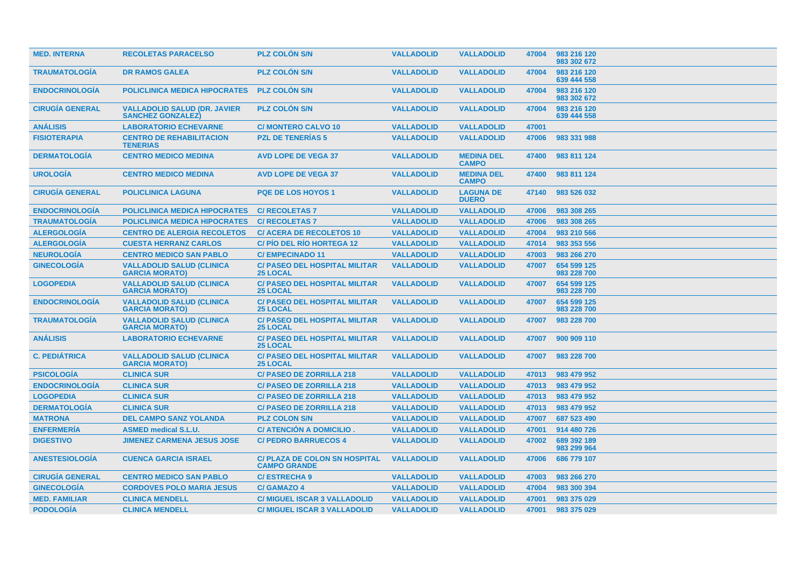| <b>MED. INTERNA</b>    | <b>RECOLETAS PARACELSO</b>                                       | <b>PLZ COLON S/N</b>                                        | <b>VALLADOLID</b> | <b>VALLADOLID</b>                 | 47004 | 983 216 120<br>983 302 672 |
|------------------------|------------------------------------------------------------------|-------------------------------------------------------------|-------------------|-----------------------------------|-------|----------------------------|
| <b>TRAUMATOLOGÍA</b>   | <b>DR RAMOS GALEA</b>                                            | <b>PLZ COLON S/N</b>                                        | <b>VALLADOLID</b> | <b>VALLADOLID</b>                 | 47004 | 983 216 120<br>639 444 558 |
| <b>ENDOCRINOLOGÍA</b>  | <b>POLICLINICA MEDICA HIPOCRATES</b>                             | <b>PLZ COLON S/N</b>                                        | <b>VALLADOLID</b> | <b>VALLADOLID</b>                 | 47004 | 983 216 120<br>983 302 672 |
| <b>CIRUGÍA GENERAL</b> | <b>VALLADOLID SALUD (DR. JAVIER)</b><br><b>SANCHEZ GONZALEZ)</b> | <b>PLZ COLON S/N</b>                                        | <b>VALLADOLID</b> | <b>VALLADOLID</b>                 | 47004 | 983 216 120<br>639 444 558 |
| <b>ANÁLISIS</b>        | <b>LABORATORIO ECHEVARNE</b>                                     | <b>C/ MONTERO CALVO 10</b>                                  | <b>VALLADOLID</b> | <b>VALLADOLID</b>                 | 47001 |                            |
| <b>FISIOTERAPIA</b>    | <b>CENTRO DE REHABILITACION</b><br><b>TENERIAS</b>               | <b>PZL DE TENERIAS 5</b>                                    | <b>VALLADOLID</b> | <b>VALLADOLID</b>                 | 47006 | 983 331 988                |
| <b>DERMATOLOGÍA</b>    | <b>CENTRO MEDICO MEDINA</b>                                      | <b>AVD LOPE DE VEGA 37</b>                                  | <b>VALLADOLID</b> | <b>MEDINA DEL</b><br><b>CAMPO</b> | 47400 | 983 811 124                |
| <b>UROLOGIA</b>        | <b>CENTRO MEDICO MEDINA</b>                                      | <b>AVD LOPE DE VEGA 37</b>                                  | <b>VALLADOLID</b> | <b>MEDINA DEL</b><br><b>CAMPO</b> | 47400 | 983 811 124                |
| <b>CIRUGÍA GENERAL</b> | <b>POLICLINICA LAGUNA</b>                                        | <b>PQE DE LOS HOYOS 1</b>                                   | <b>VALLADOLID</b> | <b>LAGUNA DE</b><br><b>DUERO</b>  | 47140 | 983 526 032                |
| <b>ENDOCRINOLOGIA</b>  | <b>POLICLINICA MEDICA HIPOCRATES</b>                             | <b>C/ RECOLETAS 7</b>                                       | <b>VALLADOLID</b> | <b>VALLADOLID</b>                 | 47006 | 983 308 265                |
| <b>TRAUMATOLOGÍA</b>   | <b>POLICLINICA MEDICA HIPOCRATES</b>                             | <b>C/ RECOLETAS 7</b>                                       | <b>VALLADOLID</b> | <b>VALLADOLID</b>                 | 47006 | 983 308 265                |
| <b>ALERGOLOGÍA</b>     | <b>CENTRO DE ALERGIA RECOLETOS</b>                               | <b>C/ ACERA DE RECOLETOS 10</b>                             | <b>VALLADOLID</b> | <b>VALLADOLID</b>                 | 47004 | 983 210 566                |
| <b>ALERGOLOGIA</b>     | <b>CUESTA HERRANZ CARLOS</b>                                     | <b>C/PIO DEL RIO HORTEGA 12</b>                             | <b>VALLADOLID</b> | <b>VALLADOLID</b>                 | 47014 | 983 353 556                |
| <b>NEUROLOGÍA</b>      | <b>CENTRO MEDICO SAN PABLO</b>                                   | <b>C/EMPECINADO 11</b>                                      | <b>VALLADOLID</b> | <b>VALLADOLID</b>                 | 47003 | 983 266 270                |
| <b>GINECOLOGIA</b>     | <b>VALLADOLID SALUD (CLINICA</b><br><b>GARCIA MORATO)</b>        | <b>C/ PASEO DEL HOSPITAL MILITAR</b><br><b>25 LOCAL</b>     | <b>VALLADOLID</b> | <b>VALLADOLID</b>                 | 47007 | 654 599 125<br>983 228 700 |
| <b>LOGOPEDIA</b>       | <b>VALLADOLID SALUD (CLINICA</b><br><b>GARCIA MORATO)</b>        | <b>C/ PASEO DEL HOSPITAL MILITAR</b><br><b>25 LOCAL</b>     | <b>VALLADOLID</b> | <b>VALLADOLID</b>                 | 47007 | 654 599 125<br>983 228 700 |
| <b>ENDOCRINOLOGIA</b>  | <b>VALLADOLID SALUD (CLINICA</b><br><b>GARCIA MORATO)</b>        | <b>C/ PASEO DEL HOSPITAL MILITAR</b><br><b>25 LOCAL</b>     | <b>VALLADOLID</b> | <b>VALLADOLID</b>                 | 47007 | 654 599 125<br>983 228 700 |
| <b>TRAUMATOLOGIA</b>   | <b>VALLADOLID SALUD (CLINICA</b><br><b>GARCIA MORATO)</b>        | <b>C/ PASEO DEL HOSPITAL MILITAR</b><br><b>25 LOCAL</b>     | <b>VALLADOLID</b> | <b>VALLADOLID</b>                 | 47007 | 983 228 700                |
| <b>ANÁLISIS</b>        | <b>LABORATORIO ECHEVARNE</b>                                     | <b>C/ PASEO DEL HOSPITAL MILITAR</b><br><b>25 LOCAL</b>     | <b>VALLADOLID</b> | <b>VALLADOLID</b>                 | 47007 | 900 909 110                |
| <b>C. PEDIÁTRICA</b>   | <b>VALLADOLID SALUD (CLINICA</b><br><b>GARCIA MORATO)</b>        | <b>C/ PASEO DEL HOSPITAL MILITAR</b><br><b>25 LOCAL</b>     | <b>VALLADOLID</b> | <b>VALLADOLID</b>                 | 47007 | 983 228 700                |
| <b>PSICOLOGÍA</b>      | <b>CLINICA SUR</b>                                               | <b>C/ PASEO DE ZORRILLA 218</b>                             | <b>VALLADOLID</b> | <b>VALLADOLID</b>                 | 47013 | 983 479 952                |
| <b>ENDOCRINOLOGÍA</b>  | <b>CLINICA SUR</b>                                               | <b>C/ PASEO DE ZORRILLA 218</b>                             | <b>VALLADOLID</b> | <b>VALLADOLID</b>                 | 47013 | 983 479 952                |
| <b>LOGOPEDIA</b>       | <b>CLINICA SUR</b>                                               | <b>C/ PASEO DE ZORRILLA 218</b>                             | <b>VALLADOLID</b> | <b>VALLADOLID</b>                 | 47013 | 983 479 952                |
| <b>DERMATOLOGÍA</b>    | <b>CLINICA SUR</b>                                               | <b>C/ PASEO DE ZORRILLA 218</b>                             | <b>VALLADOLID</b> | <b>VALLADOLID</b>                 | 47013 | 983 479 952                |
| <b>MATRONA</b>         | <b>DEL CAMPO SANZ YOLANDA</b>                                    | <b>PLZ COLON S/N</b>                                        | <b>VALLADOLID</b> | <b>VALLADOLID</b>                 | 47007 | 687 523 490                |
| <b>ENFERMERÍA</b>      | <b>ASMED medical S.L.U.</b>                                      | C/ ATENCIÓN A DOMICILIO.                                    | <b>VALLADOLID</b> | <b>VALLADOLID</b>                 | 47001 | 914 480 726                |
| <b>DIGESTIVO</b>       | <b>JIMENEZ CARMENA JESUS JOSE</b>                                | <b>C/ PEDRO BARRUECOS 4</b>                                 | <b>VALLADOLID</b> | <b>VALLADOLID</b>                 | 47002 | 689 392 189<br>983 299 964 |
| <b>ANESTESIOLOGIA</b>  | <b>CUENCA GARCIA ISRAEL</b>                                      | <b>C/ PLAZA DE COLON SN HOSPITAL</b><br><b>CAMPO GRANDE</b> | <b>VALLADOLID</b> | <b>VALLADOLID</b>                 | 47006 | 686 779 107                |
| <b>CIRUGÍA GENERAL</b> | <b>CENTRO MEDICO SAN PABLO</b>                                   | <b>C/ESTRECHA 9</b>                                         | <b>VALLADOLID</b> | <b>VALLADOLID</b>                 | 47003 | 983 266 270                |
| <b>GINECOLOGIA</b>     | <b>CORDOVES POLO MARIA JESUS</b>                                 | <b>C/GAMAZO 4</b>                                           | <b>VALLADOLID</b> | <b>VALLADOLID</b>                 | 47004 | 983 300 394                |
| <b>MED. FAMILIAR</b>   | <b>CLINICA MENDELL</b>                                           | <b>C/ MIGUEL ISCAR 3 VALLADOLID</b>                         | <b>VALLADOLID</b> | <b>VALLADOLID</b>                 | 47001 | 983 375 029                |
| <b>PODOLOGIA</b>       | <b>CLINICA MENDELL</b>                                           | <b>C/ MIGUEL ISCAR 3 VALLADOLID</b>                         | <b>VALLADOLID</b> | <b>VALLADOLID</b>                 | 47001 | 983 375 029                |
|                        |                                                                  |                                                             |                   |                                   |       |                            |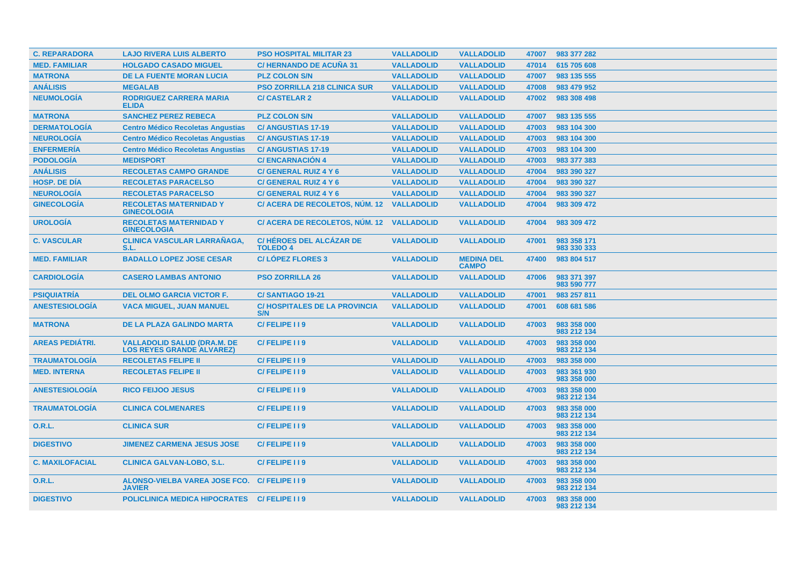| <b>C. REPARADORA</b>   | <b>LAJO RIVERA LUIS ALBERTO</b>                                        | <b>PSO HOSPITAL MILITAR 23</b>                    | <b>VALLADOLID</b> | <b>VALLADOLID</b>                 | 47007 | 983 377 282                |
|------------------------|------------------------------------------------------------------------|---------------------------------------------------|-------------------|-----------------------------------|-------|----------------------------|
| <b>MED. FAMILIAR</b>   | <b>HOLGADO CASADO MIGUEL</b>                                           | <b>C/HERNANDO DE ACUÑA 31</b>                     | <b>VALLADOLID</b> | <b>VALLADOLID</b>                 | 47014 | 615 705 608                |
| <b>MATRONA</b>         | <b>DE LA FUENTE MORAN LUCIA</b>                                        | <b>PLZ COLON S/N</b>                              | <b>VALLADOLID</b> | <b>VALLADOLID</b>                 | 47007 | 983 135 555                |
| <b>ANÁLISIS</b>        | <b>MEGALAB</b>                                                         | <b>PSO ZORRILLA 218 CLINICA SUR</b>               | <b>VALLADOLID</b> | <b>VALLADOLID</b>                 | 47008 | 983 479 952                |
| <b>NEUMOLOGÍA</b>      | <b>RODRIGUEZ CARRERA MARIA</b><br><b>ELIDA</b>                         | <b>C/ CASTELAR 2</b>                              | <b>VALLADOLID</b> | <b>VALLADOLID</b>                 | 47002 | 983 308 498                |
| <b>MATRONA</b>         | <b>SANCHEZ PEREZ REBECA</b>                                            | <b>PLZ COLON S/N</b>                              | <b>VALLADOLID</b> | <b>VALLADOLID</b>                 | 47007 | 983 135 555                |
| <b>DERMATOLOGÍA</b>    | <b>Centro Médico Recoletas Angustias</b>                               | <b>C/ANGUSTIAS 17-19</b>                          | <b>VALLADOLID</b> | <b>VALLADOLID</b>                 | 47003 | 983 104 300                |
| <b>NEUROLOGÍA</b>      | <b>Centro Médico Recoletas Angustias</b>                               | <b>C/ANGUSTIAS 17-19</b>                          | <b>VALLADOLID</b> | <b>VALLADOLID</b>                 | 47003 | 983 104 300                |
| <b>ENFERMERÍA</b>      | <b>Centro Médico Recoletas Angustias</b>                               | <b>C/ ANGUSTIAS 17-19</b>                         | <b>VALLADOLID</b> | <b>VALLADOLID</b>                 | 47003 | 983 104 300                |
| <b>PODOLOGÍA</b>       | <b>MEDISPORT</b>                                                       | <b>C/ENCARNACION 4</b>                            | <b>VALLADOLID</b> | <b>VALLADOLID</b>                 | 47003 | 983 377 383                |
| <b>ANÁLISIS</b>        | <b>RECOLETAS CAMPO GRANDE</b>                                          | C/ GENERAL RUIZ 4 Y 6                             | <b>VALLADOLID</b> | <b>VALLADOLID</b>                 | 47004 | 983 390 327                |
| <b>HOSP. DE DÍA</b>    | <b>RECOLETAS PARACELSO</b>                                             | C/ GENERAL RUIZ 4 Y 6                             | <b>VALLADOLID</b> | <b>VALLADOLID</b>                 | 47004 | 983 390 327                |
| <b>NEUROLOGÍA</b>      | <b>RECOLETAS PARACELSO</b>                                             | C/ GENERAL RUIZ 4 Y 6                             | <b>VALLADOLID</b> | <b>VALLADOLID</b>                 | 47004 | 983 390 327                |
| <b>GINECOLOGÍA</b>     | <b>RECOLETAS MATERNIDAD Y</b><br><b>GINECOLOGIA</b>                    | C/ ACERA DE RECOLETOS, NÚM. 12 VALLADOLID         |                   | <b>VALLADOLID</b>                 | 47004 | 983 309 472                |
| <b>UROLOGÍA</b>        | <b>RECOLETAS MATERNIDAD Y</b><br><b>GINECOLOGIA</b>                    | C/ ACERA DE RECOLETOS, NÚM. 12 VALLADOLID         |                   | <b>VALLADOLID</b>                 | 47004 | 983 309 472                |
| <b>C. VASCULAR</b>     | <b>CLINICA VASCULAR LARRANAGA,</b><br>S.L.                             | <b>C/HÉROES DEL ALCÁZAR DE</b><br><b>TOLEDO 4</b> | <b>VALLADOLID</b> | <b>VALLADOLID</b>                 | 47001 | 983 358 171<br>983 330 333 |
| <b>MED. FAMILIAR</b>   | <b>BADALLO LOPEZ JOSE CESAR</b>                                        | <b>C/LOPEZ FLORES 3</b>                           | <b>VALLADOLID</b> | <b>MEDINA DEL</b><br><b>CAMPO</b> | 47400 | 983 804 517                |
| <b>CARDIOLOGIA</b>     | <b>CASERO LAMBAS ANTONIO</b>                                           | <b>PSO ZORRILLA 26</b>                            | <b>VALLADOLID</b> | <b>VALLADOLID</b>                 | 47006 | 983 371 397<br>983 590 777 |
| <b>PSIQUIATRIA</b>     | <b>DEL OLMO GARCIA VICTOR F.</b>                                       | <b>C/SANTIAGO 19-21</b>                           | <b>VALLADOLID</b> | <b>VALLADOLID</b>                 | 47001 | 983 257 811                |
| <b>ANESTESIOLOGÍA</b>  | <b>VACA MIGUEL, JUAN MANUEL</b>                                        | <b>C/HOSPITALES DE LA PROVINCIA</b><br>S/N        | <b>VALLADOLID</b> | <b>VALLADOLID</b>                 | 47001 | 608 681 586                |
| <b>MATRONA</b>         | <b>DE LA PLAZA GALINDO MARTA</b>                                       | C/FELIPE II9                                      | <b>VALLADOLID</b> | <b>VALLADOLID</b>                 | 47003 | 983 358 000<br>983 212 134 |
| <b>AREAS PEDIÁTRI.</b> | <b>VALLADOLID SALUD (DRA.M. DE</b><br><b>LOS REYES GRANDE ALVAREZ)</b> | C/FELIPE I I 9                                    | <b>VALLADOLID</b> | <b>VALLADOLID</b>                 | 47003 | 983 358 000<br>983 212 134 |
| <b>TRAUMATOLOGIA</b>   | <b>RECOLETAS FELIPE II</b>                                             | C/FELIPE II9                                      | <b>VALLADOLID</b> | <b>VALLADOLID</b>                 | 47003 | 983 358 000                |
| <b>MED. INTERNA</b>    | <b>RECOLETAS FELIPE II</b>                                             | C/FELIPE 119                                      | <b>VALLADOLID</b> | <b>VALLADOLID</b>                 | 47003 | 983 361 930<br>983 358 000 |
| <b>ANESTESIOLOGÍA</b>  | <b>RICO FEIJOO JESUS</b>                                               | C/FELIPE I I 9                                    | <b>VALLADOLID</b> | <b>VALLADOLID</b>                 | 47003 | 983 358 000<br>983 212 134 |
| <b>TRAUMATOLOGIA</b>   | <b>CLINICA COLMENARES</b>                                              | C/FELIPE II9                                      | <b>VALLADOLID</b> | <b>VALLADOLID</b>                 | 47003 | 983 358 000<br>983 212 134 |
| 0.R.L.                 | <b>CLINICA SUR</b>                                                     | C/FELIPE I I 9                                    | <b>VALLADOLID</b> | <b>VALLADOLID</b>                 | 47003 | 983 358 000<br>983 212 134 |
| <b>DIGESTIVO</b>       | <b>JIMENEZ CARMENA JESUS JOSE</b>                                      | C/FELIPE II9                                      | <b>VALLADOLID</b> | <b>VALLADOLID</b>                 | 47003 | 983 358 000<br>983 212 134 |
| <b>C. MAXILOFACIAL</b> | <b>CLINICA GALVAN-LOBO, S.L.</b>                                       | C/FELIPE I I 9                                    | <b>VALLADOLID</b> | <b>VALLADOLID</b>                 | 47003 | 983 358 000<br>983 212 134 |
| <b>O.R.L.</b>          | ALONSO-VIELBA VAREA JOSE FCO. C/ FELIPE I I 9<br><b>JAVIER</b>         |                                                   | <b>VALLADOLID</b> | <b>VALLADOLID</b>                 | 47003 | 983 358 000<br>983 212 134 |
| <b>DIGESTIVO</b>       | POLICLINICA MEDICA HIPOCRATES C/ FELIPE I I 9                          |                                                   | <b>VALLADOLID</b> | <b>VALLADOLID</b>                 | 47003 | 983 358 000<br>983 212 134 |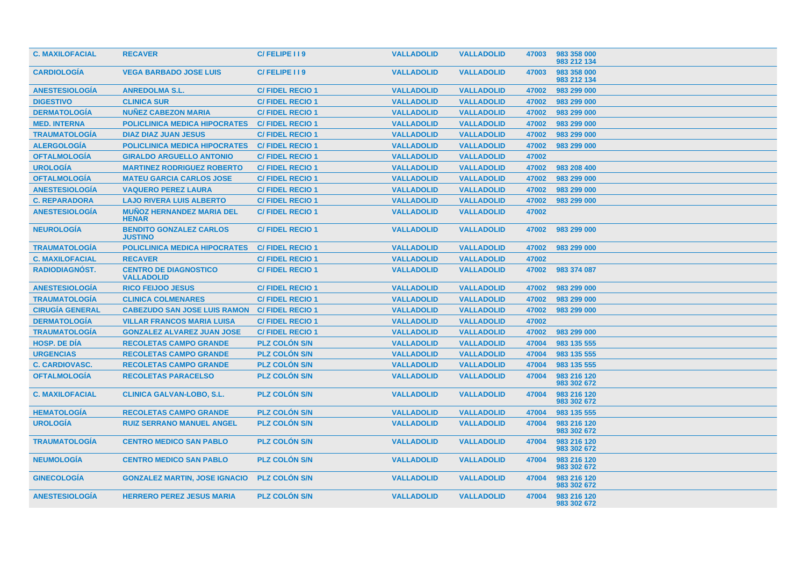| <b>C. MAXILOFACIAL</b> | <b>RECAVER</b>                                       | C/FELIPE I I 9         | <b>VALLADOLID</b> | <b>VALLADOLID</b> | 47003 | 983 358 000<br>983 212 134 |
|------------------------|------------------------------------------------------|------------------------|-------------------|-------------------|-------|----------------------------|
| <b>CARDIOLOGIA</b>     | <b>VEGA BARBADO JOSE LUIS</b>                        | C/FELIPE I I 9         | <b>VALLADOLID</b> | <b>VALLADOLID</b> | 47003 | 983 358 000<br>983 212 134 |
| <b>ANESTESIOLOGIA</b>  | <b>ANREDOLMA S.L.</b>                                | <b>C/FIDEL RECIO1</b>  | <b>VALLADOLID</b> | <b>VALLADOLID</b> | 47002 | 983 299 000                |
| <b>DIGESTIVO</b>       | <b>CLINICA SUR</b>                                   | <b>C/FIDEL RECIO1</b>  | <b>VALLADOLID</b> | <b>VALLADOLID</b> | 47002 | 983 299 000                |
| <b>DERMATOLOGIA</b>    | <b>NUÑEZ CABEZON MARIA</b>                           | <b>C/FIDEL RECIO1</b>  | <b>VALLADOLID</b> | <b>VALLADOLID</b> | 47002 | 983 299 000                |
| <b>MED. INTERNA</b>    | <b>POLICLINICA MEDICA HIPOCRATES</b>                 | <b>C/FIDEL RECIO 1</b> | <b>VALLADOLID</b> | <b>VALLADOLID</b> | 47002 | 983 299 000                |
| <b>TRAUMATOLOGÍA</b>   | <b>DIAZ DIAZ JUAN JESUS</b>                          | <b>C/FIDEL RECIO1</b>  | <b>VALLADOLID</b> | <b>VALLADOLID</b> | 47002 | 983 299 000                |
| <b>ALERGOLOGIA</b>     | <b>POLICLINICA MEDICA HIPOCRATES</b>                 | <b>C/FIDEL RECIO 1</b> | <b>VALLADOLID</b> | <b>VALLADOLID</b> | 47002 | 983 299 000                |
| <b>OFTALMOLOGÍA</b>    | <b>GIRALDO ARGUELLO ANTONIO</b>                      | <b>C/FIDEL RECIO1</b>  | <b>VALLADOLID</b> | <b>VALLADOLID</b> | 47002 |                            |
| <b>UROLOGÍA</b>        | <b>MARTINEZ RODRIGUEZ ROBERTO</b>                    | <b>C/FIDEL RECIO1</b>  | <b>VALLADOLID</b> | <b>VALLADOLID</b> | 47002 | 983 208 400                |
| <b>OFTALMOLOGIA</b>    | <b>MATEU GARCIA CARLOS JOSE</b>                      | <b>C/FIDEL RECIO1</b>  | <b>VALLADOLID</b> | <b>VALLADOLID</b> | 47002 | 983 299 000                |
| <b>ANESTESIOLOGÍA</b>  | <b>VAQUERO PEREZ LAURA</b>                           | <b>C/FIDEL RECIO1</b>  | <b>VALLADOLID</b> | <b>VALLADOLID</b> | 47002 | 983 299 000                |
| <b>C. REPARADORA</b>   | <b>LAJO RIVERA LUIS ALBERTO</b>                      | <b>C/FIDEL RECIO1</b>  | <b>VALLADOLID</b> | <b>VALLADOLID</b> | 47002 | 983 299 000                |
| <b>ANESTESIOLOGÍA</b>  | <b>MUNOZ HERNANDEZ MARIA DEL</b><br><b>HENAR</b>     | <b>C/FIDEL RECIO1</b>  | <b>VALLADOLID</b> | <b>VALLADOLID</b> | 47002 |                            |
| <b>NEUROLOGÍA</b>      | <b>BENDITO GONZALEZ CARLOS</b><br><b>JUSTINO</b>     | <b>C/FIDEL RECIO1</b>  | <b>VALLADOLID</b> | <b>VALLADOLID</b> | 47002 | 983 299 000                |
| <b>TRAUMATOLOGIA</b>   | <b>POLICLINICA MEDICA HIPOCRATES</b>                 | <b>C/FIDEL RECIO 1</b> | <b>VALLADOLID</b> | <b>VALLADOLID</b> | 47002 | 983 299 000                |
| <b>C. MAXILOFACIAL</b> | <b>RECAVER</b>                                       | <b>C/FIDEL RECIO1</b>  | <b>VALLADOLID</b> | <b>VALLADOLID</b> | 47002 |                            |
| RADIODIAGNÓST.         | <b>CENTRO DE DIAGNOSTICO</b><br><b>VALLADOLID</b>    | <b>C/FIDEL RECIO1</b>  | <b>VALLADOLID</b> | <b>VALLADOLID</b> | 47002 | 983 374 087                |
| <b>ANESTESIOLOGÍA</b>  | <b>RICO FEIJOO JESUS</b>                             | <b>C/FIDEL RECIO1</b>  | <b>VALLADOLID</b> | <b>VALLADOLID</b> | 47002 | 983 299 000                |
| <b>TRAUMATOLOGIA</b>   | <b>CLINICA COLMENARES</b>                            | <b>C/FIDEL RECIO1</b>  | <b>VALLADOLID</b> | <b>VALLADOLID</b> | 47002 | 983 299 000                |
| <b>CIRUGÍA GENERAL</b> | <b>CABEZUDO SAN JOSE LUIS RAMON C/ FIDEL RECIO 1</b> |                        | <b>VALLADOLID</b> | <b>VALLADOLID</b> | 47002 | 983 299 000                |
| <b>DERMATOLOGÍA</b>    | <b>VILLAR FRANCOS MARIA LUISA</b>                    | <b>C/FIDEL RECIO1</b>  | <b>VALLADOLID</b> | <b>VALLADOLID</b> | 47002 |                            |
| <b>TRAUMATOLOGÍA</b>   | <b>GONZALEZ ALVAREZ JUAN JOSE</b>                    | <b>C/FIDEL RECIO1</b>  | <b>VALLADOLID</b> | <b>VALLADOLID</b> | 47002 | 983 299 000                |
| <b>HOSP, DE DIA</b>    | <b>RECOLETAS CAMPO GRANDE</b>                        | <b>PLZ COLON S/N</b>   | <b>VALLADOLID</b> | <b>VALLADOLID</b> | 47004 | 983 135 555                |
| <b>URGENCIAS</b>       | <b>RECOLETAS CAMPO GRANDE</b>                        | <b>PLZ COLON S/N</b>   | <b>VALLADOLID</b> | <b>VALLADOLID</b> | 47004 | 983 135 555                |
| <b>C. CARDIOVASC.</b>  | <b>RECOLETAS CAMPO GRANDE</b>                        | <b>PLZ COLON S/N</b>   | <b>VALLADOLID</b> | <b>VALLADOLID</b> | 47004 | 983 135 555                |
| <b>OFTALMOLOGIA</b>    | <b>RECOLETAS PARACELSO</b>                           | <b>PLZ COLON S/N</b>   | <b>VALLADOLID</b> | <b>VALLADOLID</b> | 47004 | 983 216 120<br>983 302 672 |
| <b>C. MAXILOFACIAL</b> | <b>CLINICA GALVAN-LOBO, S.L.</b>                     | <b>PLZ COLON S/N</b>   | <b>VALLADOLID</b> | <b>VALLADOLID</b> | 47004 | 983 216 120<br>983 302 672 |
| <b>HEMATOLOGÍA</b>     | <b>RECOLETAS CAMPO GRANDE</b>                        | <b>PLZ COLON S/N</b>   | <b>VALLADOLID</b> | <b>VALLADOLID</b> | 47004 | 983 135 555                |
| <b>UROLOGÍA</b>        | <b>RUIZ SERRANO MANUEL ANGEL</b>                     | <b>PLZ COLÓN S/N</b>   | <b>VALLADOLID</b> | <b>VALLADOLID</b> | 47004 | 983 216 120<br>983 302 672 |
| <b>TRAUMATOLOGIA</b>   | <b>CENTRO MEDICO SAN PABLO</b>                       | <b>PLZ COLON S/N</b>   | <b>VALLADOLID</b> | <b>VALLADOLID</b> | 47004 | 983 216 120<br>983 302 672 |
| <b>NEUMOLOGÍA</b>      | <b>CENTRO MEDICO SAN PABLO</b>                       | <b>PLZ COLON S/N</b>   | <b>VALLADOLID</b> | <b>VALLADOLID</b> | 47004 | 983 216 120<br>983 302 672 |
| <b>GINECOLOGÍA</b>     | <b>GONZALEZ MARTIN, JOSE IGNACIO</b>                 | <b>PLZ COLÓN S/N</b>   | <b>VALLADOLID</b> | <b>VALLADOLID</b> | 47004 | 983 216 120<br>983 302 672 |
| <b>ANESTESIOLOGIA</b>  | <b>HERRERO PEREZ JESUS MARIA</b>                     | <b>PLZ COLON S/N</b>   | <b>VALLADOLID</b> | <b>VALLADOLID</b> | 47004 | 983 216 120<br>983 302 672 |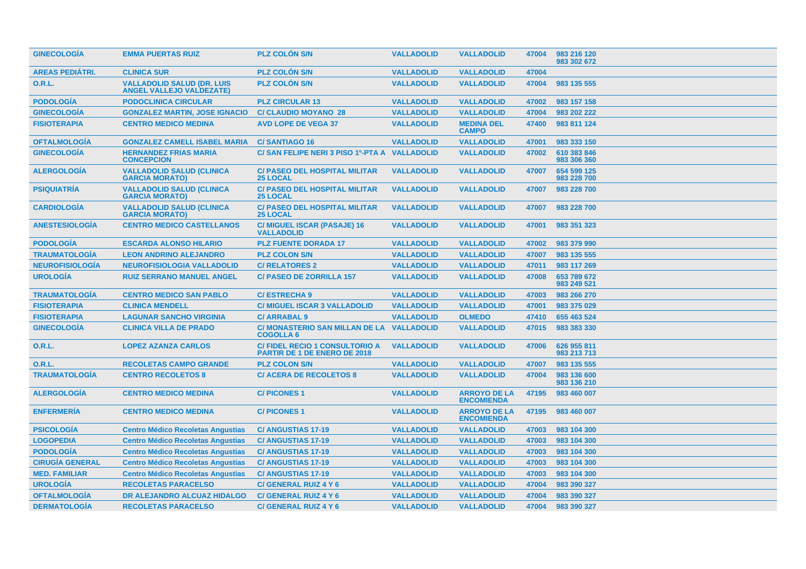| <b>GINECOLOGÍA</b>     | <b>EMMA PUERTAS RUIZ</b>                                             | <b>PLZ COLÓN S/N</b>                                                  | <b>VALLADOLID</b> | <b>VALLADOLID</b>                        | 47004 | 983 216 120<br>983 302 672 |
|------------------------|----------------------------------------------------------------------|-----------------------------------------------------------------------|-------------------|------------------------------------------|-------|----------------------------|
| <b>AREAS PEDIÁTRI.</b> | <b>CLINICA SUR</b>                                                   | <b>PLZ COLON S/N</b>                                                  | <b>VALLADOLID</b> | <b>VALLADOLID</b>                        | 47004 |                            |
| 0.R.L.                 | <b>VALLADOLID SALUD (DR. LUIS</b><br><b>ANGEL VALLEJO VALDEZATE)</b> | <b>PLZ COLON S/N</b>                                                  | <b>VALLADOLID</b> | <b>VALLADOLID</b>                        | 47004 | 983 135 555                |
| <b>PODOLOGÍA</b>       | <b>PODOCLINICA CIRCULAR</b>                                          | <b>PLZ CIRCULAR 13</b>                                                | <b>VALLADOLID</b> | <b>VALLADOLID</b>                        | 47002 | 983 157 158                |
| <b>GINECOLOGÍA</b>     | <b>GONZALEZ MARTIN, JOSE IGNACIO</b>                                 | <b>C/ CLAUDIO MOYANO 28</b>                                           | <b>VALLADOLID</b> | <b>VALLADOLID</b>                        | 47004 | 983 202 222                |
| <b>FISIOTERAPIA</b>    | <b>CENTRO MEDICO MEDINA</b>                                          | <b>AVD LOPE DE VEGA 37</b>                                            | <b>VALLADOLID</b> | <b>MEDINA DEL</b><br><b>CAMPO</b>        | 47400 | 983 811 124                |
| <b>OFTALMOLOGÍA</b>    | <b>GONZALEZ CAMELL ISABEL MARIA</b>                                  | <b>C/SANTIAGO 16</b>                                                  | <b>VALLADOLID</b> | <b>VALLADOLID</b>                        | 47001 | 983 333 150                |
| <b>GINECOLOGÍA</b>     | <b>HERNANDEZ FRIAS MARIA</b><br><b>CONCEPCION</b>                    | C/SAN FELIPE NERI 3 PISO 1º-PTA A VALLADOLID                          |                   | <b>VALLADOLID</b>                        | 47002 | 610 383 846<br>983 306 360 |
| <b>ALERGOLOGIA</b>     | <b>VALLADOLID SALUD (CLINICA</b><br><b>GARCIA MORATO)</b>            | <b>C/ PASEO DEL HOSPITAL MILITAR</b><br><b>25 LOCAL</b>               | <b>VALLADOLID</b> | <b>VALLADOLID</b>                        | 47007 | 654 599 125<br>983 228 700 |
| <b>PSIQUIATRÍA</b>     | <b>VALLADOLID SALUD (CLINICA</b><br><b>GARCIA MORATO)</b>            | <b>C/ PASEO DEL HOSPITAL MILITAR</b><br><b>25 LOCAL</b>               | <b>VALLADOLID</b> | <b>VALLADOLID</b>                        | 47007 | 983 228 700                |
| <b>CARDIOLOGÍA</b>     | <b>VALLADOLID SALUD (CLINICA</b><br><b>GARCIA MORATO)</b>            | <b>C/ PASEO DEL HOSPITAL MILITAR</b><br><b>25 LOCAL</b>               | <b>VALLADOLID</b> | <b>VALLADOLID</b>                        | 47007 | 983 228 700                |
| <b>ANESTESIOLOGIA</b>  | <b>CENTRO MEDICO CASTELLANOS</b>                                     | C/ MIGUEL ISCAR (PASAJE) 16<br><b>VALLADOLID</b>                      | <b>VALLADOLID</b> | <b>VALLADOLID</b>                        | 47001 | 983 351 323                |
| <b>PODOLOGÍA</b>       | <b>ESCARDA ALONSO HILARIO</b>                                        | <b>PLZ FUENTE DORADA 17</b>                                           | <b>VALLADOLID</b> | <b>VALLADOLID</b>                        | 47002 | 983 379 990                |
| <b>TRAUMATOLOGÍA</b>   | <b>LEON ANDRINO ALEJANDRO</b>                                        | <b>PLZ COLON S/N</b>                                                  | <b>VALLADOLID</b> | <b>VALLADOLID</b>                        | 47007 | 983 135 555                |
| <b>NEUROFISIOLOGÍA</b> | <b>NEUROFISIOLOGIA VALLADOLID</b>                                    | <b>C/ RELATORES 2</b>                                                 | <b>VALLADOLID</b> | <b>VALLADOLID</b>                        | 47011 | 983 117 269                |
| <b>UROLOGÍA</b>        | <b>RUIZ SERRANO MANUEL ANGEL</b>                                     | <b>C/ PASEO DE ZORRILLA 157</b>                                       | <b>VALLADOLID</b> | <b>VALLADOLID</b>                        | 47008 | 653 789 672<br>983 249 521 |
| <b>TRAUMATOLOGÍA</b>   | <b>CENTRO MEDICO SAN PABLO</b>                                       | <b>C/ESTRECHA 9</b>                                                   | <b>VALLADOLID</b> | <b>VALLADOLID</b>                        | 47003 | 983 266 270                |
| <b>FISIOTERAPIA</b>    | <b>CLINICA MENDELL</b>                                               | <b>C/ MIGUEL ISCAR 3 VALLADOLID</b>                                   | <b>VALLADOLID</b> | <b>VALLADOLID</b>                        | 47001 | 983 375 029                |
| <b>FISIOTERAPIA</b>    | <b>LAGUNAR SANCHO VIRGINIA</b>                                       | <b>C/ ARRABAL 9</b>                                                   | <b>VALLADOLID</b> | <b>OLMEDO</b>                            | 47410 | 655 463 524                |
| <b>GINECOLOGÍA</b>     | <b>CLINICA VILLA DE PRADO</b>                                        | C/ MONASTERIO SAN MILLAN DE LA VALLADOLID<br><b>COGOLLA 6</b>         |                   | <b>VALLADOLID</b>                        | 47015 | 983 383 330                |
| <b>O.R.L.</b>          | <b>LOPEZ AZANZA CARLOS</b>                                           | C/ FIDEL RECIO 1 CONSULTORIO A<br><b>PARTIR DE 1 DE ENERO DE 2018</b> | <b>VALLADOLID</b> | <b>VALLADOLID</b>                        | 47006 | 626 955 811<br>983 213 713 |
| O.R.L.                 | <b>RECOLETAS CAMPO GRANDE</b>                                        | <b>PLZ COLON S/N</b>                                                  | <b>VALLADOLID</b> | <b>VALLADOLID</b>                        | 47007 | 983 135 555                |
| <b>TRAUMATOLOGÍA</b>   | <b>CENTRO RECOLETOS 8</b>                                            | <b>C/ ACERA DE RECOLETOS 8</b>                                        | <b>VALLADOLID</b> | <b>VALLADOLID</b>                        | 47004 | 983 136 600<br>983 136 210 |
| <b>ALERGOLOGIA</b>     | <b>CENTRO MEDICO MEDINA</b>                                          | <b>C/PICONES1</b>                                                     | <b>VALLADOLID</b> | <b>ARROYO DE LA</b><br><b>ENCOMIENDA</b> | 47195 | 983 460 007                |
| <b>ENFERMERÍA</b>      | <b>CENTRO MEDICO MEDINA</b>                                          | <b>C/PICONES1</b>                                                     | <b>VALLADOLID</b> | <b>ARROYO DE LA</b><br><b>ENCOMIENDA</b> | 47195 | 983 460 007                |
| <b>PSICOLOGÍA</b>      | <b>Centro Médico Recoletas Angustias</b>                             | <b>C/ANGUSTIAS 17-19</b>                                              | <b>VALLADOLID</b> | <b>VALLADOLID</b>                        | 47003 | 983 104 300                |
| <b>LOGOPEDIA</b>       | <b>Centro Médico Recoletas Angustias</b>                             | <b>C/ANGUSTIAS 17-19</b>                                              | <b>VALLADOLID</b> | <b>VALLADOLID</b>                        | 47003 | 983 104 300                |
| <b>PODOLOGÍA</b>       | <b>Centro Médico Recoletas Angustias</b>                             | <b>C/ANGUSTIAS 17-19</b>                                              | <b>VALLADOLID</b> | <b>VALLADOLID</b>                        | 47003 | 983 104 300                |
| <b>CIRUGÍA GENERAL</b> | <b>Centro Médico Recoletas Angustias</b>                             | <b>C/ANGUSTIAS 17-19</b>                                              | <b>VALLADOLID</b> | <b>VALLADOLID</b>                        | 47003 | 983 104 300                |
| <b>MED. FAMILIAR</b>   | <b>Centro Médico Recoletas Angustias</b>                             | <b>C/ANGUSTIAS 17-19</b>                                              | <b>VALLADOLID</b> | <b>VALLADOLID</b>                        | 47003 | 983 104 300                |
| <b>UROLOGÍA</b>        | <b>RECOLETAS PARACELSO</b>                                           | C/ GENERAL RUIZ 4 Y 6                                                 | <b>VALLADOLID</b> | <b>VALLADOLID</b>                        | 47004 | 983 390 327                |
| <b>OFTALMOLOGÍA</b>    | DR ALEJANDRO ALCUAZ HIDALGO                                          | <b>C/ GENERAL RUIZ 4 Y 6</b>                                          | <b>VALLADOLID</b> | <b>VALLADOLID</b>                        | 47004 | 983 390 327                |
| <b>DERMATOLOGÍA</b>    | <b>RECOLETAS PARACELSO</b>                                           | C/ GENERAL RUIZ 4 Y 6                                                 | <b>VALLADOLID</b> | <b>VALLADOLID</b>                        | 47004 | 983 390 327                |
|                        |                                                                      |                                                                       |                   |                                          |       |                            |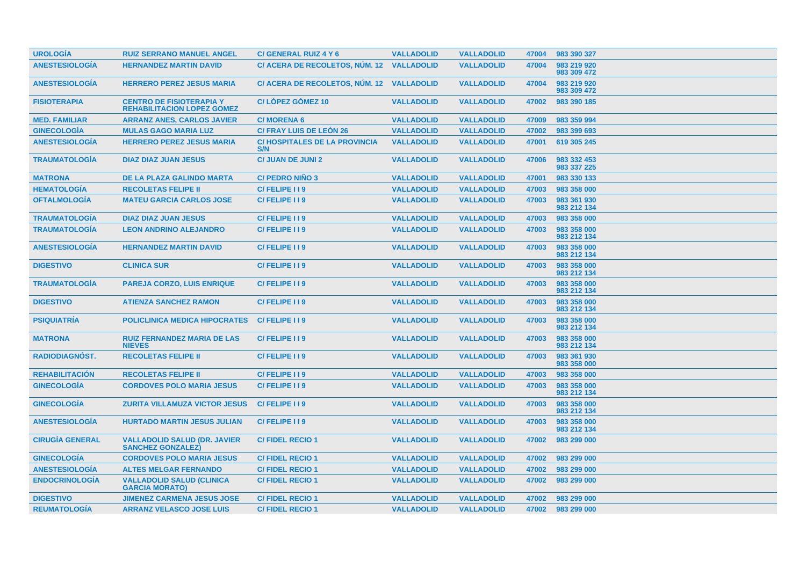| <b>UROLOGÍA</b>        | <b>RUIZ SERRANO MANUEL ANGEL</b>                                     | <b>C/ GENERAL RUIZ 4 Y 6</b>               | <b>VALLADOLID</b> | <b>VALLADOLID</b> | 47004 | 983 390 327                |
|------------------------|----------------------------------------------------------------------|--------------------------------------------|-------------------|-------------------|-------|----------------------------|
| <b>ANESTESIOLOGÍA</b>  | <b>HERNANDEZ MARTIN DAVID</b>                                        | C/ ACERA DE RECOLETOS, NÚM. 12             | <b>VALLADOLID</b> | <b>VALLADOLID</b> | 47004 | 983 219 920<br>983 309 472 |
| <b>ANESTESIOLOGÍA</b>  | <b>HERRERO PEREZ JESUS MARIA</b>                                     | C/ ACERA DE RECOLETOS, NÚM. 12 VALLADOLID  |                   | <b>VALLADOLID</b> | 47004 | 983 219 920<br>983 309 472 |
| <b>FISIOTERAPIA</b>    | <b>CENTRO DE FISIOTERAPIA Y</b><br><b>REHABILITACION LOPEZ GOMEZ</b> | <b>C/LOPEZ GOMEZ 10</b>                    | <b>VALLADOLID</b> | <b>VALLADOLID</b> | 47002 | 983 390 185                |
| <b>MED. FAMILIAR</b>   | <b>ARRANZ ANES, CARLOS JAVIER</b>                                    | <b>C/MORENA 6</b>                          | <b>VALLADOLID</b> | <b>VALLADOLID</b> | 47009 | 983 359 994                |
| <b>GINECOLOGÍA</b>     | <b>MULAS GAGO MARIA LUZ</b>                                          | <b>C/ FRAY LUIS DE LEÓN 26</b>             | <b>VALLADOLID</b> | <b>VALLADOLID</b> | 47002 | 983 399 693                |
| <b>ANESTESIOLOGÍA</b>  | <b>HERRERO PEREZ JESUS MARIA</b>                                     | <b>C/HOSPITALES DE LA PROVINCIA</b><br>S/N | <b>VALLADOLID</b> | <b>VALLADOLID</b> | 47001 | 619 305 245                |
| <b>TRAUMATOLOGÍA</b>   | <b>DIAZ DIAZ JUAN JESUS</b>                                          | <b>C/ JUAN DE JUNI 2</b>                   | <b>VALLADOLID</b> | <b>VALLADOLID</b> | 47006 | 983 332 453<br>983 337 225 |
| <b>MATRONA</b>         | <b>DE LA PLAZA GALINDO MARTA</b>                                     | <b>C/ PEDRO NIÑO 3</b>                     | <b>VALLADOLID</b> | <b>VALLADOLID</b> | 47001 | 983 330 133                |
| <b>HEMATOLOGÍA</b>     | <b>RECOLETAS FELIPE II</b>                                           | C/FELIPE I I 9                             | <b>VALLADOLID</b> | <b>VALLADOLID</b> | 47003 | 983 358 000                |
| <b>OFTALMOLOGÍA</b>    | <b>MATEU GARCIA CARLOS JOSE</b>                                      | C/FELIPE I I 9                             | <b>VALLADOLID</b> | <b>VALLADOLID</b> | 47003 | 983 361 930<br>983 212 134 |
| <b>TRAUMATOLOGÍA</b>   | <b>DIAZ DIAZ JUAN JESUS</b>                                          | C/FELIPE I I 9                             | <b>VALLADOLID</b> | <b>VALLADOLID</b> | 47003 | 983 358 000                |
| <b>TRAUMATOLOGÍA</b>   | <b>LEON ANDRINO ALEJANDRO</b>                                        | C/FELIPE II9                               | <b>VALLADOLID</b> | <b>VALLADOLID</b> | 47003 | 983 358 000<br>983 212 134 |
| <b>ANESTESIOLOGÍA</b>  | <b>HERNANDEZ MARTIN DAVID</b>                                        | C/FELIPE I I 9                             | <b>VALLADOLID</b> | <b>VALLADOLID</b> | 47003 | 983 358 000<br>983 212 134 |
| <b>DIGESTIVO</b>       | <b>CLINICA SUR</b>                                                   | C/FELIPE 119                               | <b>VALLADOLID</b> | <b>VALLADOLID</b> | 47003 | 983 358 000<br>983 212 134 |
| <b>TRAUMATOLOGÍA</b>   | <b>PAREJA CORZO, LUIS ENRIQUE</b>                                    | C/FELIPE II9                               | <b>VALLADOLID</b> | <b>VALLADOLID</b> | 47003 | 983 358 000<br>983 212 134 |
| <b>DIGESTIVO</b>       | <b>ATIENZA SANCHEZ RAMON</b>                                         | C/FELIPE I I 9                             | <b>VALLADOLID</b> | <b>VALLADOLID</b> | 47003 | 983 358 000<br>983 212 134 |
| <b>PSIQUIATRÍA</b>     | <b>POLICLINICA MEDICA HIPOCRATES</b>                                 | C/FELIPE 119                               | <b>VALLADOLID</b> | <b>VALLADOLID</b> | 47003 | 983 358 000<br>983 212 134 |
| <b>MATRONA</b>         | <b>RUIZ FERNANDEZ MARIA DE LAS</b><br><b>NIEVES</b>                  | C/FELIPE 119                               | <b>VALLADOLID</b> | <b>VALLADOLID</b> | 47003 | 983 358 000<br>983 212 134 |
| <b>RADIODIAGNOST.</b>  | <b>RECOLETAS FELIPE II</b>                                           | C/FELIPE I I 9                             | <b>VALLADOLID</b> | <b>VALLADOLID</b> | 47003 | 983 361 930<br>983 358 000 |
| <b>REHABILITACIÓN</b>  | <b>RECOLETAS FELIPE II</b>                                           | C/FELIPE II9                               | <b>VALLADOLID</b> | <b>VALLADOLID</b> | 47003 | 983 358 000                |
| <b>GINECOLOGÍA</b>     | <b>CORDOVES POLO MARIA JESUS</b>                                     | C/FELIPE 119                               | <b>VALLADOLID</b> | <b>VALLADOLID</b> | 47003 | 983 358 000<br>983 212 134 |
| <b>GINECOLOGÍA</b>     | <b>ZURITA VILLAMUZA VICTOR JESUS</b>                                 | C/FELIPE 119                               | <b>VALLADOLID</b> | <b>VALLADOLID</b> | 47003 | 983 358 000<br>983 212 134 |
| <b>ANESTESIOLOGIA</b>  | <b>HURTADO MARTIN JESUS JULIAN</b>                                   | C/FELIPE II9                               | <b>VALLADOLID</b> | <b>VALLADOLID</b> | 47003 | 983 358 000<br>983 212 134 |
| <b>CIRUGÍA GENERAL</b> | <b>VALLADOLID SALUD (DR. JAVIER</b><br><b>SANCHEZ GONZALEZ</b>       | <b>C/FIDEL RECIO1</b>                      | <b>VALLADOLID</b> | <b>VALLADOLID</b> | 47002 | 983 299 000                |
| <b>GINECOLOGÍA</b>     | <b>CORDOVES POLO MARIA JESUS</b>                                     | <b>C/FIDEL RECIO1</b>                      | <b>VALLADOLID</b> | <b>VALLADOLID</b> | 47002 | 983 299 000                |
| <b>ANESTESIOLOGÍA</b>  | <b>ALTES MELGAR FERNANDO</b>                                         | <b>C/FIDEL RECIO1</b>                      | <b>VALLADOLID</b> | <b>VALLADOLID</b> | 47002 | 983 299 000                |
| <b>ENDOCRINOLOGÍA</b>  | <b>VALLADOLID SALUD (CLINICA</b><br><b>GARCIA MORATO)</b>            | <b>C/FIDEL RECIO1</b>                      | <b>VALLADOLID</b> | <b>VALLADOLID</b> | 47002 | 983 299 000                |
| <b>DIGESTIVO</b>       | <b>JIMENEZ CARMENA JESUS JOSE</b>                                    | <b>C/FIDEL RECIO1</b>                      | <b>VALLADOLID</b> | <b>VALLADOLID</b> | 47002 | 983 299 000                |
| <b>REUMATOLOGIA</b>    | <b>ARRANZ VELASCO JOSE LUIS</b>                                      | <b>C/FIDEL RECIO 1</b>                     | <b>VALLADOLID</b> | <b>VALLADOLID</b> | 47002 | 983 299 000                |
|                        |                                                                      |                                            |                   |                   |       |                            |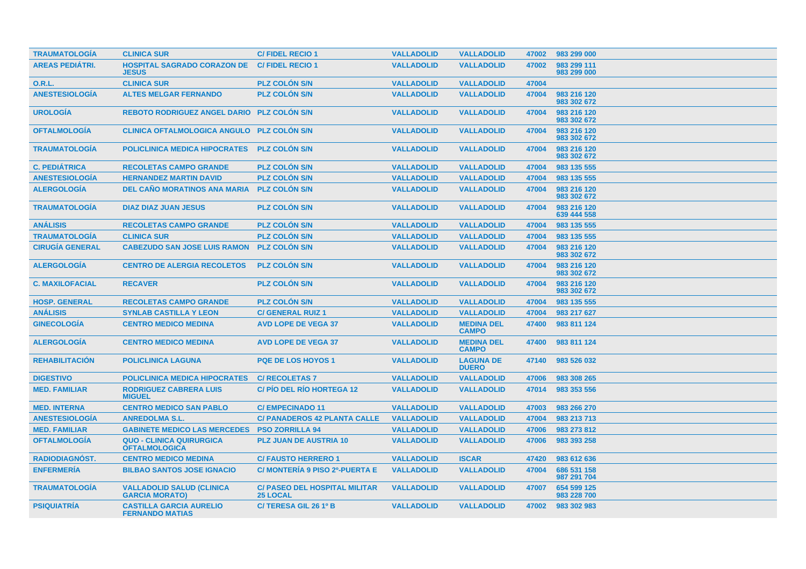| <b>TRAUMATOLOGIA</b>   | <b>CLINICA SUR</b>                                        | <b>C/FIDEL RECIO1</b>                                   | <b>VALLADOLID</b> | <b>VALLADOLID</b>                 | 47002 | 983 299 000                |
|------------------------|-----------------------------------------------------------|---------------------------------------------------------|-------------------|-----------------------------------|-------|----------------------------|
| <b>AREAS PEDIÁTRI.</b> | <b>HOSPITAL SAGRADO CORAZON DE</b><br><b>JESUS</b>        | <b>C/FIDEL RECIO 1</b>                                  | <b>VALLADOLID</b> | <b>VALLADOLID</b>                 | 47002 | 983 299 111<br>983 299 000 |
| <b>O.R.L.</b>          | <b>CLINICA SUR</b>                                        | <b>PLZ COLON S/N</b>                                    | <b>VALLADOLID</b> | <b>VALLADOLID</b>                 | 47004 |                            |
| <b>ANESTESIOLOGÍA</b>  | <b>ALTES MELGAR FERNANDO</b>                              | <b>PLZ COLÓN S/N</b>                                    | <b>VALLADOLID</b> | <b>VALLADOLID</b>                 | 47004 | 983 216 120<br>983 302 672 |
| <b>UROLOGÍA</b>        | <b>REBOTO RODRIGUEZ ANGEL DARIO PLZ COLON S/N</b>         |                                                         | <b>VALLADOLID</b> | <b>VALLADOLID</b>                 | 47004 | 983 216 120<br>983 302 672 |
| <b>OFTALMOLOGÍA</b>    | CLINICA OFTALMOLOGICA ANGULO PLZ COLÓN S/N                |                                                         | <b>VALLADOLID</b> | <b>VALLADOLID</b>                 | 47004 | 983 216 120<br>983 302 672 |
| <b>TRAUMATOLOGÍA</b>   | <b>POLICLINICA MEDICA HIPOCRATES</b>                      | <b>PLZ COLON S/N</b>                                    | <b>VALLADOLID</b> | <b>VALLADOLID</b>                 | 47004 | 983 216 120<br>983 302 672 |
| <b>C. PEDIÁTRICA</b>   | <b>RECOLETAS CAMPO GRANDE</b>                             | <b>PLZ COLON S/N</b>                                    | <b>VALLADOLID</b> | <b>VALLADOLID</b>                 | 47004 | 983 135 555                |
| <b>ANESTESIOLOGÍA</b>  | <b>HERNANDEZ MARTIN DAVID</b>                             | <b>PLZ COLON S/N</b>                                    | <b>VALLADOLID</b> | <b>VALLADOLID</b>                 | 47004 | 983 135 555                |
| <b>ALERGOLOGIA</b>     | <b>DEL CAÑO MORATINOS ANA MARIA</b>                       | <b>PLZ COLON S/N</b>                                    | <b>VALLADOLID</b> | <b>VALLADOLID</b>                 | 47004 | 983 216 120<br>983 302 672 |
| <b>TRAUMATOLOGÍA</b>   | <b>DIAZ DIAZ JUAN JESUS</b>                               | <b>PLZ COLÓN S/N</b>                                    | <b>VALLADOLID</b> | <b>VALLADOLID</b>                 | 47004 | 983 216 120<br>639 444 558 |
| <b>ANÁLISIS</b>        | <b>RECOLETAS CAMPO GRANDE</b>                             | <b>PLZ COLON S/N</b>                                    | <b>VALLADOLID</b> | <b>VALLADOLID</b>                 | 47004 | 983 135 555                |
| <b>TRAUMATOLOGÍA</b>   | <b>CLINICA SUR</b>                                        | <b>PLZ COLON S/N</b>                                    | <b>VALLADOLID</b> | <b>VALLADOLID</b>                 | 47004 | 983 135 555                |
| <b>CIRUGÍA GENERAL</b> | <b>CABEZUDO SAN JOSE LUIS RAMON</b>                       | <b>PLZ COLON S/N</b>                                    | <b>VALLADOLID</b> | <b>VALLADOLID</b>                 | 47004 | 983 216 120<br>983 302 672 |
| <b>ALERGOLOGÍA</b>     | <b>CENTRO DE ALERGIA RECOLETOS</b>                        | <b>PLZ COLON S/N</b>                                    | <b>VALLADOLID</b> | <b>VALLADOLID</b>                 | 47004 | 983 216 120<br>983 302 672 |
| <b>C. MAXILOFACIAL</b> | <b>RECAVER</b>                                            | <b>PLZ COLON S/N</b>                                    | <b>VALLADOLID</b> | <b>VALLADOLID</b>                 | 47004 | 983 216 120<br>983 302 672 |
| <b>HOSP. GENERAL</b>   | <b>RECOLETAS CAMPO GRANDE</b>                             | <b>PLZ COLON S/N</b>                                    | <b>VALLADOLID</b> | <b>VALLADOLID</b>                 | 47004 | 983 135 555                |
| <b>ANÁLISIS</b>        | <b>SYNLAB CASTILLA Y LEON</b>                             | <b>C/ GENERAL RUIZ 1</b>                                | <b>VALLADOLID</b> | <b>VALLADOLID</b>                 | 47004 | 983 217 627                |
| <b>GINECOLOGIA</b>     | <b>CENTRO MEDICO MEDINA</b>                               | <b>AVD LOPE DE VEGA 37</b>                              | <b>VALLADOLID</b> | <b>MEDINA DEL</b><br><b>CAMPO</b> | 47400 | 983 811 124                |
| <b>ALERGOLOGÍA</b>     | <b>CENTRO MEDICO MEDINA</b>                               | <b>AVD LOPE DE VEGA 37</b>                              | <b>VALLADOLID</b> | <b>MEDINA DEL</b><br><b>CAMPO</b> | 47400 | 983 811 124                |
| <b>REHABILITACION</b>  | <b>POLICLINICA LAGUNA</b>                                 | <b>PQE DE LOS HOYOS 1</b>                               | <b>VALLADOLID</b> | <b>LAGUNA DE</b><br><b>DUERO</b>  | 47140 | 983 526 032                |
| <b>DIGESTIVO</b>       | <b>POLICLINICA MEDICA HIPOCRATES</b>                      | <b>C/ RECOLETAS 7</b>                                   | <b>VALLADOLID</b> | <b>VALLADOLID</b>                 | 47006 | 983 308 265                |
| <b>MED. FAMILIAR</b>   | <b>RODRIGUEZ CABRERA LUIS</b><br><b>MIGUEL</b>            | <b>C/PIO DEL RIO HORTEGA 12</b>                         | <b>VALLADOLID</b> | <b>VALLADOLID</b>                 | 47014 | 983 353 556                |
| <b>MED. INTERNA</b>    | <b>CENTRO MEDICO SAN PABLO</b>                            | <b>C/EMPECINADO 11</b>                                  | <b>VALLADOLID</b> | <b>VALLADOLID</b>                 | 47003 | 983 266 270                |
| <b>ANESTESIOLOGIA</b>  | <b>ANREDOLMA S.L.</b>                                     | <b>C/ PANADEROS 42 PLANTA CALLE</b>                     | <b>VALLADOLID</b> | <b>VALLADOLID</b>                 | 47004 | 983 213 713                |
| <b>MED. FAMILIAR</b>   | <b>GABINETE MEDICO LAS MERCEDES PSO ZORRILLA 94</b>       |                                                         | <b>VALLADOLID</b> | <b>VALLADOLID</b>                 | 47006 | 983 273 812                |
| <b>OFTALMOLOGÍA</b>    | <b>QUO - CLINICA QUIRURGICA</b><br><b>OFTALMOLOGICA</b>   | <b>PLZ JUAN DE AUSTRIA 10</b>                           | <b>VALLADOLID</b> | <b>VALLADOLID</b>                 | 47006 | 983 393 258                |
| RADIODIAGNÓST.         | <b>CENTRO MEDICO MEDINA</b>                               | <b>C/ FAUSTO HERRERO 1</b>                              | <b>VALLADOLID</b> | <b>ISCAR</b>                      | 47420 | 983 612 636                |
| <b>ENFERMERÍA</b>      | <b>BILBAO SANTOS JOSE IGNACIO</b>                         | C/ MONTERÍA 9 PISO 2º-PUERTA E                          | <b>VALLADOLID</b> | <b>VALLADOLID</b>                 | 47004 | 686 531 158<br>987 291 704 |
| <b>TRAUMATOLOGÍA</b>   | <b>VALLADOLID SALUD (CLINICA</b><br><b>GARCIA MORATO)</b> | <b>C/ PASEO DEL HOSPITAL MILITAR</b><br><b>25 LOCAL</b> | <b>VALLADOLID</b> | <b>VALLADOLID</b>                 | 47007 | 654 599 125<br>983 228 700 |
| <b>PSIQUIATRÍA</b>     | <b>CASTILLA GARCIA AURELIO</b><br><b>FERNANDO MATIAS</b>  | C/TERESA GIL 26 1º B                                    | <b>VALLADOLID</b> | <b>VALLADOLID</b>                 | 47002 | 983 302 983                |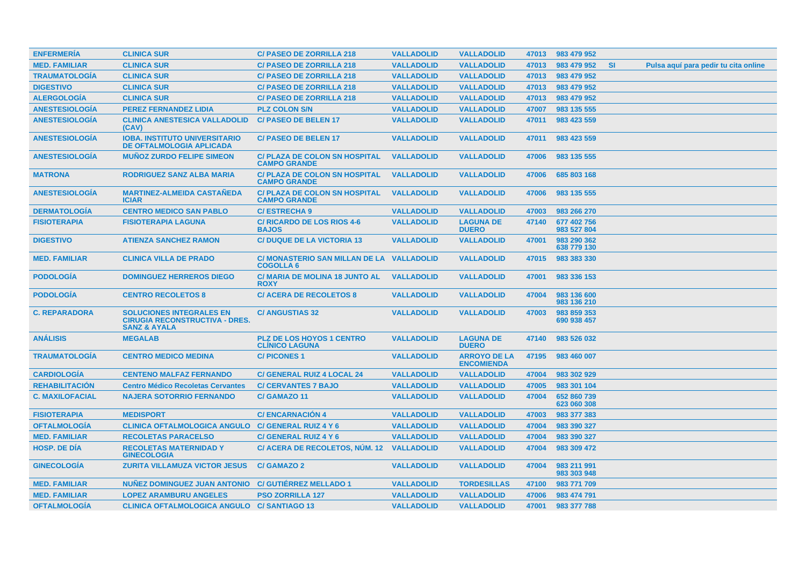| <b>ENFERMERIA</b>      | <b>CLINICA SUR</b>                                                                                  | <b>C/ PASEO DE ZORRILLA 218</b>                               | <b>VALLADOLID</b> | <b>VALLADOLID</b>                        | 47013 | 983 479 952                |                                                   |
|------------------------|-----------------------------------------------------------------------------------------------------|---------------------------------------------------------------|-------------------|------------------------------------------|-------|----------------------------|---------------------------------------------------|
| <b>MED. FAMILIAR</b>   | <b>CLINICA SUR</b>                                                                                  | <b>C/ PASEO DE ZORRILLA 218</b>                               | <b>VALLADOLID</b> | <b>VALLADOLID</b>                        | 47013 | 983 479 952                | <b>SI</b><br>Pulsa aquí para pedir tu cita online |
| <b>TRAUMATOLOGÍA</b>   | <b>CLINICA SUR</b>                                                                                  | <b>C/ PASEO DE ZORRILLA 218</b>                               | <b>VALLADOLID</b> | <b>VALLADOLID</b>                        | 47013 | 983 479 952                |                                                   |
| <b>DIGESTIVO</b>       | <b>CLINICA SUR</b>                                                                                  | <b>C/ PASEO DE ZORRILLA 218</b>                               | <b>VALLADOLID</b> | <b>VALLADOLID</b>                        | 47013 | 983 479 952                |                                                   |
| <b>ALERGOLOGÍA</b>     | <b>CLINICA SUR</b>                                                                                  | <b>C/ PASEO DE ZORRILLA 218</b>                               | <b>VALLADOLID</b> | <b>VALLADOLID</b>                        | 47013 | 983 479 952                |                                                   |
| <b>ANESTESIOLOGÍA</b>  | <b>PEREZ FERNANDEZ LIDIA</b>                                                                        | <b>PLZ COLON S/N</b>                                          | <b>VALLADOLID</b> | <b>VALLADOLID</b>                        | 47007 | 983 135 555                |                                                   |
| <b>ANESTESIOLOGÍA</b>  | <b>CLINICA ANESTESICA VALLADOLID</b><br>(CAV)                                                       | <b>C/PASEO DE BELEN 17</b>                                    | <b>VALLADOLID</b> | <b>VALLADOLID</b>                        | 47011 | 983 423 559                |                                                   |
| <b>ANESTESIOLOGÍA</b>  | <b>IOBA. INSTITUTO UNIVERSITARIO</b><br><b>DE OFTALMOLOGIA APLICADA</b>                             | <b>C/PASEO DE BELEN 17</b>                                    | <b>VALLADOLID</b> | <b>VALLADOLID</b>                        | 47011 | 983 423 559                |                                                   |
| <b>ANESTESIOLOGÍA</b>  | <b>MUÑOZ ZURDO FELIPE SIMEON</b>                                                                    | <b>C/ PLAZA DE COLON SN HOSPITAL</b><br><b>CAMPO GRANDE</b>   | <b>VALLADOLID</b> | <b>VALLADOLID</b>                        | 47006 | 983 135 555                |                                                   |
| <b>MATRONA</b>         | <b>RODRIGUEZ SANZ ALBA MARIA</b>                                                                    | <b>C/ PLAZA DE COLON SN HOSPITAL</b><br><b>CAMPO GRANDE</b>   | <b>VALLADOLID</b> | <b>VALLADOLID</b>                        | 47006 | 685 803 168                |                                                   |
| <b>ANESTESIOLOGÍA</b>  | <b>MARTINEZ-ALMEIDA CASTAÑEDA</b><br><b>ICIAR</b>                                                   | <b>C/ PLAZA DE COLON SN HOSPITAL</b><br><b>CAMPO GRANDE</b>   | <b>VALLADOLID</b> | <b>VALLADOLID</b>                        | 47006 | 983 135 555                |                                                   |
| <b>DERMATOLOGÍA</b>    | <b>CENTRO MEDICO SAN PABLO</b>                                                                      | <b>C/ESTRECHA 9</b>                                           | <b>VALLADOLID</b> | <b>VALLADOLID</b>                        | 47003 | 983 266 270                |                                                   |
| <b>FISIOTERAPIA</b>    | <b>FISIOTERAPIA LAGUNA</b>                                                                          | <b>C/RICARDO DE LOS RIOS 4-6</b><br><b>BAJOS</b>              | <b>VALLADOLID</b> | <b>LAGUNA DE</b><br><b>DUERO</b>         | 47140 | 677 402 756<br>983 527 804 |                                                   |
| <b>DIGESTIVO</b>       | <b>ATIENZA SANCHEZ RAMON</b>                                                                        | <b>C/ DUQUE DE LA VICTORIA 13</b>                             | <b>VALLADOLID</b> | <b>VALLADOLID</b>                        | 47001 | 983 290 362<br>638 779 130 |                                                   |
| <b>MED. FAMILIAR</b>   | <b>CLINICA VILLA DE PRADO</b>                                                                       | C/ MONASTERIO SAN MILLAN DE LA VALLADOLID<br><b>COGOLLA 6</b> |                   | <b>VALLADOLID</b>                        | 47015 | 983 383 330                |                                                   |
| <b>PODOLOGIA</b>       | <b>DOMINGUEZ HERREROS DIEGO</b>                                                                     | <b>C/ MARIA DE MOLINA 18 JUNTO AL</b><br><b>ROXY</b>          | <b>VALLADOLID</b> | <b>VALLADOLID</b>                        | 47001 | 983 336 153                |                                                   |
| <b>PODOLOGIA</b>       | <b>CENTRO RECOLETOS 8</b>                                                                           | <b>C/ ACERA DE RECOLETOS 8</b>                                | <b>VALLADOLID</b> | <b>VALLADOLID</b>                        | 47004 | 983 136 600<br>983 136 210 |                                                   |
| <b>C. REPARADORA</b>   | <b>SOLUCIONES INTEGRALES EN</b><br><b>CIRUGIA RECONSTRUCTIVA - DRES.</b><br><b>SANZ &amp; AYALA</b> | <b>C/ ANGUSTIAS 32</b>                                        | <b>VALLADOLID</b> | <b>VALLADOLID</b>                        | 47003 | 983 859 353<br>690 938 457 |                                                   |
| <b>ANÁLISIS</b>        | <b>MEGALAB</b>                                                                                      | <b>PLZ DE LOS HOYOS 1 CENTRO</b><br><b>CLÍNICO LAGUNA</b>     | <b>VALLADOLID</b> | <b>LAGUNA DE</b><br><b>DUERO</b>         | 47140 | 983 526 032                |                                                   |
| <b>TRAUMATOLOGIA</b>   | <b>CENTRO MEDICO MEDINA</b>                                                                         | <b>C/PICONES1</b>                                             | <b>VALLADOLID</b> | <b>ARROYO DE LA</b><br><b>ENCOMIENDA</b> | 47195 | 983 460 007                |                                                   |
| <b>CARDIOLOGIA</b>     | <b>CENTENO MALFAZ FERNANDO</b>                                                                      | <b>C/ GENERAL RUIZ 4 LOCAL 24</b>                             | <b>VALLADOLID</b> | <b>VALLADOLID</b>                        | 47004 | 983 302 929                |                                                   |
| <b>REHABILITACIÓN</b>  | <b>Centro Médico Recoletas Cervantes</b>                                                            | <b>C/ CERVANTES 7 BAJO</b>                                    | <b>VALLADOLID</b> | <b>VALLADOLID</b>                        | 47005 | 983 301 104                |                                                   |
| <b>C. MAXILOFACIAL</b> | <b>NAJERA SOTORRIO FERNANDO</b>                                                                     | C/GAMAZO 11                                                   | <b>VALLADOLID</b> | <b>VALLADOLID</b>                        | 47004 | 652 860 739<br>623 060 308 |                                                   |
| <b>FISIOTERAPIA</b>    | <b>MEDISPORT</b>                                                                                    | <b>C/ENCARNACION 4</b>                                        | <b>VALLADOLID</b> | <b>VALLADOLID</b>                        | 47003 | 983 377 383                |                                                   |
| <b>OFTALMOLOGÍA</b>    | <b>CLINICA OFTALMOLOGICA ANGULO</b>                                                                 | <b>C/ GENERAL RUIZ 4 Y 6</b>                                  | <b>VALLADOLID</b> | <b>VALLADOLID</b>                        | 47004 | 983 390 327                |                                                   |
| <b>MED. FAMILIAR</b>   | <b>RECOLETAS PARACELSO</b>                                                                          | C/ GENERAL RUIZ 4 Y 6                                         | <b>VALLADOLID</b> | <b>VALLADOLID</b>                        | 47004 | 983 390 327                |                                                   |
| <b>HOSP, DE DIA</b>    | <b>RECOLETAS MATERNIDAD Y</b><br><b>GINECOLOGIA</b>                                                 | C/ ACERA DE RECOLETOS, NUM. 12                                | <b>VALLADOLID</b> | <b>VALLADOLID</b>                        | 47004 | 983 309 472                |                                                   |
| <b>GINECOLOGIA</b>     | <b>ZURITA VILLAMUZA VICTOR JESUS</b>                                                                | <b>C/GAMAZO 2</b>                                             | <b>VALLADOLID</b> | <b>VALLADOLID</b>                        | 47004 | 983 211 991<br>983 303 948 |                                                   |
| <b>MED. FAMILIAR</b>   | NUNEZ DOMINGUEZ JUAN ANTONIO                                                                        | <b>C/GUTIERREZ MELLADO 1</b>                                  | <b>VALLADOLID</b> | <b>TORDESILLAS</b>                       | 47100 | 983 771 709                |                                                   |
| <b>MED. FAMILIAR</b>   | <b>LOPEZ ARAMBURU ANGELES</b>                                                                       | <b>PSO ZORRILLA 127</b>                                       | <b>VALLADOLID</b> | <b>VALLADOLID</b>                        | 47006 | 983 474 791                |                                                   |
| <b>OFTALMOLOGÍA</b>    | <b>CLINICA OFTALMOLOGICA ANGULO C/ SANTIAGO 13</b>                                                  |                                                               | <b>VALLADOLID</b> | <b>VALLADOLID</b>                        | 47001 | 983 377 788                |                                                   |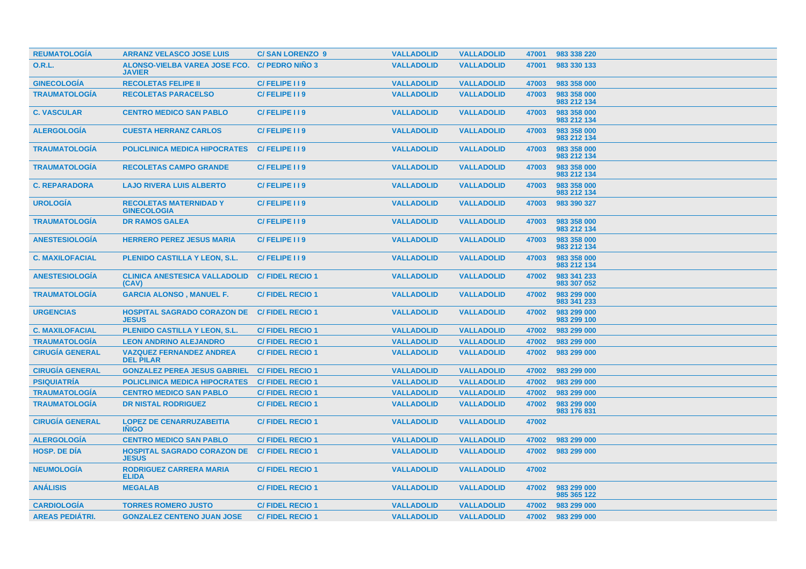| <b>REUMATOLOGIA</b>    | <b>ARRANZ VELASCO JOSE LUIS</b>                     | <b>C/SAN LORENZO 9</b> | <b>VALLADOLID</b> | <b>VALLADOLID</b> | 47001 | 983 338 220                |
|------------------------|-----------------------------------------------------|------------------------|-------------------|-------------------|-------|----------------------------|
| <b>O.R.L.</b>          | ALONSO-VIELBA VAREA JOSE FCO.<br><b>JAVIER</b>      | <b>C/ PEDRO NIÑO 3</b> | <b>VALLADOLID</b> | <b>VALLADOLID</b> | 47001 | 983 330 133                |
| <b>GINECOLOGÍA</b>     | <b>RECOLETAS FELIPE II</b>                          | C/FELIPE I I 9         | <b>VALLADOLID</b> | <b>VALLADOLID</b> | 47003 | 983 358 000                |
| <b>TRAUMATOLOGÍA</b>   | <b>RECOLETAS PARACELSO</b>                          | C/FELIPE I I 9         | <b>VALLADOLID</b> | <b>VALLADOLID</b> | 47003 | 983 358 000<br>983 212 134 |
| <b>C. VASCULAR</b>     | <b>CENTRO MEDICO SAN PABLO</b>                      | C/FELIPE I I 9         | <b>VALLADOLID</b> | <b>VALLADOLID</b> | 47003 | 983 358 000<br>983 212 134 |
| <b>ALERGOLOGIA</b>     | <b>CUESTA HERRANZ CARLOS</b>                        | C/FELIPE 119           | <b>VALLADOLID</b> | <b>VALLADOLID</b> | 47003 | 983 358 000<br>983 212 134 |
| <b>TRAUMATOLOGÍA</b>   | <b>POLICLINICA MEDICA HIPOCRATES</b>                | C/FELIPE I I 9         | <b>VALLADOLID</b> | <b>VALLADOLID</b> | 47003 | 983 358 000<br>983 212 134 |
| <b>TRAUMATOLOGÍA</b>   | <b>RECOLETAS CAMPO GRANDE</b>                       | C/FELIPE I I 9         | <b>VALLADOLID</b> | <b>VALLADOLID</b> | 47003 | 983 358 000<br>983 212 134 |
| <b>C. REPARADORA</b>   | <b>LAJO RIVERA LUIS ALBERTO</b>                     | C/FELIPE I I 9         | <b>VALLADOLID</b> | <b>VALLADOLID</b> | 47003 | 983 358 000<br>983 212 134 |
| <b>UROLOGÍA</b>        | <b>RECOLETAS MATERNIDAD Y</b><br><b>GINECOLOGIA</b> | C/FELIPE I I 9         | <b>VALLADOLID</b> | <b>VALLADOLID</b> | 47003 | 983 390 327                |
| <b>TRAUMATOLOGÍA</b>   | <b>DR RAMOS GALEA</b>                               | C/FELIPE I I 9         | <b>VALLADOLID</b> | <b>VALLADOLID</b> | 47003 | 983 358 000<br>983 212 134 |
| <b>ANESTESIOLOGÍA</b>  | <b>HERRERO PEREZ JESUS MARIA</b>                    | C/FELIPE I I 9         | <b>VALLADOLID</b> | <b>VALLADOLID</b> | 47003 | 983 358 000<br>983 212 134 |
| <b>C. MAXILOFACIAL</b> | <b>PLENIDO CASTILLA Y LEON, S.L.</b>                | C/FELIPE 119           | <b>VALLADOLID</b> | <b>VALLADOLID</b> | 47003 | 983 358 000<br>983 212 134 |
| <b>ANESTESIOLOGIA</b>  | <b>CLINICA ANESTESICA VALLADOLID</b><br>(CAV)       | <b>C/FIDEL RECIO 1</b> | <b>VALLADOLID</b> | <b>VALLADOLID</b> | 47002 | 983 341 233<br>983 307 052 |
| <b>TRAUMATOLOGIA</b>   | <b>GARCIA ALONSO, MANUEL F.</b>                     | <b>C/FIDEL RECIO 1</b> | <b>VALLADOLID</b> | <b>VALLADOLID</b> | 47002 | 983 299 000<br>983 341 233 |
| <b>URGENCIAS</b>       | <b>HOSPITAL SAGRADO CORAZON DE</b><br><b>JESUS</b>  | <b>C/FIDEL RECIO 1</b> | <b>VALLADOLID</b> | <b>VALLADOLID</b> | 47002 | 983 299 000<br>983 299 100 |
| <b>C. MAXILOFACIAL</b> | <b>PLENIDO CASTILLA Y LEON, S.L.</b>                | <b>C/FIDEL RECIO1</b>  | <b>VALLADOLID</b> | <b>VALLADOLID</b> | 47002 | 983 299 000                |
| <b>TRAUMATOLOGIA</b>   | <b>LEON ANDRINO ALEJANDRO</b>                       | <b>C/FIDEL RECIO1</b>  | <b>VALLADOLID</b> | <b>VALLADOLID</b> | 47002 | 983 299 000                |
| <b>CIRUGÍA GENERAL</b> | <b>VAZQUEZ FERNANDEZ ANDREA</b><br><b>DEL PILAR</b> | <b>C/FIDEL RECIO 1</b> | <b>VALLADOLID</b> | <b>VALLADOLID</b> | 47002 | 983 299 000                |
| <b>CIRUGÍA GENERAL</b> | <b>GONZALEZ PEREA JESUS GABRIEL</b>                 | <b>C/FIDEL RECIO 1</b> | <b>VALLADOLID</b> | <b>VALLADOLID</b> | 47002 | 983 299 000                |
| <b>PSIQUIATRÍA</b>     | <b>POLICLINICA MEDICA HIPOCRATES</b>                | <b>C/FIDEL RECIO 1</b> | <b>VALLADOLID</b> | <b>VALLADOLID</b> | 47002 | 983 299 000                |
| <b>TRAUMATOLOGÍA</b>   | <b>CENTRO MEDICO SAN PABLO</b>                      | <b>C/FIDEL RECIO1</b>  | <b>VALLADOLID</b> | <b>VALLADOLID</b> | 47002 | 983 299 000                |
| <b>TRAUMATOLOGÍA</b>   | <b>DR NISTAL RODRIGUEZ</b>                          | <b>C/FIDEL RECIO 1</b> | <b>VALLADOLID</b> | <b>VALLADOLID</b> | 47002 | 983 299 000<br>983 176 831 |
| <b>CIRUGÍA GENERAL</b> | <b>LOPEZ DE CENARRUZABEITIA</b><br><b>INIGO</b>     | <b>C/FIDEL RECIO1</b>  | <b>VALLADOLID</b> | <b>VALLADOLID</b> | 47002 |                            |
| <b>ALERGOLOGÍA</b>     | <b>CENTRO MEDICO SAN PABLO</b>                      | <b>C/FIDEL RECIO 1</b> | <b>VALLADOLID</b> | <b>VALLADOLID</b> | 47002 | 983 299 000                |
| <b>HOSP. DE DÍA</b>    | <b>HOSPITAL SAGRADO CORAZON DE</b><br><b>JESUS</b>  | <b>C/FIDEL RECIO 1</b> | <b>VALLADOLID</b> | <b>VALLADOLID</b> | 47002 | 983 299 000                |
| <b>NEUMOLOGÍA</b>      | <b>RODRIGUEZ CARRERA MARIA</b><br><b>ELIDA</b>      | <b>C/FIDEL RECIO 1</b> | <b>VALLADOLID</b> | <b>VALLADOLID</b> | 47002 |                            |
| <b>ANÁLISIS</b>        | <b>MEGALAB</b>                                      | <b>C/FIDEL RECIO 1</b> | <b>VALLADOLID</b> | <b>VALLADOLID</b> | 47002 | 983 299 000<br>985 365 122 |
| <b>CARDIOLOGIA</b>     | <b>TORRES ROMERO JUSTO</b>                          | <b>C/FIDEL RECIO1</b>  | <b>VALLADOLID</b> | <b>VALLADOLID</b> | 47002 | 983 299 000                |
| <b>AREAS PEDIÁTRI.</b> | <b>GONZALEZ CENTENO JUAN JOSE</b>                   | <b>C/FIDEL RECIO 1</b> | <b>VALLADOLID</b> | <b>VALLADOLID</b> | 47002 | 983 299 000                |
|                        |                                                     |                        |                   |                   |       |                            |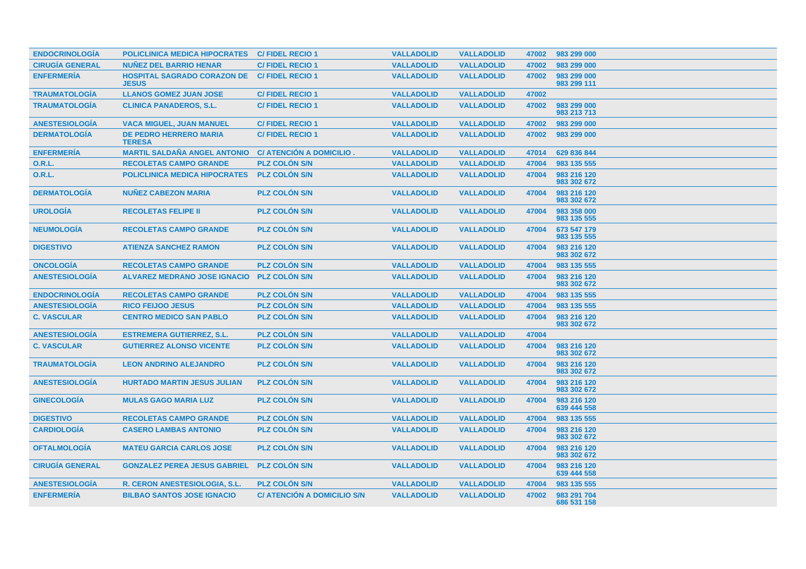| <b>ENDOCRINOLOGÍA</b>  | <b>POLICLINICA MEDICA HIPOCRATES</b>               | <b>C/FIDEL RECIO1</b>              | <b>VALLADOLID</b> | <b>VALLADOLID</b> | 47002 | 983 299 000                |
|------------------------|----------------------------------------------------|------------------------------------|-------------------|-------------------|-------|----------------------------|
| <b>CIRUGÍA GENERAL</b> | <b>NUÑEZ DEL BARRIO HENAR</b>                      | <b>C/FIDEL RECIO1</b>              | <b>VALLADOLID</b> | <b>VALLADOLID</b> | 47002 | 983 299 000                |
| <b>ENFERMERÍA</b>      | <b>HOSPITAL SAGRADO CORAZON DE</b><br><b>JESUS</b> | <b>C/FIDEL RECIO 1</b>             | <b>VALLADOLID</b> | <b>VALLADOLID</b> | 47002 | 983 299 000<br>983 299 111 |
| <b>TRAUMATOLOGÍA</b>   | <b>LLANOS GOMEZ JUAN JOSE</b>                      | <b>C/FIDEL RECIO1</b>              | <b>VALLADOLID</b> | <b>VALLADOLID</b> | 47002 |                            |
| <b>TRAUMATOLOGÍA</b>   | <b>CLINICA PANADEROS, S.L.</b>                     | <b>C/FIDEL RECIO1</b>              | <b>VALLADOLID</b> | <b>VALLADOLID</b> | 47002 | 983 299 000<br>983 213 713 |
| <b>ANESTESIOLOGÍA</b>  | <b>VACA MIGUEL, JUAN MANUEL</b>                    | <b>C/FIDEL RECIO1</b>              | <b>VALLADOLID</b> | <b>VALLADOLID</b> | 47002 | 983 299 000                |
| <b>DERMATOLOGÍA</b>    | <b>DE PEDRO HERRERO MARIA</b><br><b>TERESA</b>     | <b>C/FIDEL RECIO 1</b>             | <b>VALLADOLID</b> | <b>VALLADOLID</b> | 47002 | 983 299 000                |
| <b>ENFERMERÍA</b>      | <b>MARTIL SALDAÑA ANGEL ANTONIO</b>                | C/ ATENCIÓN A DOMICILIO.           | <b>VALLADOLID</b> | <b>VALLADOLID</b> | 47014 | 629 836 844                |
| <b>O.R.L.</b>          | <b>RECOLETAS CAMPO GRANDE</b>                      | <b>PLZ COLÓN S/N</b>               | <b>VALLADOLID</b> | <b>VALLADOLID</b> | 47004 | 983 135 555                |
| 0.R.L.                 | <b>POLICLINICA MEDICA HIPOCRATES</b>               | <b>PLZ COLON S/N</b>               | <b>VALLADOLID</b> | <b>VALLADOLID</b> | 47004 | 983 216 120<br>983 302 672 |
| <b>DERMATOLOGÍA</b>    | <b>NUNEZ CABEZON MARIA</b>                         | <b>PLZ COLÓN S/N</b>               | <b>VALLADOLID</b> | <b>VALLADOLID</b> | 47004 | 983 216 120<br>983 302 672 |
| <b>UROLOGÍA</b>        | <b>RECOLETAS FELIPE II</b>                         | <b>PLZ COLON S/N</b>               | <b>VALLADOLID</b> | <b>VALLADOLID</b> | 47004 | 983 358 000<br>983 135 555 |
| <b>NEUMOLOGÍA</b>      | <b>RECOLETAS CAMPO GRANDE</b>                      | <b>PLZ COLÓN S/N</b>               | <b>VALLADOLID</b> | <b>VALLADOLID</b> | 47004 | 673 547 179<br>983 135 555 |
| <b>DIGESTIVO</b>       | <b>ATIENZA SANCHEZ RAMON</b>                       | <b>PLZ COLON S/N</b>               | <b>VALLADOLID</b> | <b>VALLADOLID</b> | 47004 | 983 216 120<br>983 302 672 |
| <b>ONCOLOGIA</b>       | <b>RECOLETAS CAMPO GRANDE</b>                      | <b>PLZ COLÓN S/N</b>               | <b>VALLADOLID</b> | <b>VALLADOLID</b> | 47004 | 983 135 555                |
| <b>ANESTESIOLOGÍA</b>  | <b>ALVAREZ MEDRANO JOSE IGNACIO</b>                | <b>PLZ COLÓN S/N</b>               | <b>VALLADOLID</b> | <b>VALLADOLID</b> | 47004 | 983 216 120<br>983 302 672 |
| <b>ENDOCRINOLOGÍA</b>  | <b>RECOLETAS CAMPO GRANDE</b>                      | <b>PLZ COLON S/N</b>               | <b>VALLADOLID</b> | <b>VALLADOLID</b> | 47004 | 983 135 555                |
| <b>ANESTESIOLOGIA</b>  | <b>RICO FEIJOO JESUS</b>                           | <b>PLZ COLON S/N</b>               | <b>VALLADOLID</b> | <b>VALLADOLID</b> | 47004 | 983 135 555                |
| <b>C. VASCULAR</b>     | <b>CENTRO MEDICO SAN PABLO</b>                     | <b>PLZ COLON S/N</b>               | <b>VALLADOLID</b> | <b>VALLADOLID</b> | 47004 | 983 216 120<br>983 302 672 |
| <b>ANESTESIOLOGIA</b>  | <b>ESTREMERA GUTIERREZ, S.L.</b>                   | <b>PLZ COLON S/N</b>               | <b>VALLADOLID</b> | <b>VALLADOLID</b> | 47004 |                            |
| <b>C. VASCULAR</b>     | <b>GUTIERREZ ALONSO VICENTE</b>                    | <b>PLZ COLON S/N</b>               | <b>VALLADOLID</b> | <b>VALLADOLID</b> | 47004 | 983 216 120<br>983 302 672 |
| <b>TRAUMATOLOGIA</b>   | <b>LEON ANDRINO ALEJANDRO</b>                      | <b>PLZ COLÓN S/N</b>               | <b>VALLADOLID</b> | <b>VALLADOLID</b> | 47004 | 983 216 120<br>983 302 672 |
| <b>ANESTESIOLOGIA</b>  | <b>HURTADO MARTIN JESUS JULIAN</b>                 | <b>PLZ COLON S/N</b>               | <b>VALLADOLID</b> | <b>VALLADOLID</b> | 47004 | 983 216 120<br>983 302 672 |
| <b>GINECOLOGÍA</b>     | <b>MULAS GAGO MARIA LUZ</b>                        | <b>PLZ COLON S/N</b>               | <b>VALLADOLID</b> | <b>VALLADOLID</b> | 47004 | 983 216 120<br>639 444 558 |
| <b>DIGESTIVO</b>       | <b>RECOLETAS CAMPO GRANDE</b>                      | <b>PLZ COLON S/N</b>               | <b>VALLADOLID</b> | <b>VALLADOLID</b> | 47004 | 983 135 555                |
| <b>CARDIOLOGÍA</b>     | <b>CASERO LAMBAS ANTONIO</b>                       | <b>PLZ COLON S/N</b>               | <b>VALLADOLID</b> | <b>VALLADOLID</b> | 47004 | 983 216 120<br>983 302 672 |
| <b>OFTALMOLOGÍA</b>    | <b>MATEU GARCIA CARLOS JOSE</b>                    | <b>PLZ COLÓN S/N</b>               | <b>VALLADOLID</b> | <b>VALLADOLID</b> | 47004 | 983 216 120<br>983 302 672 |
| <b>CIRUGÍA GENERAL</b> | <b>GONZALEZ PEREA JESUS GABRIEL</b>                | <b>PLZ COLON S/N</b>               | <b>VALLADOLID</b> | <b>VALLADOLID</b> | 47004 | 983 216 120<br>639 444 558 |
| <b>ANESTESIOLOGIA</b>  | R. CERON ANESTESIOLOGIA, S.L.                      | <b>PLZ COLON S/N</b>               | <b>VALLADOLID</b> | <b>VALLADOLID</b> | 47004 | 983 135 555                |
| <b>ENFERMERÍA</b>      | <b>BILBAO SANTOS JOSE IGNACIO</b>                  | <b>C/ ATENCIÓN A DOMICILIO S/N</b> | <b>VALLADOLID</b> | <b>VALLADOLID</b> | 47002 | 983 291 704<br>686 531 158 |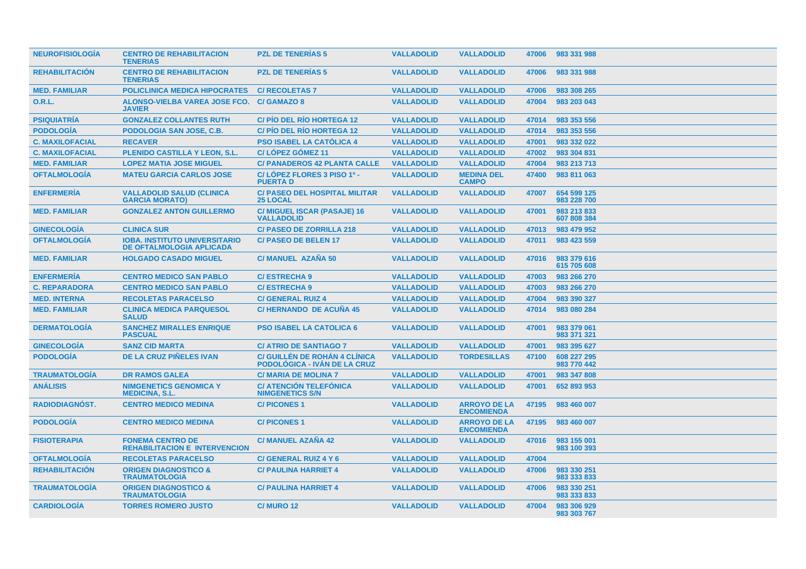| <b>NEUROFISIOLOGIA</b> | <b>CENTRO DE REHABILITACION</b><br><b>TENERIAS</b>                      | <b>PZL DE TENERIAS 5</b>                                      | <b>VALLADOLID</b> | <b>VALLADOLID</b>                        | 47006 | 983 331 988                |
|------------------------|-------------------------------------------------------------------------|---------------------------------------------------------------|-------------------|------------------------------------------|-------|----------------------------|
| <b>REHABILITACIÓN</b>  | <b>CENTRO DE REHABILITACION</b><br><b>TENERIAS</b>                      | <b>PZL DE TENERIAS 5</b>                                      | <b>VALLADOLID</b> | <b>VALLADOLID</b>                        | 47006 | 983 331 988                |
| <b>MED. FAMILIAR</b>   | <b>POLICLINICA MEDICA HIPOCRATES</b>                                    | <b>C/ RECOLETAS 7</b>                                         | <b>VALLADOLID</b> | <b>VALLADOLID</b>                        | 47006 | 983 308 265                |
| 0.R.L.                 | ALONSO-VIELBA VAREA JOSE FCO.<br><b>JAVIER</b>                          | <b>C/GAMAZO 8</b>                                             | <b>VALLADOLID</b> | <b>VALLADOLID</b>                        | 47004 | 983 203 043                |
| <b>PSIQUIATRÍA</b>     | <b>GONZALEZ COLLANTES RUTH</b>                                          | <b>C/PIO DEL RIO HORTEGA 12</b>                               | <b>VALLADOLID</b> | <b>VALLADOLID</b>                        | 47014 | 983 353 556                |
| <b>PODOLOGÍA</b>       | PODOLOGIA SAN JOSE, C.B.                                                | <b>C/PIO DEL RIO HORTEGA 12</b>                               | <b>VALLADOLID</b> | <b>VALLADOLID</b>                        | 47014 | 983 353 556                |
| <b>C. MAXILOFACIAL</b> | <b>RECAVER</b>                                                          | <b>PSO ISABEL LA CATOLICA 4</b>                               | <b>VALLADOLID</b> | <b>VALLADOLID</b>                        | 47001 | 983 332 022                |
| <b>C. MAXILOFACIAL</b> | <b>PLENIDO CASTILLA Y LEON, S.L.</b>                                    | <b>C/LÓPEZ GÓMEZ 11</b>                                       | <b>VALLADOLID</b> | <b>VALLADOLID</b>                        | 47002 | 983 304 831                |
| <b>MED. FAMILIAR</b>   | <b>LOPEZ MATIA JOSE MIGUEL</b>                                          | <b>C/ PANADEROS 42 PLANTA CALLE</b>                           | <b>VALLADOLID</b> | <b>VALLADOLID</b>                        | 47004 | 983 213 713                |
| <b>OFTALMOLOGÍA</b>    | <b>MATEU GARCIA CARLOS JOSE</b>                                         | C/LÓPEZ FLORES 3 PISO 1º -<br><b>PUERTAD</b>                  | <b>VALLADOLID</b> | <b>MEDINA DEL</b><br><b>CAMPO</b>        | 47400 | 983 811 063                |
| <b>ENFERMERÍA</b>      | <b>VALLADOLID SALUD (CLINICA</b><br><b>GARCIA MORATO)</b>               | <b>C/ PASEO DEL HOSPITAL MILITAR</b><br>25 LOCAL              | <b>VALLADOLID</b> | <b>VALLADOLID</b>                        | 47007 | 654 599 125<br>983 228 700 |
| <b>MED. FAMILIAR</b>   | <b>GONZALEZ ANTON GUILLERMO</b>                                         | <b>C/ MIGUEL ISCAR (PASAJE) 16</b><br><b>VALLADOLID</b>       | <b>VALLADOLID</b> | <b>VALLADOLID</b>                        | 47001 | 983 213 833<br>607 808 384 |
| <b>GINECOLOGÍA</b>     | <b>CLINICA SUR</b>                                                      | <b>C/ PASEO DE ZORRILLA 218</b>                               | <b>VALLADOLID</b> | <b>VALLADOLID</b>                        | 47013 | 983 479 952                |
| <b>OFTALMOLOGÍA</b>    | <b>IOBA. INSTITUTO UNIVERSITARIO</b><br><b>DE OFTALMOLOGIA APLICADA</b> | <b>C/PASEO DE BELEN 17</b>                                    | <b>VALLADOLID</b> | <b>VALLADOLID</b>                        | 47011 | 983 423 559                |
| <b>MED. FAMILIAR</b>   | <b>HOLGADO CASADO MIGUEL</b>                                            | C/ MANUEL AZAÑA 50                                            | <b>VALLADOLID</b> | <b>VALLADOLID</b>                        | 47016 | 983 379 616<br>615 705 608 |
| <b>ENFERMERÍA</b>      | <b>CENTRO MEDICO SAN PABLO</b>                                          | <b>C/ESTRECHA 9</b>                                           | <b>VALLADOLID</b> | <b>VALLADOLID</b>                        | 47003 | 983 266 270                |
| <b>C. REPARADORA</b>   | <b>CENTRO MEDICO SAN PABLO</b>                                          | <b>C/ESTRECHA 9</b>                                           | <b>VALLADOLID</b> | <b>VALLADOLID</b>                        | 47003 | 983 266 270                |
| <b>MED. INTERNA</b>    | <b>RECOLETAS PARACELSO</b>                                              | <b>C/ GENERAL RUIZ 4</b>                                      | <b>VALLADOLID</b> | <b>VALLADOLID</b>                        | 47004 | 983 390 327                |
| <b>MED. FAMILIAR</b>   | <b>CLINICA MEDICA PARQUESOL</b><br><b>SALUD</b>                         | C/HERNANDO DE ACUÑA 45                                        | <b>VALLADOLID</b> | <b>VALLADOLID</b>                        | 47014 | 983 080 284                |
| <b>DERMATOLOGÍA</b>    | <b>SANCHEZ MIRALLES ENRIQUE</b><br><b>PASCUAL</b>                       | <b>PSO ISABEL LA CATOLICA 6</b>                               | <b>VALLADOLID</b> | <b>VALLADOLID</b>                        | 47001 | 983 379 061<br>983 371 321 |
| <b>GINECOLOGÍA</b>     | <b>SANZ CID MARTA</b>                                                   | <b>C/ ATRIO DE SANTIAGO 7</b>                                 | <b>VALLADOLID</b> | <b>VALLADOLID</b>                        | 47001 | 983 395 627                |
| <b>PODOLOGÍA</b>       | <b>DE LA CRUZ PIÑELES IVAN</b>                                          | C/ GUILLÉN DE ROHÁN 4 CLÍNICA<br>PODOLÓGICA - IVÁN DE LA CRUZ | <b>VALLADOLID</b> | <b>TORDESILLAS</b>                       | 47100 | 608 227 295<br>983 770 442 |
| <b>TRAUMATOLOGÍA</b>   | <b>DR RAMOS GALEA</b>                                                   | <b>C/ MARIA DE MOLINA 7</b>                                   | <b>VALLADOLID</b> | <b>VALLADOLID</b>                        | 47001 | 983 347 808                |
| <b>ANÁLISIS</b>        | <b>NIMGENETICS GENOMICA Y</b><br><b>MEDICINA, S.L.</b>                  | <b>C/ ATENCIÓN TELEFÓNICA</b><br><b>NIMGENETICS S/N</b>       | <b>VALLADOLID</b> | <b>VALLADOLID</b>                        | 47001 | 652 893 953                |
| RADIODIAGNÓST.         | <b>CENTRO MEDICO MEDINA</b>                                             | <b>C/PICONES1</b>                                             | <b>VALLADOLID</b> | <b>ARROYO DE LA</b><br><b>ENCOMIENDA</b> | 47195 | 983 460 007                |
| <b>PODOLOGÍA</b>       | <b>CENTRO MEDICO MEDINA</b>                                             | <b>C/PICONES1</b>                                             | <b>VALLADOLID</b> | <b>ARROYO DE LA</b><br><b>ENCOMIENDA</b> | 47195 | 983 460 007                |
| <b>FISIOTERAPIA</b>    | <b>FONEMA CENTRO DE</b><br><b>REHABILITACION E INTERVENCION</b>         | <b>C/ MANUEL AZAÑA 42</b>                                     | <b>VALLADOLID</b> | <b>VALLADOLID</b>                        | 47016 | 983 155 001<br>983 100 393 |
| <b>OFTALMOLOGÍA</b>    | <b>RECOLETAS PARACELSO</b>                                              | C/ GENERAL RUIZ 4 Y 6                                         | <b>VALLADOLID</b> | <b>VALLADOLID</b>                        | 47004 |                            |
| <b>REHABILITACIÓN</b>  | <b>ORIGEN DIAGNOSTICO &amp;</b><br><b>TRAUMATOLOGIA</b>                 | <b>C/ PAULINA HARRIET 4</b>                                   | <b>VALLADOLID</b> | <b>VALLADOLID</b>                        | 47006 | 983 330 251<br>983 333 833 |
| <b>TRAUMATOLOGIA</b>   | <b>ORIGEN DIAGNOSTICO &amp;</b><br><b>TRAUMATOLOGIA</b>                 | <b>C/ PAULINA HARRIET 4</b>                                   | <b>VALLADOLID</b> | <b>VALLADOLID</b>                        | 47006 | 983 330 251<br>983 333 833 |
| <b>CARDIOLOGIA</b>     | <b>TORRES ROMERO JUSTO</b>                                              | <b>C/ MURO 12</b>                                             | <b>VALLADOLID</b> | <b>VALLADOLID</b>                        | 47004 | 983 306 929<br>983 303 767 |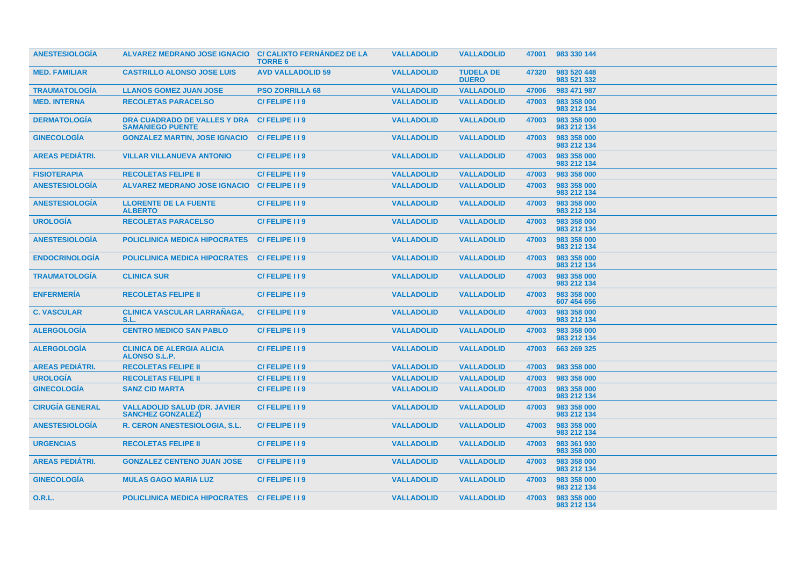| <b>ANESTESIOLOGIA</b>  | <b>ALVAREZ MEDRANO JOSE IGNACIO</b>                              | <b>C/ CALIXTO FERNÁNDEZ DE LA</b><br><b>TORRE 6</b> | <b>VALLADOLID</b> | <b>VALLADOLID</b>                | 47001 | 983 330 144                |
|------------------------|------------------------------------------------------------------|-----------------------------------------------------|-------------------|----------------------------------|-------|----------------------------|
| <b>MED. FAMILIAR</b>   | <b>CASTRILLO ALONSO JOSE LUIS</b>                                | <b>AVD VALLADOLID 59</b>                            | <b>VALLADOLID</b> | <b>TUDELA DE</b><br><b>DUERO</b> | 47320 | 983 520 448<br>983 521 332 |
| <b>TRAUMATOLOGIA</b>   | <b>LLANOS GOMEZ JUAN JOSE</b>                                    | <b>PSO ZORRILLA 68</b>                              | <b>VALLADOLID</b> | <b>VALLADOLID</b>                | 47006 | 983 471 987                |
| <b>MED. INTERNA</b>    | <b>RECOLETAS PARACELSO</b>                                       | C/FELIPE 119                                        | <b>VALLADOLID</b> | <b>VALLADOLID</b>                | 47003 | 983 358 000<br>983 212 134 |
| <b>DERMATOLOGIA</b>    | <b>DRA CUADRADO DE VALLES Y DRA</b><br><b>SAMANIEGO PUENTE</b>   | C/FELIPE 119                                        | <b>VALLADOLID</b> | <b>VALLADOLID</b>                | 47003 | 983 358 000<br>983 212 134 |
| <b>GINECOLOGIA</b>     | <b>GONZALEZ MARTIN, JOSE IGNACIO</b>                             | C/FELIPE 119                                        | <b>VALLADOLID</b> | <b>VALLADOLID</b>                | 47003 | 983 358 000<br>983 212 134 |
| <b>AREAS PEDIÁTRI.</b> | <b>VILLAR VILLANUEVA ANTONIO</b>                                 | C/FELIPE I I 9                                      | <b>VALLADOLID</b> | <b>VALLADOLID</b>                | 47003 | 983 358 000<br>983 212 134 |
| <b>FISIOTERAPIA</b>    | <b>RECOLETAS FELIPE II</b>                                       | C/FELIPE I I 9                                      | <b>VALLADOLID</b> | <b>VALLADOLID</b>                | 47003 | 983 358 000                |
| <b>ANESTESIOLOGÍA</b>  | <b>ALVAREZ MEDRANO JOSE IGNACIO</b>                              | C/FELIPE 119                                        | <b>VALLADOLID</b> | <b>VALLADOLID</b>                | 47003 | 983 358 000<br>983 212 134 |
| <b>ANESTESIOLOGÍA</b>  | <b>LLORENTE DE LA FUENTE</b><br><b>ALBERTO</b>                   | C/FELIPE 119                                        | <b>VALLADOLID</b> | <b>VALLADOLID</b>                | 47003 | 983 358 000<br>983 212 134 |
| <b>UROLOGÍA</b>        | <b>RECOLETAS PARACELSO</b>                                       | C/FELIPE 119                                        | <b>VALLADOLID</b> | <b>VALLADOLID</b>                | 47003 | 983 358 000<br>983 212 134 |
| <b>ANESTESIOLOGÍA</b>  | <b>POLICLINICA MEDICA HIPOCRATES</b>                             | C/FELIPE 119                                        | <b>VALLADOLID</b> | <b>VALLADOLID</b>                | 47003 | 983 358 000<br>983 212 134 |
| <b>ENDOCRINOLOGIA</b>  | <b>POLICLINICA MEDICA HIPOCRATES</b>                             | C/FELIPE 119                                        | <b>VALLADOLID</b> | <b>VALLADOLID</b>                | 47003 | 983 358 000<br>983 212 134 |
| <b>TRAUMATOLOGIA</b>   | <b>CLINICA SUR</b>                                               | C/FELIPE II9                                        | <b>VALLADOLID</b> | <b>VALLADOLID</b>                | 47003 | 983 358 000<br>983 212 134 |
| <b>ENFERMERÍA</b>      | <b>RECOLETAS FELIPE II</b>                                       | C/FELIPE 119                                        | <b>VALLADOLID</b> | <b>VALLADOLID</b>                | 47003 | 983 358 000<br>607 454 656 |
| <b>C. VASCULAR</b>     | <b>CLINICA VASCULAR LARRAÑAGA,</b><br>S.L.                       | C/FELIPE 119                                        | <b>VALLADOLID</b> | <b>VALLADOLID</b>                | 47003 | 983 358 000<br>983 212 134 |
| <b>ALERGOLOGIA</b>     | <b>CENTRO MEDICO SAN PABLO</b>                                   | C/FELIPE I I 9                                      | <b>VALLADOLID</b> | <b>VALLADOLID</b>                | 47003 | 983 358 000<br>983 212 134 |
| <b>ALERGOLOGÍA</b>     | <b>CLINICA DE ALERGIA ALICIA</b><br><b>ALONSO S.L.P.</b>         | C/FELIPE I I 9                                      | <b>VALLADOLID</b> | <b>VALLADOLID</b>                | 47003 | 663 269 325                |
| <b>AREAS PEDIÁTRI.</b> | <b>RECOLETAS FELIPE II</b>                                       | C/FELIPE I I 9                                      | <b>VALLADOLID</b> | <b>VALLADOLID</b>                | 47003 | 983 358 000                |
| <b>UROLOGÍA</b>        | <b>RECOLETAS FELIPE II</b>                                       | C/FELIPE II9                                        | <b>VALLADOLID</b> | <b>VALLADOLID</b>                | 47003 | 983 358 000                |
| <b>GINECOLOGÍA</b>     | <b>SANZ CID MARTA</b>                                            | C/FELIPE I I 9                                      | <b>VALLADOLID</b> | <b>VALLADOLID</b>                | 47003 | 983 358 000<br>983 212 134 |
| <b>CIRUGÍA GENERAL</b> | <b>VALLADOLID SALUD (DR. JAVIER)</b><br><b>SANCHEZ GONZALEZ)</b> | C/FELIPE I I 9                                      | <b>VALLADOLID</b> | <b>VALLADOLID</b>                | 47003 | 983 358 000<br>983 212 134 |
| <b>ANESTESIOLOGÍA</b>  | R. CERON ANESTESIOLOGIA, S.L.                                    | C/FELIPE 119                                        | <b>VALLADOLID</b> | <b>VALLADOLID</b>                | 47003 | 983 358 000<br>983 212 134 |
| <b>URGENCIAS</b>       | <b>RECOLETAS FELIPE II</b>                                       | C/FELIPE I I 9                                      | <b>VALLADOLID</b> | <b>VALLADOLID</b>                | 47003 | 983 361 930<br>983 358 000 |
| <b>AREAS PEDIÁTRI.</b> | <b>GONZALEZ CENTENO JUAN JOSE</b>                                | C/FELIPE I I 9                                      | <b>VALLADOLID</b> | <b>VALLADOLID</b>                | 47003 | 983 358 000<br>983 212 134 |
| <b>GINECOLOGIA</b>     | <b>MULAS GAGO MARIA LUZ</b>                                      | C/FELIPE 119                                        | <b>VALLADOLID</b> | <b>VALLADOLID</b>                | 47003 | 983 358 000<br>983 212 134 |
| <b>O.R.L.</b>          | <b>POLICLINICA MEDICA HIPOCRATES</b>                             | C/FELIPE 119                                        | <b>VALLADOLID</b> | <b>VALLADOLID</b>                | 47003 | 983 358 000<br>983 212 134 |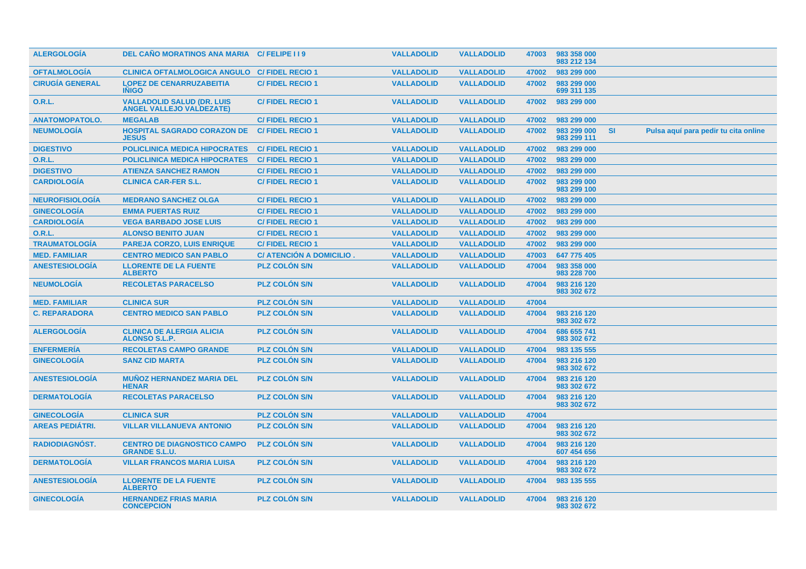| <b>ALERGOLOGIA</b>     | DEL CAÑO MORATINOS ANA MARIA C/ FELIPE I I 9                         |                                | <b>VALLADOLID</b> | <b>VALLADOLID</b> | 47003 | 983 358 000<br>983 212 134 |           |                                      |  |
|------------------------|----------------------------------------------------------------------|--------------------------------|-------------------|-------------------|-------|----------------------------|-----------|--------------------------------------|--|
| <b>OFTALMOLOGÍA</b>    | <b>CLINICA OFTALMOLOGICA ANGULO C/ FIDEL RECIO 1</b>                 |                                | <b>VALLADOLID</b> | <b>VALLADOLID</b> | 47002 | 983 299 000                |           |                                      |  |
| <b>CIRUGÍA GENERAL</b> | <b>LOPEZ DE CENARRUZABEITIA</b><br><b>INIGO</b>                      | <b>C/FIDEL RECIO1</b>          | <b>VALLADOLID</b> | <b>VALLADOLID</b> | 47002 | 983 299 000<br>699 311 135 |           |                                      |  |
| <b>O.R.L.</b>          | <b>VALLADOLID SALUD (DR. LUIS</b><br><b>ANGEL VALLEJO VALDEZATE)</b> | <b>C/FIDEL RECIO 1</b>         | <b>VALLADOLID</b> | <b>VALLADOLID</b> | 47002 | 983 299 000                |           |                                      |  |
| <b>ANATOMOPATOLO.</b>  | <b>MEGALAB</b>                                                       | <b>C/FIDEL RECIO1</b>          | <b>VALLADOLID</b> | <b>VALLADOLID</b> | 47002 | 983 299 000                |           |                                      |  |
| <b>NEUMOLOGÍA</b>      | <b>HOSPITAL SAGRADO CORAZON DE</b><br><b>JESUS</b>                   | <b>C/FIDEL RECIO 1</b>         | <b>VALLADOLID</b> | <b>VALLADOLID</b> | 47002 | 983 299 000<br>983 299 111 | <b>SI</b> | Pulsa aquí para pedir tu cita online |  |
| <b>DIGESTIVO</b>       | <b>POLICLINICA MEDICA HIPOCRATES</b>                                 | <b>C/FIDEL RECIO 1</b>         | <b>VALLADOLID</b> | <b>VALLADOLID</b> | 47002 | 983 299 000                |           |                                      |  |
| 0.R.L.                 | <b>POLICLINICA MEDICA HIPOCRATES</b>                                 | <b>C/FIDEL RECIO 1</b>         | <b>VALLADOLID</b> | <b>VALLADOLID</b> | 47002 | 983 299 000                |           |                                      |  |
| <b>DIGESTIVO</b>       | <b>ATIENZA SANCHEZ RAMON</b>                                         | <b>C/FIDEL RECIO1</b>          | <b>VALLADOLID</b> | <b>VALLADOLID</b> | 47002 | 983 299 000                |           |                                      |  |
| <b>CARDIOLOGÍA</b>     | <b>CLINICA CAR-FER S.L.</b>                                          | <b>C/FIDEL RECIO1</b>          | <b>VALLADOLID</b> | <b>VALLADOLID</b> | 47002 | 983 299 000<br>983 299 100 |           |                                      |  |
| <b>NEUROFISIOLOGÍA</b> | <b>MEDRANO SANCHEZ OLGA</b>                                          | <b>C/FIDEL RECIO1</b>          | <b>VALLADOLID</b> | <b>VALLADOLID</b> | 47002 | 983 299 000                |           |                                      |  |
| <b>GINECOLOGÍA</b>     | <b>EMMA PUERTAS RUIZ</b>                                             | <b>C/FIDEL RECIO1</b>          | <b>VALLADOLID</b> | <b>VALLADOLID</b> | 47002 | 983 299 000                |           |                                      |  |
| <b>CARDIOLOGÍA</b>     | <b>VEGA BARBADO JOSE LUIS</b>                                        | <b>C/FIDEL RECIO1</b>          | <b>VALLADOLID</b> | <b>VALLADOLID</b> | 47002 | 983 299 000                |           |                                      |  |
| <b>O.R.L.</b>          | <b>ALONSO BENITO JUAN</b>                                            | <b>C/FIDEL RECIO1</b>          | <b>VALLADOLID</b> | <b>VALLADOLID</b> | 47002 | 983 299 000                |           |                                      |  |
| <b>TRAUMATOLOGÍA</b>   | <b>PAREJA CORZO, LUIS ENRIQUE</b>                                    | <b>C/FIDEL RECIO1</b>          | <b>VALLADOLID</b> | <b>VALLADOLID</b> | 47002 | 983 299 000                |           |                                      |  |
| <b>MED. FAMILIAR</b>   | <b>CENTRO MEDICO SAN PABLO</b>                                       | <b>C/ ATENCIÓN A DOMICILIO</b> | <b>VALLADOLID</b> | <b>VALLADOLID</b> | 47003 | 647 775 405                |           |                                      |  |
| <b>ANESTESIOLOGÍA</b>  | <b>LLORENTE DE LA FUENTE</b><br><b>ALBERTO</b>                       | PLZ COLÓN S/N                  | <b>VALLADOLID</b> | <b>VALLADOLID</b> | 47004 | 983 358 000<br>983 228 700 |           |                                      |  |
| <b>NEUMOLOGÍA</b>      | <b>RECOLETAS PARACELSO</b>                                           | <b>PLZ COLÓN S/N</b>           | <b>VALLADOLID</b> | <b>VALLADOLID</b> | 47004 | 983 216 120<br>983 302 672 |           |                                      |  |
| <b>MED. FAMILIAR</b>   | <b>CLINICA SUR</b>                                                   | <b>PLZ COLON S/N</b>           | <b>VALLADOLID</b> | <b>VALLADOLID</b> | 47004 |                            |           |                                      |  |
| <b>C. REPARADORA</b>   | <b>CENTRO MEDICO SAN PABLO</b>                                       | <b>PLZ COLON S/N</b>           | <b>VALLADOLID</b> | <b>VALLADOLID</b> | 47004 | 983 216 120<br>983 302 672 |           |                                      |  |
| <b>ALERGOLOGIA</b>     | <b>CLINICA DE ALERGIA ALICIA</b><br><b>ALONSO S.L.P.</b>             | <b>PLZ COLÓN S/N</b>           | <b>VALLADOLID</b> | <b>VALLADOLID</b> | 47004 | 686 655 741<br>983 302 672 |           |                                      |  |
| <b>ENFERMERÍA</b>      | <b>RECOLETAS CAMPO GRANDE</b>                                        | <b>PLZ COLÓN S/N</b>           | <b>VALLADOLID</b> | <b>VALLADOLID</b> | 47004 | 983 135 555                |           |                                      |  |
| <b>GINECOLOGIA</b>     | <b>SANZ CID MARTA</b>                                                | <b>PLZ COLON S/N</b>           | <b>VALLADOLID</b> | <b>VALLADOLID</b> | 47004 | 983 216 120<br>983 302 672 |           |                                      |  |
| ANESTESIOLOGÍA         | <b>MUÑOZ HERNANDEZ MARIA DEL</b><br><b>HENAR</b>                     | <b>PLZ COLÓN S/N</b>           | <b>VALLADOLID</b> | <b>VALLADOLID</b> | 47004 | 983 216 120<br>983 302 672 |           |                                      |  |
| <b>DERMATOLOGÍA</b>    | <b>RECOLETAS PARACELSO</b>                                           | <b>PLZ COLON S/N</b>           | <b>VALLADOLID</b> | <b>VALLADOLID</b> | 47004 | 983 216 120<br>983 302 672 |           |                                      |  |
| <b>GINECOLOGÍA</b>     | <b>CLINICA SUR</b>                                                   | <b>PLZ COLÓN S/N</b>           | <b>VALLADOLID</b> | <b>VALLADOLID</b> | 47004 |                            |           |                                      |  |
| <b>AREAS PEDIÁTRI.</b> | <b>VILLAR VILLANUEVA ANTONIO</b>                                     | <b>PLZ COLÓN S/N</b>           | <b>VALLADOLID</b> | <b>VALLADOLID</b> | 47004 | 983 216 120<br>983 302 672 |           |                                      |  |
| RADIODIAGNÓST.         | <b>CENTRO DE DIAGNOSTICO CAMPO</b><br><b>GRANDE S.L.U.</b>           | <b>PLZ COLON S/N</b>           | <b>VALLADOLID</b> | <b>VALLADOLID</b> | 47004 | 983 216 120<br>607 454 656 |           |                                      |  |
| <b>DERMATOLOGÍA</b>    | <b>VILLAR FRANCOS MARIA LUISA</b>                                    | <b>PLZ COLON S/N</b>           | <b>VALLADOLID</b> | <b>VALLADOLID</b> | 47004 | 983 216 120<br>983 302 672 |           |                                      |  |
| <b>ANESTESIOLOGIA</b>  | <b>LLORENTE DE LA FUENTE</b><br><b>ALBERTO</b>                       | <b>PLZ COLON S/N</b>           | <b>VALLADOLID</b> | <b>VALLADOLID</b> | 47004 | 983 135 555                |           |                                      |  |
| <b>GINECOLOGIA</b>     | <b>HERNANDEZ FRIAS MARIA</b><br><b>CONCEPCION</b>                    | <b>PLZ COLON S/N</b>           | <b>VALLADOLID</b> | <b>VALLADOLID</b> | 47004 | 983 216 120<br>983 302 672 |           |                                      |  |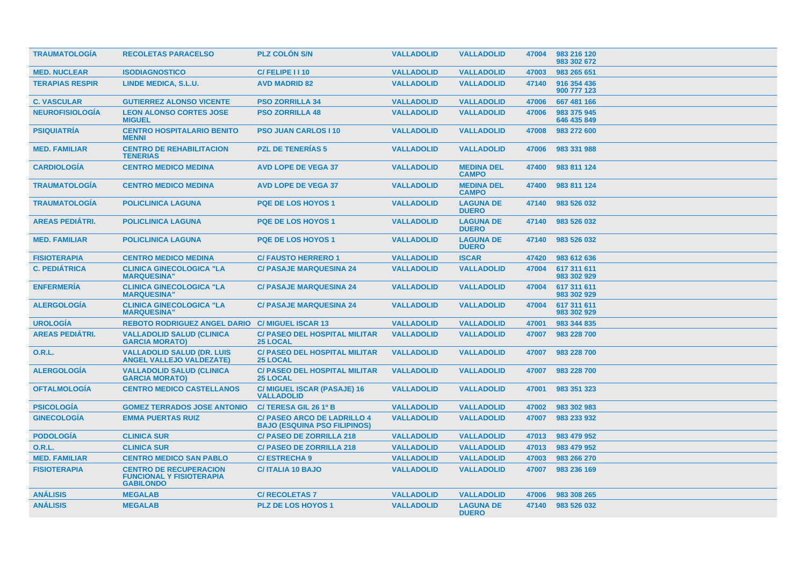| <b>TRAUMATOLOGIA</b>   | <b>RECOLETAS PARACELSO</b>                                                           | <b>PLZ COLON S/N</b>                                                      | <b>VALLADOLID</b> | <b>VALLADOLID</b>                 | 47004 | 983 216 120<br>983 302 672 |
|------------------------|--------------------------------------------------------------------------------------|---------------------------------------------------------------------------|-------------------|-----------------------------------|-------|----------------------------|
| <b>MED. NUCLEAR</b>    | <b>ISODIAGNOSTICO</b>                                                                | C/FELIPE I I 10                                                           | <b>VALLADOLID</b> | <b>VALLADOLID</b>                 | 47003 | 983 265 651                |
| <b>TERAPIAS RESPIR</b> | LINDE MEDICA, S.L.U.                                                                 | <b>AVD MADRID 82</b>                                                      | <b>VALLADOLID</b> | <b>VALLADOLID</b>                 | 47140 | 916 354 436<br>900 777 123 |
| <b>C. VASCULAR</b>     | <b>GUTIERREZ ALONSO VICENTE</b>                                                      | <b>PSO ZORRILLA 34</b>                                                    | <b>VALLADOLID</b> | <b>VALLADOLID</b>                 | 47006 | 667 481 166                |
| <b>NEUROFISIOLOGÍA</b> | <b>LEON ALONSO CORTES JOSE</b><br><b>MIGUEL</b>                                      | <b>PSO ZORRILLA 48</b>                                                    | <b>VALLADOLID</b> | <b>VALLADOLID</b>                 | 47006 | 983 375 945<br>646 435 849 |
| <b>PSIQUIATRÍA</b>     | <b>CENTRO HOSPITALARIO BENITO</b><br><b>MENNI</b>                                    | <b>PSO JUAN CARLOS   10</b>                                               | <b>VALLADOLID</b> | <b>VALLADOLID</b>                 | 47008 | 983 272 600                |
| <b>MED. FAMILIAR</b>   | <b>CENTRO DE REHABILITACION</b><br><b>TENERIAS</b>                                   | <b>PZL DE TENERIAS 5</b>                                                  | <b>VALLADOLID</b> | <b>VALLADOLID</b>                 | 47006 | 983 331 988                |
| <b>CARDIOLOGIA</b>     | <b>CENTRO MEDICO MEDINA</b>                                                          | <b>AVD LOPE DE VEGA 37</b>                                                | <b>VALLADOLID</b> | <b>MEDINA DEL</b><br><b>CAMPO</b> | 47400 | 983 811 124                |
| <b>TRAUMATOLOGIA</b>   | <b>CENTRO MEDICO MEDINA</b>                                                          | <b>AVD LOPE DE VEGA 37</b>                                                | <b>VALLADOLID</b> | <b>MEDINA DEL</b><br><b>CAMPO</b> | 47400 | 983 811 124                |
| <b>TRAUMATOLOGIA</b>   | <b>POLICLINICA LAGUNA</b>                                                            | <b>PQE DE LOS HOYOS 1</b>                                                 | <b>VALLADOLID</b> | <b>LAGUNA DE</b><br><b>DUERO</b>  | 47140 | 983 526 032                |
| <b>AREAS PEDIATRI.</b> | <b>POLICLINICA LAGUNA</b>                                                            | <b>PQE DE LOS HOYOS 1</b>                                                 | <b>VALLADOLID</b> | <b>LAGUNA DE</b><br><b>DUERO</b>  | 47140 | 983 526 032                |
| <b>MED. FAMILIAR</b>   | <b>POLICLINICA LAGUNA</b>                                                            | <b>PQE DE LOS HOYOS 1</b>                                                 | <b>VALLADOLID</b> | <b>LAGUNA DE</b><br><b>DUERO</b>  | 47140 | 983 526 032                |
| <b>FISIOTERAPIA</b>    | <b>CENTRO MEDICO MEDINA</b>                                                          | <b>C/FAUSTO HERRERO 1</b>                                                 | <b>VALLADOLID</b> | <b>ISCAR</b>                      | 47420 | 983 612 636                |
| <b>C. PEDIÁTRICA</b>   | <b>CLINICA GINECOLOGICA "LA</b><br><b>MARQUESINA"</b>                                | <b>C/ PASAJE MARQUESINA 24</b>                                            | <b>VALLADOLID</b> | <b>VALLADOLID</b>                 | 47004 | 617 311 611<br>983 302 929 |
| <b>ENFERMERÍA</b>      | <b>CLINICA GINECOLOGICA "LA</b><br><b>MARQUESINA'</b>                                | <b>C/ PASAJE MARQUESINA 24</b>                                            | <b>VALLADOLID</b> | <b>VALLADOLID</b>                 | 47004 | 617 311 611<br>983 302 929 |
| <b>ALERGOLOGIA</b>     | <b>CLINICA GINECOLOGICA "LA</b><br><b>MARQUESINA"</b>                                | <b>C/ PASAJE MARQUESINA 24</b>                                            | <b>VALLADOLID</b> | <b>VALLADOLID</b>                 | 47004 | 617 311 611<br>983 302 929 |
| <b>UROLOGÍA</b>        | <b>REBOTO RODRIGUEZ ANGEL DARIO</b>                                                  | <b>C/ MIGUEL ISCAR 13</b>                                                 | <b>VALLADOLID</b> | <b>VALLADOLID</b>                 | 47001 | 983 344 835                |
| <b>AREAS PEDIÁTRI.</b> | <b>VALLADOLID SALUD (CLINICA</b><br><b>GARCIA MORATO)</b>                            | <b>C/ PASEO DEL HOSPITAL MILITAR</b><br><b>25 LOCAL</b>                   | <b>VALLADOLID</b> | <b>VALLADOLID</b>                 | 47007 | 983 228 700                |
| <b>O.R.L.</b>          | <b>VALLADOLID SALUD (DR. LUIS</b><br><b>ANGEL VALLEJO VALDEZATE)</b>                 | <b>C/ PASEO DEL HOSPITAL MILITAR</b><br><b>25 LOCAL</b>                   | <b>VALLADOLID</b> | <b>VALLADOLID</b>                 | 47007 | 983 228 700                |
| <b>ALERGOLOGIA</b>     | <b>VALLADOLID SALUD (CLINICA</b><br><b>GARCIA MORATO)</b>                            | <b>C/ PASEO DEL HOSPITAL MILITAR</b><br><b>25 LOCAL</b>                   | <b>VALLADOLID</b> | <b>VALLADOLID</b>                 | 47007 | 983 228 700                |
| <b>OFTALMOLOGIA</b>    | <b>CENTRO MEDICO CASTELLANOS</b>                                                     | C/ MIGUEL ISCAR (PASAJE) 16<br><b>VALLADOLID</b>                          | <b>VALLADOLID</b> | <b>VALLADOLID</b>                 | 47001 | 983 351 323                |
| <b>PSICOLOGÍA</b>      | <b>GOMEZ TERRADOS JOSE ANTONIO</b>                                                   | C/TERESA GIL 26 1º B                                                      | <b>VALLADOLID</b> | <b>VALLADOLID</b>                 | 47002 | 983 302 983                |
| <b>GINECOLOGIA</b>     | <b>EMMA PUERTAS RUIZ</b>                                                             | <b>C/ PASEO ARCO DE LADRILLO 4</b><br><b>BAJO (ESQUINA PSO FILIPINOS)</b> | <b>VALLADOLID</b> | <b>VALLADOLID</b>                 | 47007 | 983 233 932                |
| <b>PODOLOGÍA</b>       | <b>CLINICA SUR</b>                                                                   | <b>C/ PASEO DE ZORRILLA 218</b>                                           | <b>VALLADOLID</b> | <b>VALLADOLID</b>                 | 47013 | 983 479 952                |
| 0.R.L.                 | <b>CLINICA SUR</b>                                                                   | <b>C/ PASEO DE ZORRILLA 218</b>                                           | <b>VALLADOLID</b> | <b>VALLADOLID</b>                 | 47013 | 983 479 952                |
| <b>MED. FAMILIAR</b>   | <b>CENTRO MEDICO SAN PABLO</b>                                                       | <b>C/ESTRECHA9</b>                                                        | <b>VALLADOLID</b> | <b>VALLADOLID</b>                 | 47003 | 983 266 270                |
| <b>FISIOTERAPIA</b>    | <b>CENTRO DE RECUPERACION</b><br><b>FUNCIONAL Y FISIOTERAPIA</b><br><b>GABILONDO</b> | <b>C/ITALIA 10 BAJO</b>                                                   | <b>VALLADOLID</b> | <b>VALLADOLID</b>                 | 47007 | 983 236 169                |
| <b>ANÁLISIS</b>        | <b>MEGALAB</b>                                                                       | <b>C/ RECOLETAS 7</b>                                                     | <b>VALLADOLID</b> | <b>VALLADOLID</b>                 | 47006 | 983 308 265                |
| <b>ANÁLISIS</b>        | <b>MEGALAB</b>                                                                       | PLZ DE LOS HOYOS 1                                                        | <b>VALLADOLID</b> | <b>LAGUNA DE</b><br><b>DUERO</b>  | 47140 | 983 526 032                |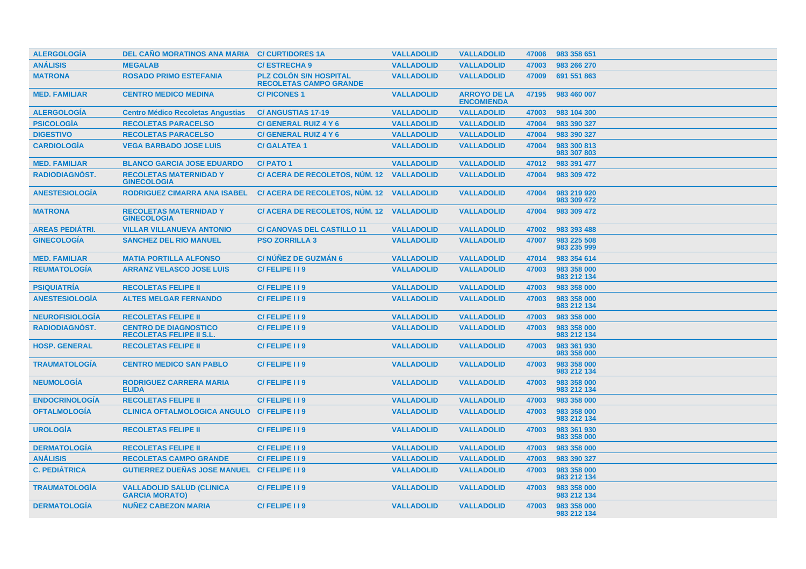| <b>ALERGOLOGÍA</b>     | DEL CAÑO MORATINOS ANA MARIA                                    | <b>C/CURTIDORES 1A</b>                                         | <b>VALLADOLID</b> | <b>VALLADOLID</b>                        | 47006 | 983 358 651                |
|------------------------|-----------------------------------------------------------------|----------------------------------------------------------------|-------------------|------------------------------------------|-------|----------------------------|
| <b>ANÁLISIS</b>        | <b>MEGALAB</b>                                                  | <b>C/ESTRECHA 9</b>                                            | <b>VALLADOLID</b> | <b>VALLADOLID</b>                        | 47003 | 983 266 270                |
| <b>MATRONA</b>         | <b>ROSADO PRIMO ESTEFANIA</b>                                   | <b>PLZ COLON S/N HOSPITAL</b><br><b>RECOLETAS CAMPO GRANDE</b> | <b>VALLADOLID</b> | <b>VALLADOLID</b>                        | 47009 | 691 551 863                |
| <b>MED. FAMILIAR</b>   | <b>CENTRO MEDICO MEDINA</b>                                     | <b>C/PICONES1</b>                                              | <b>VALLADOLID</b> | <b>ARROYO DE LA</b><br><b>ENCOMIENDA</b> | 47195 | 983 460 007                |
| <b>ALERGOLOGÍA</b>     | <b>Centro Médico Recoletas Angustias</b>                        | <b>C/ANGUSTIAS 17-19</b>                                       | <b>VALLADOLID</b> | <b>VALLADOLID</b>                        | 47003 | 983 104 300                |
| <b>PSICOLOGIA</b>      | <b>RECOLETAS PARACELSO</b>                                      | C/ GENERAL RUIZ 4 Y 6                                          | <b>VALLADOLID</b> | <b>VALLADOLID</b>                        | 47004 | 983 390 327                |
| <b>DIGESTIVO</b>       | <b>RECOLETAS PARACELSO</b>                                      | C/ GENERAL RUIZ 4 Y 6                                          | <b>VALLADOLID</b> | <b>VALLADOLID</b>                        | 47004 | 983 390 327                |
| <b>CARDIOLOGÍA</b>     | <b>VEGA BARBADO JOSE LUIS</b>                                   | <b>C/ GALATEA 1</b>                                            | <b>VALLADOLID</b> | <b>VALLADOLID</b>                        | 47004 | 983 300 813<br>983 307 803 |
| <b>MED. FAMILIAR</b>   | <b>BLANCO GARCIA JOSE EDUARDO</b>                               | <b>C/PATO1</b>                                                 | <b>VALLADOLID</b> | <b>VALLADOLID</b>                        | 47012 | 983 391 477                |
| <b>RADIODIAGNÓST.</b>  | <b>RECOLETAS MATERNIDAD Y</b><br><b>GINECOLOGIA</b>             | C/ ACERA DE RECOLETOS, NUM. 12                                 | <b>VALLADOLID</b> | <b>VALLADOLID</b>                        | 47004 | 983 309 472                |
| <b>ANESTESIOLOGIA</b>  | <b>RODRIGUEZ CIMARRA ANA ISABEL</b>                             | C/ ACERA DE RECOLETOS, NUM. 12 VALLADOLID                      |                   | <b>VALLADOLID</b>                        | 47004 | 983 219 920<br>983 309 472 |
| <b>MATRONA</b>         | <b>RECOLETAS MATERNIDAD Y</b><br><b>GINECOLOGIA</b>             | C/ ACERA DE RECOLETOS, NÚM. 12 VALLADOLID                      |                   | <b>VALLADOLID</b>                        | 47004 | 983 309 472                |
| <b>AREAS PEDIÁTRI.</b> | <b>VILLAR VILLANUEVA ANTONIO</b>                                | <b>C/ CANOVAS DEL CASTILLO 11</b>                              | <b>VALLADOLID</b> | <b>VALLADOLID</b>                        | 47002 | 983 393 488                |
| <b>GINECOLOGÍA</b>     | <b>SANCHEZ DEL RIO MANUEL</b>                                   | <b>PSO ZORRILLA 3</b>                                          | <b>VALLADOLID</b> | <b>VALLADOLID</b>                        | 47007 | 983 225 508<br>983 235 999 |
| <b>MED. FAMILIAR</b>   | <b>MATIA PORTILLA ALFONSO</b>                                   | <b>C/NÚÑEZ DE GUZMÁN 6</b>                                     | <b>VALLADOLID</b> | <b>VALLADOLID</b>                        | 47014 | 983 354 614                |
| <b>REUMATOLOGÍA</b>    | <b>ARRANZ VELASCO JOSE LUIS</b>                                 | C/FELIPE 119                                                   | <b>VALLADOLID</b> | <b>VALLADOLID</b>                        | 47003 | 983 358 000<br>983 212 134 |
| <b>PSIQUIATRÍA</b>     | <b>RECOLETAS FELIPE II</b>                                      | C/FELIPE 119                                                   | <b>VALLADOLID</b> | <b>VALLADOLID</b>                        | 47003 | 983 358 000                |
| <b>ANESTESIOLOGÍA</b>  | <b>ALTES MELGAR FERNANDO</b>                                    | C/FELIPE I I 9                                                 | <b>VALLADOLID</b> | <b>VALLADOLID</b>                        | 47003 | 983 358 000<br>983 212 134 |
| <b>NEUROFISIOLOGIA</b> | <b>RECOLETAS FELIPE II</b>                                      | C/FELIPE I I 9                                                 | <b>VALLADOLID</b> | <b>VALLADOLID</b>                        | 47003 | 983 358 000                |
| <b>RADIODIAGNÓST.</b>  | <b>CENTRO DE DIAGNOSTICO</b><br><b>RECOLETAS FELIPE II S.L.</b> | C/FELIPE 119                                                   | <b>VALLADOLID</b> | <b>VALLADOLID</b>                        | 47003 | 983 358 000<br>983 212 134 |
| <b>HOSP. GENERAL</b>   | <b>RECOLETAS FELIPE II</b>                                      | C/FELIPE II9                                                   | <b>VALLADOLID</b> | <b>VALLADOLID</b>                        | 47003 | 983 361 930<br>983 358 000 |
| <b>TRAUMATOLOGIA</b>   | <b>CENTRO MEDICO SAN PABLO</b>                                  | C/FELIPE 119                                                   | <b>VALLADOLID</b> | <b>VALLADOLID</b>                        | 47003 | 983 358 000<br>983 212 134 |
| <b>NEUMOLOGÍA</b>      | <b>RODRIGUEZ CARRERA MARIA</b><br><b>ELIDA</b>                  | C/FELIPE 119                                                   | <b>VALLADOLID</b> | <b>VALLADOLID</b>                        | 47003 | 983 358 000<br>983 212 134 |
| <b>ENDOCRINOLOGIA</b>  | <b>RECOLETAS FELIPE II</b>                                      | C/FELIPE I I 9                                                 | <b>VALLADOLID</b> | <b>VALLADOLID</b>                        | 47003 | 983 358 000                |
| <b>OFTALMOLOGIA</b>    | <b>CLINICA OFTALMOLOGICA ANGULO</b>                             | C/FELIPE I I 9                                                 | <b>VALLADOLID</b> | <b>VALLADOLID</b>                        | 47003 | 983 358 000<br>983 212 134 |
| <b>UROLOGÍA</b>        | <b>RECOLETAS FELIPE II</b>                                      | C/FELIPE 119                                                   | <b>VALLADOLID</b> | <b>VALLADOLID</b>                        | 47003 | 983 361 930<br>983 358 000 |
| <b>DERMATOLOGÍA</b>    | <b>RECOLETAS FELIPE II</b>                                      | C/FELIPE I I 9                                                 | <b>VALLADOLID</b> | <b>VALLADOLID</b>                        | 47003 | 983 358 000                |
| <b>ANÁLISIS</b>        | <b>RECOLETAS CAMPO GRANDE</b>                                   | C/FELIPE I I 9                                                 | <b>VALLADOLID</b> | <b>VALLADOLID</b>                        | 47003 | 983 390 327                |
| <b>C. PEDIÁTRICA</b>   | <b>GUTIERREZ DUEÑAS JOSE MANUEL C/ FELIPE I I 9</b>             |                                                                | <b>VALLADOLID</b> | <b>VALLADOLID</b>                        | 47003 | 983 358 000<br>983 212 134 |
| <b>TRAUMATOLOGÍA</b>   | <b>VALLADOLID SALUD (CLINICA</b><br><b>GARCIA MORATO)</b>       | C/FELIPE I I 9                                                 | <b>VALLADOLID</b> | <b>VALLADOLID</b>                        | 47003 | 983 358 000<br>983 212 134 |
| <b>DERMATOLOGIA</b>    | <b>NUNEZ CABEZON MARIA</b>                                      | C/FELIPE II9                                                   | <b>VALLADOLID</b> | <b>VALLADOLID</b>                        | 47003 | 983 358 000<br>983 212 134 |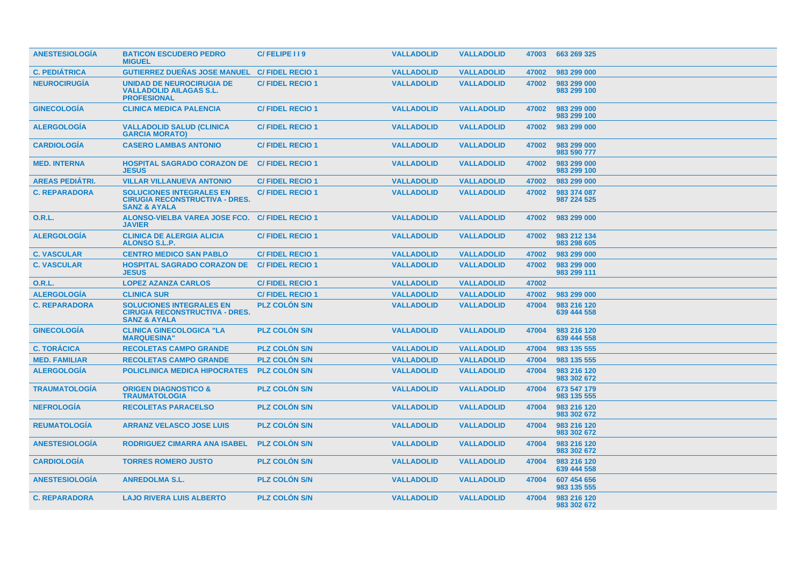| <b>ANESTESIOLOGIA</b>  | <b>BATICON ESCUDERO PEDRO</b><br><b>MIGUEL</b>                                                      | C/FELIPE 119           | <b>VALLADOLID</b> | <b>VALLADOLID</b> | 47003 | 663 269 325                |
|------------------------|-----------------------------------------------------------------------------------------------------|------------------------|-------------------|-------------------|-------|----------------------------|
| <b>C. PEDIÁTRICA</b>   | <b>GUTIERREZ DUEÑAS JOSE MANUEL</b>                                                                 | <b>C/FIDEL RECIO 1</b> | <b>VALLADOLID</b> | <b>VALLADOLID</b> | 47002 | 983 299 000                |
| <b>NEUROCIRUGIA</b>    | <b>UNIDAD DE NEUROCIRUGIA DE</b><br><b>VALLADOLID AILAGAS S.L.</b><br><b>PROFESIONAL</b>            | <b>C/FIDEL RECIO1</b>  | <b>VALLADOLID</b> | <b>VALLADOLID</b> | 47002 | 983 299 000<br>983 299 100 |
| <b>GINECOLOGIA</b>     | <b>CLINICA MEDICA PALENCIA</b>                                                                      | <b>C/FIDEL RECIO 1</b> | <b>VALLADOLID</b> | <b>VALLADOLID</b> | 47002 | 983 299 000<br>983 299 100 |
| <b>ALERGOLOGÍA</b>     | <b>VALLADOLID SALUD (CLINICA</b><br><b>GARCIA MORATO)</b>                                           | <b>C/FIDEL RECIO1</b>  | <b>VALLADOLID</b> | <b>VALLADOLID</b> | 47002 | 983 299 000                |
| <b>CARDIOLOGIA</b>     | <b>CASERO LAMBAS ANTONIO</b>                                                                        | <b>C/FIDEL RECIO 1</b> | <b>VALLADOLID</b> | <b>VALLADOLID</b> | 47002 | 983 299 000<br>983 590 777 |
| <b>MED. INTERNA</b>    | <b>HOSPITAL SAGRADO CORAZON DE</b><br><b>JESUS</b>                                                  | <b>C/FIDEL RECIO 1</b> | <b>VALLADOLID</b> | <b>VALLADOLID</b> | 47002 | 983 299 000<br>983 299 100 |
| <b>AREAS PEDIÁTRI.</b> | <b>VILLAR VILLANUEVA ANTONIO</b>                                                                    | <b>C/FIDEL RECIO 1</b> | <b>VALLADOLID</b> | <b>VALLADOLID</b> | 47002 | 983 299 000                |
| <b>C. REPARADORA</b>   | <b>SOLUCIONES INTEGRALES EN</b><br><b>CIRUGIA RECONSTRUCTIVA - DRES.</b><br><b>SANZ &amp; AYALA</b> | <b>C/FIDEL RECIO 1</b> | <b>VALLADOLID</b> | <b>VALLADOLID</b> | 47002 | 983 374 087<br>987 224 525 |
| <b>O.R.L.</b>          | ALONSO-VIELBA VAREA JOSE FCO.<br><b>JAVIER</b>                                                      | <b>C/FIDEL RECIO 1</b> | <b>VALLADOLID</b> | <b>VALLADOLID</b> | 47002 | 983 299 000                |
| <b>ALERGOLOGÍA</b>     | <b>CLINICA DE ALERGIA ALICIA</b><br><b>ALONSO S.L.P.</b>                                            | <b>C/FIDEL RECIO 1</b> | <b>VALLADOLID</b> | <b>VALLADOLID</b> | 47002 | 983 212 134<br>983 298 605 |
| <b>C. VASCULAR</b>     | <b>CENTRO MEDICO SAN PABLO</b>                                                                      | <b>C/FIDEL RECIO 1</b> | <b>VALLADOLID</b> | <b>VALLADOLID</b> | 47002 | 983 299 000                |
| <b>C. VASCULAR</b>     | <b>HOSPITAL SAGRADO CORAZON DE</b><br><b>JESUS</b>                                                  | <b>C/FIDEL RECIO 1</b> | <b>VALLADOLID</b> | <b>VALLADOLID</b> | 47002 | 983 299 000<br>983 299 111 |
| O.R.L.                 | <b>LOPEZ AZANZA CARLOS</b>                                                                          | <b>C/FIDEL RECIO1</b>  | <b>VALLADOLID</b> | <b>VALLADOLID</b> | 47002 |                            |
| <b>ALERGOLOGÍA</b>     | <b>CLINICA SUR</b>                                                                                  | <b>C/FIDEL RECIO 1</b> | <b>VALLADOLID</b> | <b>VALLADOLID</b> | 47002 | 983 299 000                |
| <b>C. REPARADORA</b>   | <b>SOLUCIONES INTEGRALES EN</b><br><b>CIRUGIA RECONSTRUCTIVA - DRES.</b><br><b>SANZ &amp; AYALA</b> | <b>PLZ COLON S/N</b>   | <b>VALLADOLID</b> | <b>VALLADOLID</b> | 47004 | 983 216 120<br>639 444 558 |
| <b>GINECOLOGIA</b>     | <b>CLINICA GINECOLOGICA "LA</b><br><b>MARQUESINA"</b>                                               | <b>PLZ COLON S/N</b>   | <b>VALLADOLID</b> | <b>VALLADOLID</b> | 47004 | 983 216 120<br>639 444 558 |
| <b>C. TORÁCICA</b>     | <b>RECOLETAS CAMPO GRANDE</b>                                                                       | <b>PLZ COLON S/N</b>   | <b>VALLADOLID</b> | <b>VALLADOLID</b> | 47004 | 983 135 555                |
| <b>MED. FAMILIAR</b>   | <b>RECOLETAS CAMPO GRANDE</b>                                                                       | <b>PLZ COLON S/N</b>   | <b>VALLADOLID</b> | <b>VALLADOLID</b> | 47004 | 983 135 555                |
| <b>ALERGOLOGÍA</b>     | <b>POLICLINICA MEDICA HIPOCRATES</b>                                                                | <b>PLZ COLON S/N</b>   | <b>VALLADOLID</b> | <b>VALLADOLID</b> | 47004 | 983 216 120<br>983 302 672 |
| <b>TRAUMATOLOGIA</b>   | <b>ORIGEN DIAGNOSTICO &amp;</b><br><b>TRAUMATOLOGIA</b>                                             | <b>PLZ COLON S/N</b>   | <b>VALLADOLID</b> | <b>VALLADOLID</b> | 47004 | 673 547 179<br>983 135 555 |
| <b>NEFROLOGÍA</b>      | <b>RECOLETAS PARACELSO</b>                                                                          | <b>PLZ COLON S/N</b>   | <b>VALLADOLID</b> | <b>VALLADOLID</b> | 47004 | 983 216 120<br>983 302 672 |
| <b>REUMATOLOGIA</b>    | <b>ARRANZ VELASCO JOSE LUIS</b>                                                                     | <b>PLZ COLON S/N</b>   | <b>VALLADOLID</b> | <b>VALLADOLID</b> | 47004 | 983 216 120<br>983 302 672 |
| <b>ANESTESIOLOGIA</b>  | <b>RODRIGUEZ CIMARRA ANA ISABEL</b>                                                                 | <b>PLZ COLON S/N</b>   | <b>VALLADOLID</b> | <b>VALLADOLID</b> | 47004 | 983 216 120<br>983 302 672 |
| <b>CARDIOLOGIA</b>     | <b>TORRES ROMERO JUSTO</b>                                                                          | <b>PLZ COLON S/N</b>   | <b>VALLADOLID</b> | <b>VALLADOLID</b> | 47004 | 983 216 120<br>639 444 558 |
| <b>ANESTESIOLOGIA</b>  | <b>ANREDOLMA S.L.</b>                                                                               | <b>PLZ COLON S/N</b>   | <b>VALLADOLID</b> | <b>VALLADOLID</b> | 47004 | 607 454 656<br>983 135 555 |
| <b>C. REPARADORA</b>   | <b>LAJO RIVERA LUIS ALBERTO</b>                                                                     | <b>PLZ COLON S/N</b>   | <b>VALLADOLID</b> | <b>VALLADOLID</b> | 47004 | 983 216 120<br>983 302 672 |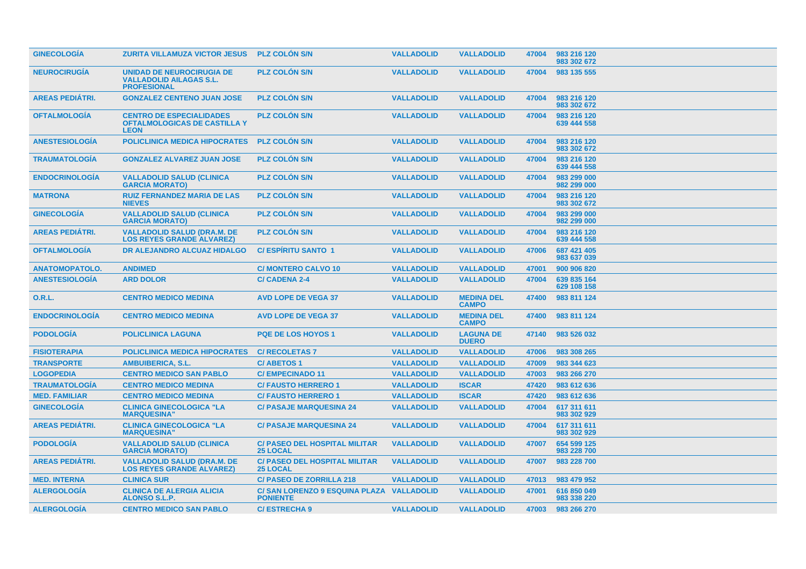| <b>GINECOLOGIA</b>     | <b>ZURITA VILLAMUZA VICTOR JESUS</b>                                                  | <b>PLZ COLON S/N</b>                                        | <b>VALLADOLID</b> | <b>VALLADOLID</b>                 | 47004 | 983 216 120<br>983 302 672 |
|------------------------|---------------------------------------------------------------------------------------|-------------------------------------------------------------|-------------------|-----------------------------------|-------|----------------------------|
| <b>NEUROCIRUGIA</b>    | UNIDAD DE NEUROCIRUGIA DE<br><b>VALLADOLID AILAGAS S.L.</b><br><b>PROFESIONAL</b>     | <b>PLZ COLON S/N</b>                                        | <b>VALLADOLID</b> | <b>VALLADOLID</b>                 | 47004 | 983 135 555                |
| <b>AREAS PEDIÁTRI.</b> | <b>GONZALEZ CENTENO JUAN JOSE</b>                                                     | <b>PLZ COLON S/N</b>                                        | <b>VALLADOLID</b> | <b>VALLADOLID</b>                 | 47004 | 983 216 120<br>983 302 672 |
| <b>OFTALMOLOGIA</b>    | <b>CENTRO DE ESPECIALIDADES</b><br><b>OFTALMOLOGICAS DE CASTILLA Y</b><br><b>LEON</b> | <b>PLZ COLON S/N</b>                                        | <b>VALLADOLID</b> | <b>VALLADOLID</b>                 | 47004 | 983 216 120<br>639 444 558 |
| <b>ANESTESIOLOGIA</b>  | <b>POLICLINICA MEDICA HIPOCRATES</b>                                                  | <b>PLZ COLON S/N</b>                                        | <b>VALLADOLID</b> | <b>VALLADOLID</b>                 | 47004 | 983 216 120<br>983 302 672 |
| <b>TRAUMATOLOGIA</b>   | <b>GONZALEZ ALVAREZ JUAN JOSE</b>                                                     | <b>PLZ COLON S/N</b>                                        | <b>VALLADOLID</b> | <b>VALLADOLID</b>                 | 47004 | 983 216 120<br>639 444 558 |
| <b>ENDOCRINOLOGIA</b>  | <b>VALLADOLID SALUD (CLINICA</b><br><b>GARCIA MORATO)</b>                             | <b>PLZ COLON S/N</b>                                        | <b>VALLADOLID</b> | <b>VALLADOLID</b>                 | 47004 | 983 299 000<br>982 299 000 |
| <b>MATRONA</b>         | <b>RUIZ FERNANDEZ MARIA DE LAS</b><br><b>NIEVES</b>                                   | <b>PLZ COLON S/N</b>                                        | <b>VALLADOLID</b> | <b>VALLADOLID</b>                 | 47004 | 983 216 120<br>983 302 672 |
| <b>GINECOLOGIA</b>     | <b>VALLADOLID SALUD (CLINICA</b><br><b>GARCIA MORATO)</b>                             | <b>PLZ COLON S/N</b>                                        | <b>VALLADOLID</b> | <b>VALLADOLID</b>                 | 47004 | 983 299 000<br>982 299 000 |
| <b>AREAS PEDIATRI.</b> | <b>VALLADOLID SALUD (DRA.M. DE</b><br><b>LOS REYES GRANDE ALVAREZ)</b>                | <b>PLZ COLON S/N</b>                                        | <b>VALLADOLID</b> | <b>VALLADOLID</b>                 | 47004 | 983 216 120<br>639 444 558 |
| <b>OFTALMOLOGÍA</b>    | DR ALEJANDRO ALCUAZ HIDALGO                                                           | <b>C/ESPIRITU SANTO 1</b>                                   | <b>VALLADOLID</b> | <b>VALLADOLID</b>                 | 47006 | 687 421 405<br>983 637 039 |
| <b>ANATOMOPATOLO.</b>  | <b>ANDIMED</b>                                                                        | <b>C/ MONTERO CALVO 10</b>                                  | <b>VALLADOLID</b> | <b>VALLADOLID</b>                 | 47001 | 900 906 820                |
| <b>ANESTESIOLOGÍA</b>  | <b>ARD DOLOR</b>                                                                      | <b>C/ CADENA 2-4</b>                                        | <b>VALLADOLID</b> | <b>VALLADOLID</b>                 | 47004 | 639 835 164<br>629 108 158 |
| <b>O.R.L.</b>          | <b>CENTRO MEDICO MEDINA</b>                                                           | <b>AVD LOPE DE VEGA 37</b>                                  | <b>VALLADOLID</b> | <b>MEDINA DEL</b><br><b>CAMPO</b> | 47400 | 983 811 124                |
| <b>ENDOCRINOLOGIA</b>  | <b>CENTRO MEDICO MEDINA</b>                                                           | <b>AVD LOPE DE VEGA 37</b>                                  | <b>VALLADOLID</b> | <b>MEDINA DEL</b><br><b>CAMPO</b> | 47400 | 983 811 124                |
| <b>PODOLOGIA</b>       | <b>POLICLINICA LAGUNA</b>                                                             | <b>PQE DE LOS HOYOS 1</b>                                   | <b>VALLADOLID</b> | <b>LAGUNA DE</b><br><b>DUERO</b>  | 47140 | 983 526 032                |
| <b>FISIOTERAPIA</b>    | <b>POLICLINICA MEDICA HIPOCRATES</b>                                                  | <b>C/ RECOLETAS 7</b>                                       | <b>VALLADOLID</b> | <b>VALLADOLID</b>                 | 47006 | 983 308 265                |
| <b>TRANSPORTE</b>      | <b>AMBUIBERICA, S.L.</b>                                                              | <b>C/ABETOS1</b>                                            | <b>VALLADOLID</b> | <b>VALLADOLID</b>                 | 47009 | 983 344 623                |
| <b>LOGOPEDIA</b>       | <b>CENTRO MEDICO SAN PABLO</b>                                                        | <b>C/EMPECINADO 11</b>                                      | <b>VALLADOLID</b> | <b>VALLADOLID</b>                 | 47003 | 983 266 270                |
| <b>TRAUMATOLOGÍA</b>   | <b>CENTRO MEDICO MEDINA</b>                                                           | <b>C/FAUSTO HERRERO 1</b>                                   | <b>VALLADOLID</b> | <b>ISCAR</b>                      | 47420 | 983 612 636                |
| <b>MED. FAMILIAR</b>   | <b>CENTRO MEDICO MEDINA</b>                                                           | <b>C/FAUSTO HERRERO 1</b>                                   | <b>VALLADOLID</b> | <b>ISCAR</b>                      | 47420 | 983 612 636                |
| <b>GINECOLOGÍA</b>     | <b>CLINICA GINECOLOGICA "LA</b><br><b>MARQUESINA"</b>                                 | <b>C/ PASAJE MARQUESINA 24</b>                              | <b>VALLADOLID</b> | <b>VALLADOLID</b>                 | 47004 | 617 311 611<br>983 302 929 |
| <b>AREAS PEDIATRI.</b> | <b>CLINICA GINECOLOGICA "LA</b><br><b>MARQUESINA'</b>                                 | <b>C/ PASAJE MARQUESINA 24</b>                              | <b>VALLADOLID</b> | <b>VALLADOLID</b>                 | 47004 | 617 311 611<br>983 302 929 |
| <b>PODOLOGIA</b>       | <b>VALLADOLID SALUD (CLINICA</b><br><b>GARCIA MORATO)</b>                             | <b>C/ PASEO DEL HOSPITAL MILITAR</b><br><b>25 LOCAL</b>     | <b>VALLADOLID</b> | <b>VALLADOLID</b>                 | 47007 | 654 599 125<br>983 228 700 |
| <b>AREAS PEDIATRI.</b> | <b>VALLADOLID SALUD (DRA.M. DE</b><br><b>LOS REYES GRANDE ALVAREZ)</b>                | <b>C/ PASEO DEL HOSPITAL MILITAR</b><br><b>25 LOCAL</b>     | <b>VALLADOLID</b> | <b>VALLADOLID</b>                 | 47007 | 983 228 700                |
| <b>MED. INTERNA</b>    | <b>CLINICA SUR</b>                                                                    | <b>C/ PASEO DE ZORRILLA 218</b>                             | <b>VALLADOLID</b> | <b>VALLADOLID</b>                 | 47013 | 983 479 952                |
| <b>ALERGOLOGIA</b>     | <b>CLINICA DE ALERGIA ALICIA</b><br><b>ALONSO S.L.P.</b>                              | C/SAN LORENZO 9 ESQUINA PLAZA VALLADOLID<br><b>PONIENTE</b> |                   | <b>VALLADOLID</b>                 | 47001 | 616 850 049<br>983 338 220 |
| <b>ALERGOLOGÍA</b>     | <b>CENTRO MEDICO SAN PABLO</b>                                                        | <b>C/ESTRECHA 9</b>                                         | <b>VALLADOLID</b> | <b>VALLADOLID</b>                 | 47003 | 983 266 270                |
|                        |                                                                                       |                                                             |                   |                                   |       |                            |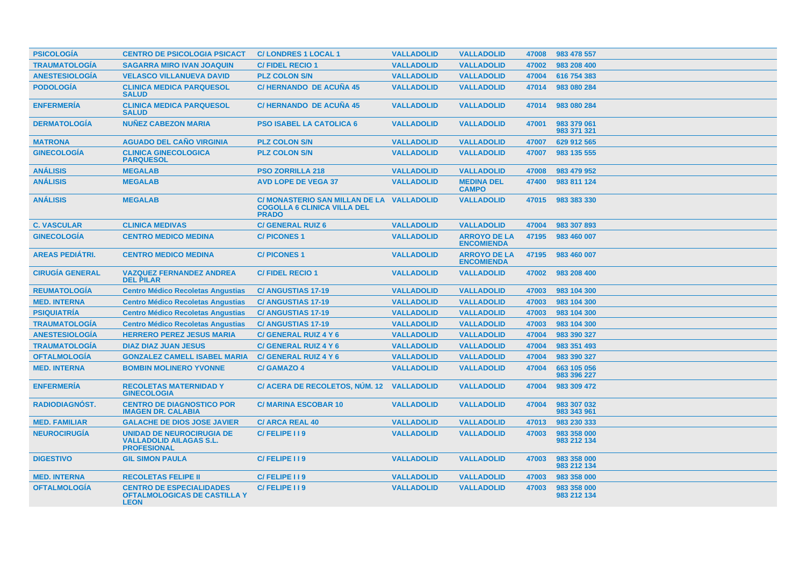| <b>PSICOLOGÍA</b>      | <b>CENTRO DE PSICOLOGIA PSICACT</b>                                                      | <b>C/LONDRES 1 LOCAL 1</b>                                                                  | <b>VALLADOLID</b> | <b>VALLADOLID</b>                        | 47008 | 983 478 557                |
|------------------------|------------------------------------------------------------------------------------------|---------------------------------------------------------------------------------------------|-------------------|------------------------------------------|-------|----------------------------|
| <b>TRAUMATOLOGÍA</b>   | <b>SAGARRA MIRO IVAN JOAQUIN</b>                                                         | <b>C/FIDEL RECIO 1</b>                                                                      | <b>VALLADOLID</b> | <b>VALLADOLID</b>                        | 47002 | 983 208 400                |
| <b>ANESTESIOLOGÍA</b>  | <b>VELASCO VILLANUEVA DAVID</b>                                                          | <b>PLZ COLON S/N</b>                                                                        | <b>VALLADOLID</b> | <b>VALLADOLID</b>                        | 47004 | 616 754 383                |
| <b>PODOLOGÍA</b>       | <b>CLINICA MEDICA PARQUESOL</b><br><b>SALUD</b>                                          | <b>C/HERNANDO DE ACUÑA 45</b>                                                               | <b>VALLADOLID</b> | <b>VALLADOLID</b>                        | 47014 | 983 080 284                |
| <b>ENFERMERÍA</b>      | <b>CLINICA MEDICA PARQUESOL</b><br><b>SALUD</b>                                          | <b>C/HERNANDO DE ACUÑA 45</b>                                                               | <b>VALLADOLID</b> | <b>VALLADOLID</b>                        | 47014 | 983 080 284                |
| <b>DERMATOLOGÍA</b>    | <b>NUÑEZ CABEZON MARIA</b>                                                               | <b>PSO ISABEL LA CATOLICA 6</b>                                                             | <b>VALLADOLID</b> | <b>VALLADOLID</b>                        | 47001 | 983 379 061<br>983 371 321 |
| <b>MATRONA</b>         | <b>AGUADO DEL CAÑO VIRGINIA</b>                                                          | <b>PLZ COLON S/N</b>                                                                        | <b>VALLADOLID</b> | <b>VALLADOLID</b>                        | 47007 | 629 912 565                |
| <b>GINECOLOGÍA</b>     | <b>CLINICA GINECOLOGICA</b><br><b>PARQUESOL</b>                                          | <b>PLZ COLON S/N</b>                                                                        | <b>VALLADOLID</b> | <b>VALLADOLID</b>                        | 47007 | 983 135 555                |
| <b>ANÁLISIS</b>        | <b>MEGALAB</b>                                                                           | <b>PSO ZORRILLA 218</b>                                                                     | <b>VALLADOLID</b> | <b>VALLADOLID</b>                        | 47008 | 983 479 952                |
| <b>ANÁLISIS</b>        | <b>MEGALAB</b>                                                                           | <b>AVD LOPE DE VEGA 37</b>                                                                  | <b>VALLADOLID</b> | <b>MEDINA DEL</b><br><b>CAMPO</b>        | 47400 | 983 811 124                |
| <b>ANÁLISIS</b>        | <b>MEGALAB</b>                                                                           | <b>C/ MONASTERIO SAN MILLAN DE LA</b><br><b>COGOLLA 6 CLINICA VILLA DEL</b><br><b>PRADO</b> | <b>VALLADOLID</b> | <b>VALLADOLID</b>                        | 47015 | 983 383 330                |
| <b>C. VASCULAR</b>     | <b>CLINICA MEDIVAS</b>                                                                   | <b>C/ GENERAL RUIZ 6</b>                                                                    | <b>VALLADOLID</b> | <b>VALLADOLID</b>                        | 47004 | 983 307 893                |
| <b>GINECOLOGÍA</b>     | <b>CENTRO MEDICO MEDINA</b>                                                              | <b>C/PICONES1</b>                                                                           | <b>VALLADOLID</b> | <b>ARROYO DE LA</b><br><b>ENCOMIENDA</b> | 47195 | 983 460 007                |
| <b>AREAS PEDIÁTRI.</b> | <b>CENTRO MEDICO MEDINA</b>                                                              | <b>C/PICONES1</b>                                                                           | <b>VALLADOLID</b> | <b>ARROYO DE LA</b><br><b>ENCOMIENDA</b> | 47195 | 983 460 007                |
| <b>CIRUGÍA GENERAL</b> | <b>VAZQUEZ FERNANDEZ ANDREA</b><br><b>DEL PILAR</b>                                      | <b>C/FIDEL RECIO1</b>                                                                       | <b>VALLADOLID</b> | <b>VALLADOLID</b>                        | 47002 | 983 208 400                |
| <b>REUMATOLOGÍA</b>    | <b>Centro Médico Recoletas Angustias</b>                                                 | <b>C/ANGUSTIAS 17-19</b>                                                                    | <b>VALLADOLID</b> | <b>VALLADOLID</b>                        | 47003 | 983 104 300                |
| <b>MED. INTERNA</b>    | <b>Centro Médico Recoletas Angustias</b>                                                 | <b>C/ANGUSTIAS 17-19</b>                                                                    | <b>VALLADOLID</b> | <b>VALLADOLID</b>                        | 47003 | 983 104 300                |
| <b>PSIQUIATRÍA</b>     | <b>Centro Médico Recoletas Angustias</b>                                                 | <b>C/ANGUSTIAS 17-19</b>                                                                    | <b>VALLADOLID</b> | <b>VALLADOLID</b>                        | 47003 | 983 104 300                |
| <b>TRAUMATOLOGÍA</b>   | <b>Centro Médico Recoletas Angustias</b>                                                 | <b>C/ANGUSTIAS 17-19</b>                                                                    | <b>VALLADOLID</b> | <b>VALLADOLID</b>                        | 47003 | 983 104 300                |
| <b>ANESTESIOLOGÍA</b>  | <b>HERRERO PEREZ JESUS MARIA</b>                                                         | C/ GENERAL RUIZ 4 Y 6                                                                       | <b>VALLADOLID</b> | <b>VALLADOLID</b>                        | 47004 | 983 390 327                |
| <b>TRAUMATOLOGÍA</b>   | <b>DIAZ DIAZ JUAN JESUS</b>                                                              | C/ GENERAL RUIZ 4 Y 6                                                                       | <b>VALLADOLID</b> | <b>VALLADOLID</b>                        | 47004 | 983 351 493                |
| <b>OFTALMOLOGÍA</b>    | <b>GONZALEZ CAMELL ISABEL MARIA</b>                                                      | <b>C/ GENERAL RUIZ 4 Y 6</b>                                                                | <b>VALLADOLID</b> | <b>VALLADOLID</b>                        | 47004 | 983 390 327                |
| <b>MED. INTERNA</b>    | <b>BOMBIN MOLINERO YVONNE</b>                                                            | <b>C/ GAMAZO 4</b>                                                                          | <b>VALLADOLID</b> | <b>VALLADOLID</b>                        | 47004 | 663 105 056<br>983 396 227 |
| <b>ENFERMERÍA</b>      | <b>RECOLETAS MATERNIDAD Y</b><br><b>GINECOLOGIA</b>                                      | C/ ACERA DE RECOLETOS, NÚM. 12 VALLADOLID                                                   |                   | <b>VALLADOLID</b>                        | 47004 | 983 309 472                |
| <b>RADIODIAGNÓST.</b>  | <b>CENTRO DE DIAGNOSTICO POR</b><br><b>IMAGEN DR. CALABIA</b>                            | <b>C/ MARINA ESCOBAR 10</b>                                                                 | <b>VALLADOLID</b> | <b>VALLADOLID</b>                        | 47004 | 983 307 032<br>983 343 961 |
| <b>MED. FAMILIAR</b>   | <b>GALACHE DE DIOS JOSE JAVIER</b>                                                       | <b>C/ ARCA REAL 40</b>                                                                      | <b>VALLADOLID</b> | <b>VALLADOLID</b>                        | 47013 | 983 230 333                |
| <b>NEUROCIRUGÍA</b>    | <b>UNIDAD DE NEUROCIRUGIA DE</b><br><b>VALLADOLID AILAGAS S.L.</b><br><b>PROFESIONAL</b> | C/FELIPE 119                                                                                | <b>VALLADOLID</b> | <b>VALLADOLID</b>                        | 47003 | 983 358 000<br>983 212 134 |
| <b>DIGESTIVO</b>       | <b>GIL SIMON PAULA</b>                                                                   | C/FELIPE I I 9                                                                              | <b>VALLADOLID</b> | <b>VALLADOLID</b>                        | 47003 | 983 358 000<br>983 212 134 |
| <b>MED. INTERNA</b>    | <b>RECOLETAS FELIPE II</b>                                                               | C/FELIPE I I 9                                                                              | <b>VALLADOLID</b> | <b>VALLADOLID</b>                        | 47003 | 983 358 000                |
| <b>OFTALMOLOGÍA</b>    | <b>CENTRO DE ESPECIALIDADES</b><br><b>OFTALMOLOGICAS DE CASTILLA Y</b><br><b>LEON</b>    | C/FELIPE 119                                                                                | <b>VALLADOLID</b> | <b>VALLADOLID</b>                        | 47003 | 983 358 000<br>983 212 134 |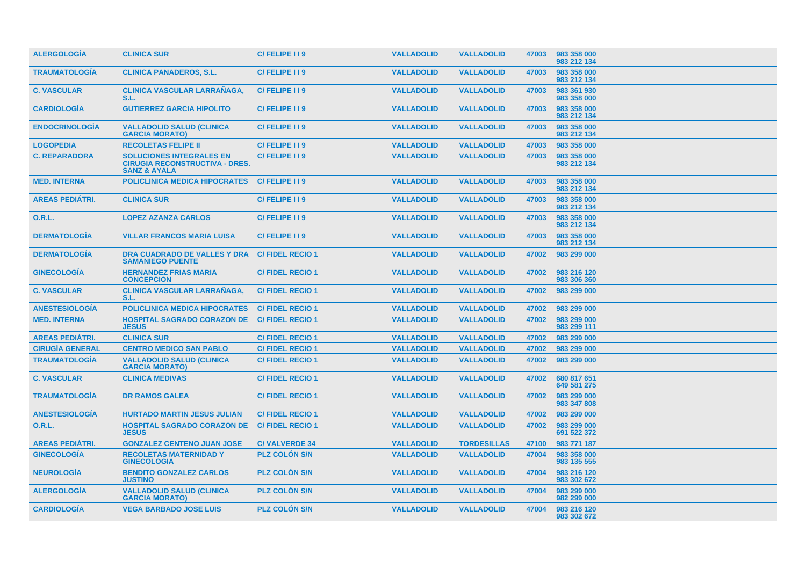| <b>ALERGOLOGIA</b>     | <b>CLINICA SUR</b>                                                                                  | C/FELIPE 119           | <b>VALLADOLID</b> | <b>VALLADOLID</b>  | 47003 | 983 358 000<br>983 212 134 |
|------------------------|-----------------------------------------------------------------------------------------------------|------------------------|-------------------|--------------------|-------|----------------------------|
| <b>TRAUMATOLOGÍA</b>   | <b>CLINICA PANADEROS, S.L.</b>                                                                      | C/FELIPE I I 9         | <b>VALLADOLID</b> | <b>VALLADOLID</b>  | 47003 | 983 358 000<br>983 212 134 |
| <b>C. VASCULAR</b>     | <b>CLINICA VASCULAR LARRANAGA,</b><br>S.L.                                                          | C/FELIPE 119           | <b>VALLADOLID</b> | <b>VALLADOLID</b>  | 47003 | 983 361 930<br>983 358 000 |
| <b>CARDIOLOGÍA</b>     | <b>GUTIERREZ GARCIA HIPOLITO</b>                                                                    | C/FELIPE II9           | <b>VALLADOLID</b> | <b>VALLADOLID</b>  | 47003 | 983 358 000<br>983 212 134 |
| <b>ENDOCRINOLOGIA</b>  | <b>VALLADOLID SALUD (CLINICA</b><br><b>GARCIA MORATO)</b>                                           | C/FELIPE 119           | <b>VALLADOLID</b> | <b>VALLADOLID</b>  | 47003 | 983 358 000<br>983 212 134 |
| <b>LOGOPEDIA</b>       | <b>RECOLETAS FELIPE II</b>                                                                          | C/FELIPE I I 9         | <b>VALLADOLID</b> | <b>VALLADOLID</b>  | 47003 | 983 358 000                |
| <b>C. REPARADORA</b>   | <b>SOLUCIONES INTEGRALES EN</b><br><b>CIRUGIA RECONSTRUCTIVA - DRES.</b><br><b>SANZ &amp; AYALA</b> | C/FELIPE II9           | <b>VALLADOLID</b> | <b>VALLADOLID</b>  | 47003 | 983 358 000<br>983 212 134 |
| <b>MED. INTERNA</b>    | <b>POLICLINICA MEDICA HIPOCRATES</b>                                                                | C/FELIPE I I 9         | <b>VALLADOLID</b> | <b>VALLADOLID</b>  | 47003 | 983 358 000<br>983 212 134 |
| <b>AREAS PEDIÁTRI.</b> | <b>CLINICA SUR</b>                                                                                  | C/FELIPE 119           | <b>VALLADOLID</b> | <b>VALLADOLID</b>  | 47003 | 983 358 000<br>983 212 134 |
| <b>O.R.L.</b>          | <b>LOPEZ AZANZA CARLOS</b>                                                                          | C/FELIPE I I 9         | <b>VALLADOLID</b> | <b>VALLADOLID</b>  | 47003 | 983 358 000<br>983 212 134 |
| <b>DERMATOLOGÍA</b>    | <b>VILLAR FRANCOS MARIA LUISA</b>                                                                   | C/FELIPE 119           | <b>VALLADOLID</b> | <b>VALLADOLID</b>  | 47003 | 983 358 000<br>983 212 134 |
| <b>DERMATOLOGIA</b>    | DRA CUADRADO DE VALLES Y DRA<br><b>SAMANIEGO PUENTE</b>                                             | <b>C/FIDEL RECIO 1</b> | <b>VALLADOLID</b> | <b>VALLADOLID</b>  | 47002 | 983 299 000                |
| <b>GINECOLOGIA</b>     | <b>HERNANDEZ FRIAS MARIA</b><br><b>CONCEPCION</b>                                                   | <b>C/FIDEL RECIO1</b>  | <b>VALLADOLID</b> | <b>VALLADOLID</b>  | 47002 | 983 216 120<br>983 306 360 |
| <b>C. VASCULAR</b>     | <b>CLINICA VASCULAR LARRANAGA,</b><br>S.L.                                                          | <b>C/FIDEL RECIO 1</b> | <b>VALLADOLID</b> | <b>VALLADOLID</b>  | 47002 | 983 299 000                |
| <b>ANESTESIOLOGIA</b>  | <b>POLICLINICA MEDICA HIPOCRATES</b>                                                                | <b>C/FIDEL RECIO1</b>  | <b>VALLADOLID</b> | <b>VALLADOLID</b>  | 47002 | 983 299 000                |
| <b>MED. INTERNA</b>    | <b>HOSPITAL SAGRADO CORAZON DE</b><br><b>JESUS</b>                                                  | <b>C/FIDEL RECIO1</b>  | <b>VALLADOLID</b> | <b>VALLADOLID</b>  | 47002 | 983 299 000<br>983 299 111 |
| <b>AREAS PEDIÁTRI.</b> | <b>CLINICA SUR</b>                                                                                  | <b>C/FIDEL RECIO 1</b> | <b>VALLADOLID</b> | <b>VALLADOLID</b>  | 47002 | 983 299 000                |
| <b>CIRUGÍA GENERAL</b> | <b>CENTRO MEDICO SAN PABLO</b>                                                                      | <b>C/FIDEL RECIO1</b>  | <b>VALLADOLID</b> | <b>VALLADOLID</b>  | 47002 | 983 299 000                |
| <b>TRAUMATOLOGÍA</b>   | <b>VALLADOLID SALUD (CLINICA</b><br><b>GARCIA MORATO)</b>                                           | <b>C/FIDEL RECIO 1</b> | <b>VALLADOLID</b> | <b>VALLADOLID</b>  | 47002 | 983 299 000                |
| <b>C. VASCULAR</b>     | <b>CLINICA MEDIVAS</b>                                                                              | <b>C/FIDEL RECIO1</b>  | <b>VALLADOLID</b> | <b>VALLADOLID</b>  | 47002 | 680 817 651<br>649 581 275 |
| <b>TRAUMATOLOGÍA</b>   | <b>DR RAMOS GALEA</b>                                                                               | <b>C/FIDEL RECIO 1</b> | <b>VALLADOLID</b> | <b>VALLADOLID</b>  | 47002 | 983 299 000<br>983 347 808 |
| <b>ANESTESIOLOGIA</b>  | <b>HURTADO MARTIN JESUS JULIAN</b>                                                                  | <b>C/FIDEL RECIO1</b>  | <b>VALLADOLID</b> | <b>VALLADOLID</b>  | 47002 | 983 299 000                |
| 0.R.L.                 | <b>HOSPITAL SAGRADO CORAZON DE</b><br><b>JESUS</b>                                                  | <b>C/FIDEL RECIO 1</b> | <b>VALLADOLID</b> | <b>VALLADOLID</b>  | 47002 | 983 299 000<br>691 522 372 |
| <b>AREAS PEDIÁTRI.</b> | <b>GONZALEZ CENTENO JUAN JOSE</b>                                                                   | <b>C/VALVERDE 34</b>   | <b>VALLADOLID</b> | <b>TORDESILLAS</b> | 47100 | 983 771 187                |
| <b>GINECOLOGIA</b>     | <b>RECOLETAS MATERNIDAD Y</b><br><b>GINECOLOGIA</b>                                                 | <b>PLZ COLON S/N</b>   | <b>VALLADOLID</b> | <b>VALLADOLID</b>  | 47004 | 983 358 000<br>983 135 555 |
| <b>NEUROLOGÍA</b>      | <b>BENDITO GONZALEZ CARLOS</b><br><b>JUSTINO</b>                                                    | <b>PLZ COLON S/N</b>   | <b>VALLADOLID</b> | <b>VALLADOLID</b>  | 47004 | 983 216 120<br>983 302 672 |
| <b>ALERGOLOGIA</b>     | <b>VALLADOLID SALUD (CLINICA</b><br><b>GARCIA MORATO)</b>                                           | <b>PLZ COLON S/N</b>   | <b>VALLADOLID</b> | <b>VALLADOLID</b>  | 47004 | 983 299 000<br>982 299 000 |
| <b>CARDIOLOGIA</b>     | <b>VEGA BARBADO JOSE LUIS</b>                                                                       | <b>PLZ COLON S/N</b>   | <b>VALLADOLID</b> | <b>VALLADOLID</b>  | 47004 | 983 216 120<br>983 302 672 |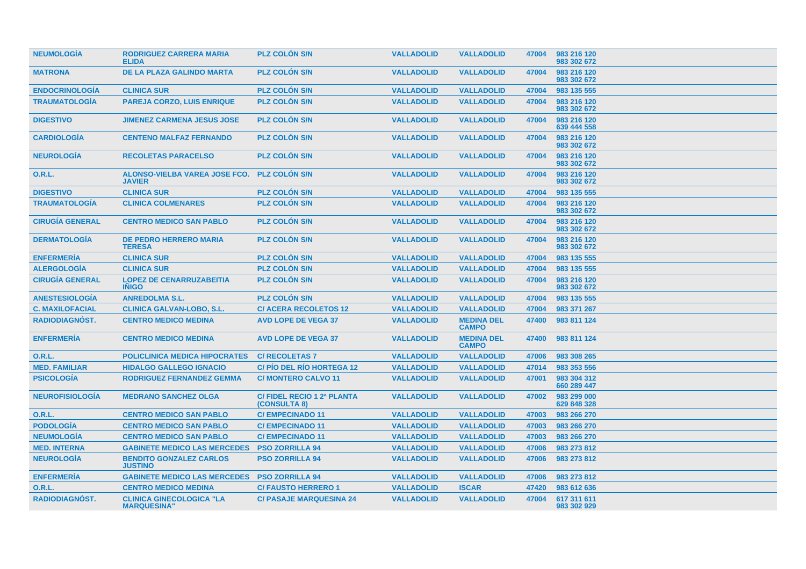| <b>NEUMOLOGIA</b>      | <b>RODRIGUEZ CARRERA MARIA</b><br><b>ELIDA</b>        | <b>PLZ COLON S/N</b>                      | <b>VALLADOLID</b> | <b>VALLADOLID</b>                 | 47004 | 983 216 120<br>983 302 672 |
|------------------------|-------------------------------------------------------|-------------------------------------------|-------------------|-----------------------------------|-------|----------------------------|
| <b>MATRONA</b>         | DE LA PLAZA GALINDO MARTA                             | <b>PLZ COLON S/N</b>                      | <b>VALLADOLID</b> | <b>VALLADOLID</b>                 | 47004 | 983 216 120<br>983 302 672 |
| <b>ENDOCRINOLOGÍA</b>  | <b>CLINICA SUR</b>                                    | <b>PLZ COLON S/N</b>                      | <b>VALLADOLID</b> | <b>VALLADOLID</b>                 | 47004 | 983 135 555                |
| <b>TRAUMATOLOGÍA</b>   | <b>PAREJA CORZO, LUIS ENRIQUE</b>                     | <b>PLZ COLÓN S/N</b>                      | <b>VALLADOLID</b> | <b>VALLADOLID</b>                 | 47004 | 983 216 120<br>983 302 672 |
| <b>DIGESTIVO</b>       | <b>JIMENEZ CARMENA JESUS JOSE</b>                     | <b>PLZ COLON S/N</b>                      | <b>VALLADOLID</b> | <b>VALLADOLID</b>                 | 47004 | 983 216 120<br>639 444 558 |
| <b>CARDIOLOGIA</b>     | <b>CENTENO MALFAZ FERNANDO</b>                        | <b>PLZ COLON S/N</b>                      | <b>VALLADOLID</b> | <b>VALLADOLID</b>                 | 47004 | 983 216 120<br>983 302 672 |
| <b>NEUROLOGÍA</b>      | <b>RECOLETAS PARACELSO</b>                            | <b>PLZ COLON S/N</b>                      | <b>VALLADOLID</b> | <b>VALLADOLID</b>                 | 47004 | 983 216 120<br>983 302 672 |
| 0.R.L.                 | ALONSO-VIELBA VAREA JOSE FCO.<br><b>JAVIER</b>        | <b>PLZ COLON S/N</b>                      | <b>VALLADOLID</b> | <b>VALLADOLID</b>                 | 47004 | 983 216 120<br>983 302 672 |
| <b>DIGESTIVO</b>       | <b>CLINICA SUR</b>                                    | <b>PLZ COLON S/N</b>                      | <b>VALLADOLID</b> | <b>VALLADOLID</b>                 | 47004 | 983 135 555                |
| <b>TRAUMATOLOGIA</b>   | <b>CLINICA COLMENARES</b>                             | <b>PLZ COLON S/N</b>                      | <b>VALLADOLID</b> | <b>VALLADOLID</b>                 | 47004 | 983 216 120<br>983 302 672 |
| <b>CIRUGÍA GENERAL</b> | <b>CENTRO MEDICO SAN PABLO</b>                        | <b>PLZ COLON S/N</b>                      | <b>VALLADOLID</b> | <b>VALLADOLID</b>                 | 47004 | 983 216 120<br>983 302 672 |
| <b>DERMATOLOGÍA</b>    | <b>DE PEDRO HERRERO MARIA</b><br><b>TERESA</b>        | <b>PLZ COLON S/N</b>                      | <b>VALLADOLID</b> | <b>VALLADOLID</b>                 | 47004 | 983 216 120<br>983 302 672 |
| <b>ENFERMERÍA</b>      | <b>CLINICA SUR</b>                                    | <b>PLZ COLON S/N</b>                      | <b>VALLADOLID</b> | <b>VALLADOLID</b>                 | 47004 | 983 135 555                |
| <b>ALERGOLOGÍA</b>     | <b>CLINICA SUR</b>                                    | <b>PLZ COLÓN S/N</b>                      | <b>VALLADOLID</b> | <b>VALLADOLID</b>                 | 47004 | 983 135 555                |
| <b>CIRUGÍA GENERAL</b> | <b>LOPEZ DE CENARRUZABEITIA</b><br><b>INIGO</b>       | <b>PLZ COLON S/N</b>                      | <b>VALLADOLID</b> | <b>VALLADOLID</b>                 | 47004 | 983 216 120<br>983 302 672 |
| <b>ANESTESIOLOGÍA</b>  | <b>ANREDOLMA S.L.</b>                                 | <b>PLZ COLÓN S/N</b>                      | <b>VALLADOLID</b> | <b>VALLADOLID</b>                 | 47004 | 983 135 555                |
| <b>C. MAXILOFACIAL</b> | <b>CLINICA GALVAN-LOBO, S.L.</b>                      | <b>C/ACERA RECOLETOS 12</b>               | <b>VALLADOLID</b> | <b>VALLADOLID</b>                 | 47004 | 983 371 267                |
| RADIODIAGNÓST.         | <b>CENTRO MEDICO MEDINA</b>                           | <b>AVD LOPE DE VEGA 37</b>                | <b>VALLADOLID</b> | <b>MEDINA DEL</b><br><b>CAMPO</b> | 47400 | 983 811 124                |
| <b>ENFERMERÍA</b>      | <b>CENTRO MEDICO MEDINA</b>                           | <b>AVD LOPE DE VEGA 37</b>                | <b>VALLADOLID</b> | <b>MEDINA DEL</b><br><b>CAMPO</b> | 47400 | 983 811 124                |
| 0.R.L.                 | <b>POLICLINICA MEDICA HIPOCRATES</b>                  | <b>C/ RECOLETAS 7</b>                     | <b>VALLADOLID</b> | <b>VALLADOLID</b>                 | 47006 | 983 308 265                |
| <b>MED. FAMILIAR</b>   | <b>HIDALGO GALLEGO IGNACIO</b>                        | <b>C/PIO DEL RIO HORTEGA 12</b>           | <b>VALLADOLID</b> | <b>VALLADOLID</b>                 | 47014 | 983 353 556                |
| <b>PSICOLOGÍA</b>      | <b>RODRIGUEZ FERNANDEZ GEMMA</b>                      | <b>C/MONTERO CALVO 11</b>                 | <b>VALLADOLID</b> | <b>VALLADOLID</b>                 | 47001 | 983 304 312<br>660 289 447 |
| <b>NEUROFISIOLOGÍA</b> | <b>MEDRANO SANCHEZ OLGA</b>                           | C/FIDEL RECIO 1 2ª PLANTA<br>(CONSULTA 8) | <b>VALLADOLID</b> | <b>VALLADOLID</b>                 | 47002 | 983 299 000<br>629 848 328 |
| <b>O.R.L.</b>          | <b>CENTRO MEDICO SAN PABLO</b>                        | <b>C/EMPECINADO 11</b>                    | <b>VALLADOLID</b> | <b>VALLADOLID</b>                 | 47003 | 983 266 270                |
| <b>PODOLOGÍA</b>       | <b>CENTRO MEDICO SAN PABLO</b>                        | <b>C/EMPECINADO 11</b>                    | <b>VALLADOLID</b> | <b>VALLADOLID</b>                 | 47003 | 983 266 270                |
| <b>NEUMOLOGÍA</b>      | <b>CENTRO MEDICO SAN PABLO</b>                        | <b>C/EMPECINADO 11</b>                    | <b>VALLADOLID</b> | <b>VALLADOLID</b>                 | 47003 | 983 266 270                |
| <b>MED. INTERNA</b>    | <b>GABINETE MEDICO LAS MERCEDES</b>                   | <b>PSO ZORRILLA 94</b>                    | <b>VALLADOLID</b> | <b>VALLADOLID</b>                 | 47006 | 983 273 812                |
| <b>NEUROLOGÍA</b>      | <b>BENDITO GONZALEZ CARLOS</b><br><b>JUSTINO</b>      | <b>PSO ZORRILLA 94</b>                    | <b>VALLADOLID</b> | <b>VALLADOLID</b>                 | 47006 | 983 273 812                |
| <b>ENFERMERÍA</b>      | <b>GABINETE MEDICO LAS MERCEDES</b>                   | <b>PSO ZORRILLA 94</b>                    | <b>VALLADOLID</b> | <b>VALLADOLID</b>                 | 47006 | 983 273 812                |
| 0.R.L.                 | <b>CENTRO MEDICO MEDINA</b>                           | <b>C/FAUSTO HERRERO 1</b>                 | <b>VALLADOLID</b> | <b>ISCAR</b>                      | 47420 | 983 612 636                |
| RADIODIAGNÓST.         | <b>CLINICA GINECOLOGICA "LA</b><br><b>MARQUESINA"</b> | <b>C/ PASAJE MARQUESINA 24</b>            | <b>VALLADOLID</b> | <b>VALLADOLID</b>                 | 47004 | 617 311 611<br>983 302 929 |